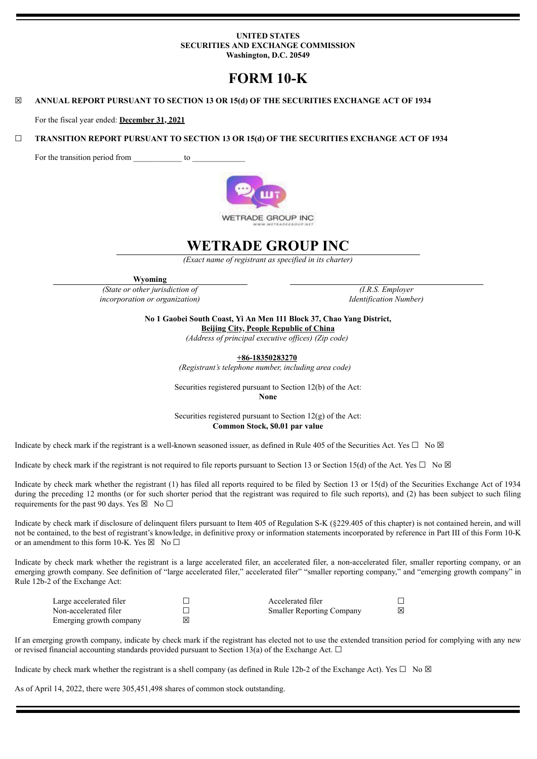# **UNITED STATES SECURITIES AND EXCHANGE COMMISSION Washington, D.C. 20549**

# **FORM 10-K**

# ☒ **ANNUAL REPORT PURSUANT TO SECTION 13 OR 15(d) OF THE SECURITIES EXCHANGE ACT OF 1934**

For the fiscal year ended: **December 31, 2021**

# ☐ **TRANSITION REPORT PURSUANT TO SECTION 13 OR 15(d) OF THE SECURITIES EXCHANGE ACT OF 1934**

For the transition period from to  $\sim$ 



# **WETRADE GROUP INC**

*(Exact name of registrant as specified in its charter)*

**Wyoming**

*(State or other jurisdiction of incorporation or organization)*

*(I.R.S. Employer Identification Number)*

**No 1 Gaobei South Coast, Yi An Men 111 Block 37, Chao Yang District, Beijing City, People Republic of China**

*(Address of principal executive of ices) (Zip code)*

**+86-18350283270**

*(Registrant's telephone number, including area code)*

Securities registered pursuant to Section 12(b) of the Act: **None**

Securities registered pursuant to Section 12(g) of the Act: **Common Stock, \$0.01 par value**

Indicate by check mark if the registrant is a well-known seasoned issuer, as defined in Rule 405 of the Securities Act. Yes  $\Box$  No  $\boxtimes$ 

Indicate by check mark if the registrant is not required to file reports pursuant to Section 13 or Section 15(d) of the Act. Yes  $\square$  No  $\boxtimes$ 

Indicate by check mark whether the registrant (1) has filed all reports required to be filed by Section 13 or 15(d) of the Securities Exchange Act of 1934 during the preceding 12 months (or for such shorter period that the registrant was required to file such reports), and (2) has been subject to such filing requirements for the past 90 days. Yes  $\boxtimes$  No  $\Box$ 

Indicate by check mark if disclosure of delinquent filers pursuant to Item 405 of Regulation S-K (§229.405 of this chapter) is not contained herein, and will not be contained, to the best of registrant's knowledge, in definitive proxy or information statements incorporated by reference in Part III of this Form 10-K or an amendment to this form 10-K. Yes  $\boxtimes$  No  $\Box$ 

Indicate by check mark whether the registrant is a large accelerated filer, an accelerated filer, a non-accelerated filer, smaller reporting company, or an emerging growth company. See definition of "large accelerated filer," accelerated filer" "smaller reporting company," and "emerging growth company" in Rule 12b-2 of the Exchange Act:

| Large accelerated filer |             | Accelerated filer                |   |
|-------------------------|-------------|----------------------------------|---|
| Non-accelerated filer   |             | <b>Smaller Reporting Company</b> | ⊠ |
| Emerging growth company | $\boxtimes$ |                                  |   |

If an emerging growth company, indicate by check mark if the registrant has elected not to use the extended transition period for complying with any new or revised financial accounting standards provided pursuant to Section 13(a) of the Exchange Act.  $\Box$ 

Indicate by check mark whether the registrant is a shell company (as defined in Rule 12b-2 of the Exchange Act). Yes  $\Box$  No  $\boxtimes$ 

As of April 14, 2022, there were 305,451,498 shares of common stock outstanding.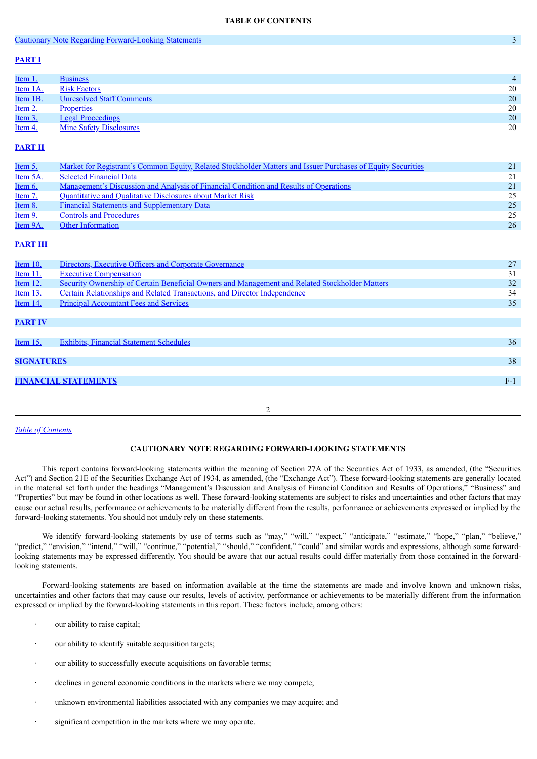#### <span id="page-1-1"></span>**TABLE OF CONTENTS**

# **[PART](#page-2-0) I**

| <b>Business</b><br>20<br><b>Risk Factors</b><br>20<br><b>Unresolved Staff Comments</b><br>20<br><b>Properties</b><br>20<br><b>Legal Proceedings</b><br>20<br><b>Mine Safety Disclosures</b> |          |  |
|---------------------------------------------------------------------------------------------------------------------------------------------------------------------------------------------|----------|--|
|                                                                                                                                                                                             | Item 1.  |  |
|                                                                                                                                                                                             | Item 1A. |  |
|                                                                                                                                                                                             | Item 1B. |  |
|                                                                                                                                                                                             | Item 2.  |  |
|                                                                                                                                                                                             | Item 3.  |  |
|                                                                                                                                                                                             | Item 4.  |  |

# **[PART](#page-13-0) II**

| Item 5.        | Market for Registrant's Common Equity, Related Stockholder Matters and Issuer Purchases of Equity Securities | 21 |
|----------------|--------------------------------------------------------------------------------------------------------------|----|
| Item 5A.       | <b>Selected Financial Data</b>                                                                               | 21 |
| <u>Item 6.</u> | <u>Management's Discussion and Analysis of Financial Condition and Results of Operations</u>                 | 21 |
| <u>Item 7.</u> | Quantitative and Qualitative Disclosures about Market Risk                                                   | 25 |
| Item 8.        | <b>Financial Statements and Supplementary Data</b>                                                           | 25 |
| Item 9.        | <b>Controls and Procedures</b>                                                                               | 25 |
| Item 9A.       | <b>Other Information</b>                                                                                     | 26 |

# **[PART](#page-16-4) III**

| <b>Item 10.</b>   | Directors, Executive Officers and Corporate Governance                                         | 27    |
|-------------------|------------------------------------------------------------------------------------------------|-------|
| <b>Item 11.</b>   | <b>Executive Compensation</b>                                                                  | 31    |
| <b>Item 12.</b>   | Security Ownership of Certain Beneficial Owners and Management and Related Stockholder Matters | 32    |
| <u>Item 13.</u>   | Certain Relationships and Related Transactions, and Director Independence                      | 34    |
| <b>Item 14.</b>   | <b>Principal Accountant Fees and Services</b>                                                  | 35    |
|                   |                                                                                                |       |
| <b>PART IV</b>    |                                                                                                |       |
|                   |                                                                                                |       |
| Item $15$ .       | <b>Exhibits, Financial Statement Schedules</b>                                                 | 36    |
|                   |                                                                                                |       |
| <b>SIGNATURES</b> |                                                                                                | 38    |
|                   |                                                                                                |       |
|                   | <b>FINANCIAL STATEMENTS</b>                                                                    | $F-1$ |
|                   |                                                                                                |       |
|                   |                                                                                                |       |
|                   |                                                                                                |       |

*Table of [Contents](#page-1-1)*

### <span id="page-1-0"></span>**CAUTIONARY NOTE REGARDING FORWARD-LOOKING STATEMENTS**

This report contains forward-looking statements within the meaning of Section 27A of the Securities Act of 1933, as amended, (the "Securities Act") and Section 21E of the Securities Exchange Act of 1934, as amended, (the "Exchange Act"). These forward-looking statements are generally located in the material set forth under the headings "Management's Discussion and Analysis of Financial Condition and Results of Operations," "Business" and "Properties" but may be found in other locations as well. These forward-looking statements are subject to risks and uncertainties and other factors that may cause our actual results, performance or achievements to be materially different from the results, performance or achievements expressed or implied by the forward-looking statements. You should not unduly rely on these statements.

We identify forward-looking statements by use of terms such as "may," "will," "expect," "anticipate," "estimate," "hope," "plan," "believe," "predict," "envision," "intend," "will," "continue," "potential," "should," "confident," "could" and similar words and expressions, although some forwardlooking statements may be expressed differently. You should be aware that our actual results could differ materially from those contained in the forwardlooking statements.

Forward-looking statements are based on information available at the time the statements are made and involve known and unknown risks, uncertainties and other factors that may cause our results, levels of activity, performance or achievements to be materially different from the information expressed or implied by the forward-looking statements in this report. These factors include, among others:

- our ability to raise capital;
- our ability to identify suitable acquisition targets;
- our ability to successfully execute acquisitions on favorable terms;
- declines in general economic conditions in the markets where we may compete;
- unknown environmental liabilities associated with any companies we may acquire; and
- significant competition in the markets where we may operate.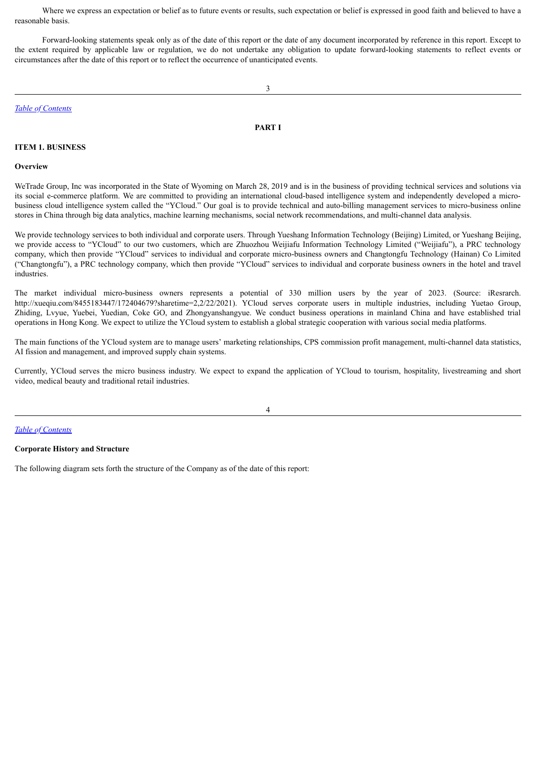Where we express an expectation or belief as to future events or results, such expectation or belief is expressed in good faith and believed to have a reasonable basis.

Forward-looking statements speak only as of the date of this report or the date of any document incorporated by reference in this report. Except to the extent required by applicable law or regulation, we do not undertake any obligation to update forward-looking statements to reflect events or circumstances after the date of this report or to reflect the occurrence of unanticipated events.

*Table of [Contents](#page-1-1)*

# <span id="page-2-0"></span>**PART I**

3

#### <span id="page-2-1"></span>**ITEM 1. BUSINESS**

#### **Overview**

WeTrade Group, Inc was incorporated in the State of Wyoming on March 28, 2019 and is in the business of providing technical services and solutions via its social e-commerce platform. We are committed to providing an international cloud-based intelligence system and independently developed a microbusiness cloud intelligence system called the "YCloud." Our goal is to provide technical and auto-billing management services to micro-business online stores in China through big data analytics, machine learning mechanisms, social network recommendations, and multi-channel data analysis.

We provide technology services to both individual and corporate users. Through Yueshang Information Technology (Beijing) Limited, or Yueshang Beijing, we provide access to "YCloud" to our two customers, which are Zhuozhou Weijiafu Information Technology Limited ("Weijiafu"), a PRC technology company, which then provide "YCloud" services to individual and corporate micro-business owners and Changtongfu Technology (Hainan) Co Limited ("Changtongfu"), a PRC technology company, which then provide "YCloud" services to individual and corporate business owners in the hotel and travel industries.

The market individual micro-business owners represents a potential of 330 million users by the year of 2023. (Source: iResrarch. http://xueqiu.com/8455183447/172404679?sharetime=2,2/22/2021). YCloud serves corporate users in multiple industries, including Yuetao Group, Zhiding, Lvyue, Yuebei, Yuedian, Coke GO, and Zhongyanshangyue. We conduct business operations in mainland China and have established trial operations in Hong Kong. We expect to utilize the YCloud system to establish a global strategic cooperation with various social media platforms.

The main functions of the YCloud system are to manage users' marketing relationships, CPS commission profit management, multi-channel data statistics, AI fission and management, and improved supply chain systems.

Currently, YCloud serves the micro business industry. We expect to expand the application of YCloud to tourism, hospitality, livestreaming and short video, medical beauty and traditional retail industries.

4

*Table of [Contents](#page-1-1)*

#### **Corporate History and Structure**

The following diagram sets forth the structure of the Company as of the date of this report: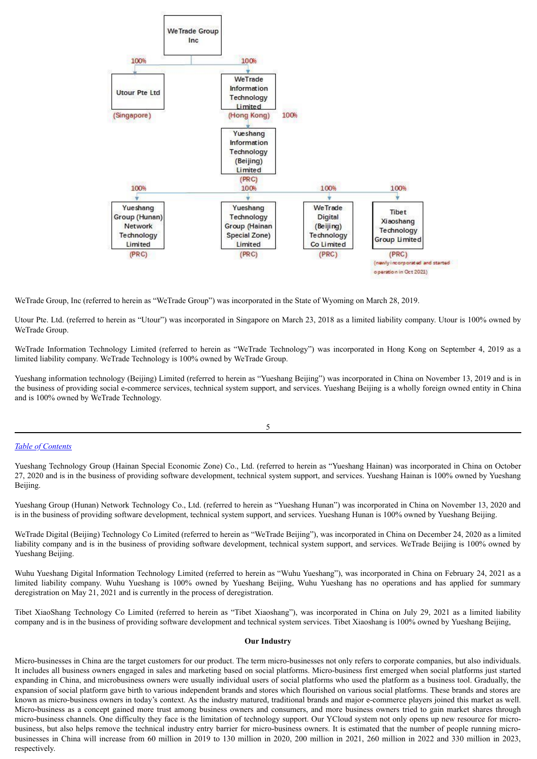

WeTrade Group, Inc (referred to herein as "WeTrade Group") was incorporated in the State of Wyoming on March 28, 2019.

Utour Pte. Ltd. (referred to herein as "Utour") was incorporated in Singapore on March 23, 2018 as a limited liability company. Utour is 100% owned by WeTrade Group.

WeTrade Information Technology Limited (referred to herein as "WeTrade Technology") was incorporated in Hong Kong on September 4, 2019 as a limited liability company. WeTrade Technology is 100% owned by WeTrade Group.

Yueshang information technology (Beijing) Limited (referred to herein as "Yueshang Beijing") was incorporated in China on November 13, 2019 and is in the business of providing social e-commerce services, technical system support, and services. Yueshang Beijing is a wholly foreign owned entity in China and is 100% owned by WeTrade Technology.

5

#### *Table of [Contents](#page-1-1)*

Yueshang Technology Group (Hainan Special Economic Zone) Co., Ltd. (referred to herein as "Yueshang Hainan) was incorporated in China on October 27, 2020 and is in the business of providing software development, technical system support, and services. Yueshang Hainan is 100% owned by Yueshang Beijing.

Yueshang Group (Hunan) Network Technology Co., Ltd. (referred to herein as "Yueshang Hunan") was incorporated in China on November 13, 2020 and is in the business of providing software development, technical system support, and services. Yueshang Hunan is 100% owned by Yueshang Beijing.

WeTrade Digital (Beijing) Technology Co Limited (referred to herein as "WeTrade Beijing"), was incorporated in China on December 24, 2020 as a limited liability company and is in the business of providing software development, technical system support, and services. WeTrade Beijing is 100% owned by Yueshang Beijing.

Wuhu Yueshang Digital Information Technology Limited (referred to herein as "Wuhu Yueshang"), was incorporated in China on February 24, 2021 as a limited liability company. Wuhu Yueshang is 100% owned by Yueshang Beijing, Wuhu Yueshang has no operations and has applied for summary deregistration on May 21, 2021 and is currently in the process of deregistration.

Tibet XiaoShang Technology Co Limited (referred to herein as "Tibet Xiaoshang"), was incorporated in China on July 29, 2021 as a limited liability company and is in the business of providing software development and technical system services. Tibet Xiaoshang is 100% owned by Yueshang Beijing,

#### **Our Industry**

Micro-businesses in China are the target customers for our product. The term micro-businesses not only refers to corporate companies, but also individuals. It includes all business owners engaged in sales and marketing based on social platforms. Micro-business first emerged when social platforms just started expanding in China, and microbusiness owners were usually individual users of social platforms who used the platform as a business tool. Gradually, the expansion of social platform gave birth to various independent brands and stores which flourished on various social platforms. These brands and stores are known as micro-business owners in today's context. As the industry matured, traditional brands and major e-commerce players joined this market as well. Micro-business as a concept gained more trust among business owners and consumers, and more business owners tried to gain market shares through micro-business channels. One difficulty they face is the limitation of technology support. Our YCloud system not only opens up new resource for microbusiness, but also helps remove the technical industry entry barrier for micro-business owners. It is estimated that the number of people running microbusinesses in China will increase from 60 million in 2019 to 130 million in 2020, 200 million in 2021, 260 million in 2022 and 330 million in 2023, respectively.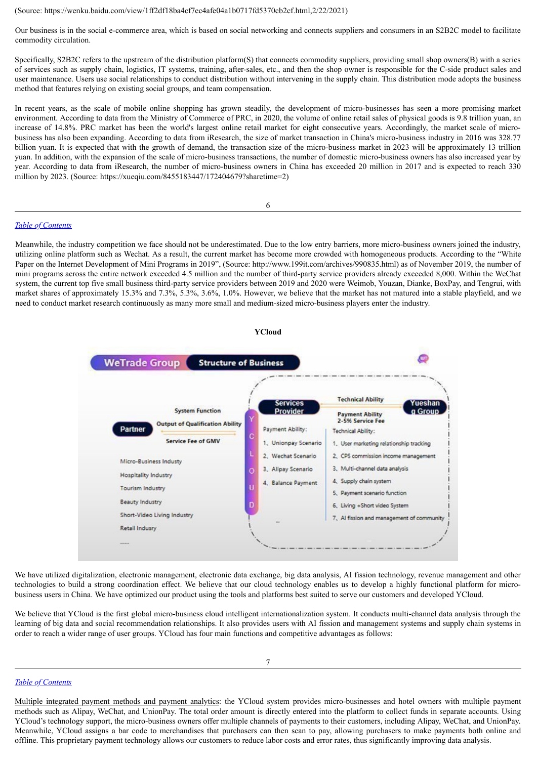(Source: https://wenku.baidu.com/view/1ff2df18ba4cf7ec4afe04a1b0717fd5370cb2cf.html,2/22/2021)

Our business is in the social e-commerce area, which is based on social networking and connects suppliers and consumers in an S2B2C model to facilitate commodity circulation.

Specifically, S2B2C refers to the upstream of the distribution platform(S) that connects commodity suppliers, providing small shop owners(B) with a series of services such as supply chain, logistics, IT systems, training, after-sales, etc., and then the shop owner is responsible for the C-side product sales and user maintenance. Users use social relationships to conduct distribution without intervening in the supply chain. This distribution mode adopts the business method that features relying on existing social groups, and team compensation.

In recent years, as the scale of mobile online shopping has grown steadily, the development of micro-businesses has seen a more promising market environment. According to data from the Ministry of Commerce of PRC, in 2020, the volume of online retail sales of physical goods is 9.8 trillion yuan, an increase of 14.8%. PRC market has been the world's largest online retail market for eight consecutive years. Accordingly, the market scale of microbusiness has also been expanding. According to data from iResearch, the size of market transaction in China's micro-business industry in 2016 was 328.77 billion yuan. It is expected that with the growth of demand, the transaction size of the micro-business market in 2023 will be approximately 13 trillion yuan. In addition, with the expansion of the scale of micro-business transactions, the number of domestic micro-business owners has also increased year by year. According to data from iResearch, the number of micro-business owners in China has exceeded 20 million in 2017 and is expected to reach 330 million by 2023. (Source: https://xueqiu.com/8455183447/172404679?sharetime=2)

6

#### *Table of [Contents](#page-1-1)*

Meanwhile, the industry competition we face should not be underestimated. Due to the low entry barriers, more micro-business owners joined the industry, utilizing online platform such as Wechat. As a result, the current market has become more crowded with homogeneous products. According to the "White Paper on the Internet Development of Mini Programs in 2019", (Source: http://www.199it.com/archives/990835.html) as of November 2019, the number of mini programs across the entire network exceeded 4.5 million and the number of third-party service providers already exceeded 8,000. Within the WeChat system, the current top five small business third-party service providers between 2019 and 2020 were Weimob, Youzan, Dianke, BoxPay, and Tengrui, with market shares of approximately 15.3% and 7.3%, 5.3%, 3.6%, 1.0%. However, we believe that the market has not matured into a stable playfield, and we need to conduct market research continuously as many more small and medium-sized micro-business players enter the industry.



We have utilized digitalization, electronic management, electronic data exchange, big data analysis, AI fission technology, revenue management and other technologies to build a strong coordination effect. We believe that our cloud technology enables us to develop a highly functional platform for microbusiness users in China. We have optimized our product using the tools and platforms best suited to serve our customers and developed YCloud.

We believe that YCloud is the first global micro-business cloud intelligent internationalization system. It conducts multi-channel data analysis through the learning of big data and social recommendation relationships. It also provides users with AI fission and management systems and supply chain systems in order to reach a wider range of user groups. YCloud has four main functions and competitive advantages as follows:

#### *Table of [Contents](#page-1-1)*

Multiple integrated payment methods and payment analytics: the YCloud system provides micro-businesses and hotel owners with multiple payment methods such as Alipay, WeChat, and UnionPay. The total order amount is directly entered into the platform to collect funds in separate accounts. Using YCloud's technology support, the micro-business owners offer multiple channels of payments to their customers, including Alipay, WeChat, and UnionPay. Meanwhile, YCloud assigns a bar code to merchandises that purchasers can then scan to pay, allowing purchasers to make payments both online and offline. This proprietary payment technology allows our customers to reduce labor costs and error rates, thus significantly improving data analysis.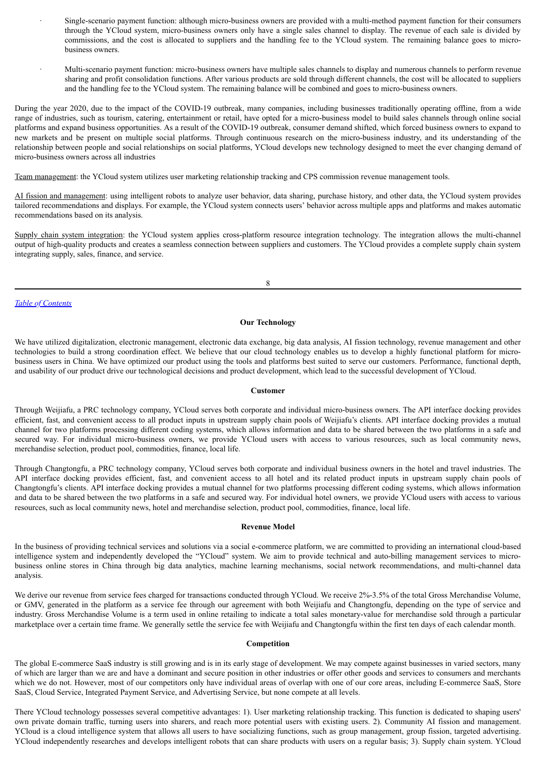- · Single-scenario payment function: although micro-business owners are provided with a multi-method payment function for their consumers through the YCloud system, micro-business owners only have a single sales channel to display. The revenue of each sale is divided by commissions, and the cost is allocated to suppliers and the handling fee to the YCloud system. The remaining balance goes to microbusiness owners.
- · Multi-scenario payment function: micro-business owners have multiple sales channels to display and numerous channels to perform revenue sharing and profit consolidation functions. After various products are sold through different channels, the cost will be allocated to suppliers and the handling fee to the YCloud system. The remaining balance will be combined and goes to micro-business owners.

During the year 2020, due to the impact of the COVID-19 outbreak, many companies, including businesses traditionally operating offline, from a wide range of industries, such as tourism, catering, entertainment or retail, have opted for a micro-business model to build sales channels through online social platforms and expand business opportunities. As a result of the COVID-19 outbreak, consumer demand shifted, which forced business owners to expand to new markets and be present on multiple social platforms. Through continuous research on the micro-business industry, and its understanding of the relationship between people and social relationships on social platforms, YCloud develops new technology designed to meet the ever changing demand of micro-business owners across all industries

Team management: the YCloud system utilizes user marketing relationship tracking and CPS commission revenue management tools.

AI fission and management: using intelligent robots to analyze user behavior, data sharing, purchase history, and other data, the YCloud system provides tailored recommendations and displays. For example, the YCloud system connects users' behavior across multiple apps and platforms and makes automatic recommendations based on its analysis.

Supply chain system integration: the YCloud system applies cross-platform resource integration technology. The integration allows the multi-channel output of high-quality products and creates a seamless connection between suppliers and customers. The YCloud provides a complete supply chain system integrating supply, sales, finance, and service.

8

*Table of [Contents](#page-1-1)*

#### **Our Technology**

We have utilized digitalization, electronic management, electronic data exchange, big data analysis, AI fission technology, revenue management and other technologies to build a strong coordination effect. We believe that our cloud technology enables us to develop a highly functional platform for microbusiness users in China. We have optimized our product using the tools and platforms best suited to serve our customers. Performance, functional depth, and usability of our product drive our technological decisions and product development, which lead to the successful development of YCloud.

#### **Customer**

Through Weijiafu, a PRC technology company, YCloud serves both corporate and individual micro-business owners. The API interface docking provides efficient, fast, and convenient access to all product inputs in upstream supply chain pools of Weijiafu's clients. API interface docking provides a mutual channel for two platforms processing different coding systems, which allows information and data to be shared between the two platforms in a safe and secured way. For individual micro-business owners, we provide YCloud users with access to various resources, such as local community news, merchandise selection, product pool, commodities, finance, local life.

Through Changtongfu, a PRC technology company, YCloud serves both corporate and individual business owners in the hotel and travel industries. The API interface docking provides efficient, fast, and convenient access to all hotel and its related product inputs in upstream supply chain pools of Changtongfu's clients. API interface docking provides a mutual channel for two platforms processing different coding systems, which allows information and data to be shared between the two platforms in a safe and secured way. For individual hotel owners, we provide YCloud users with access to various resources, such as local community news, hotel and merchandise selection, product pool, commodities, finance, local life.

#### **Revenue Model**

In the business of providing technical services and solutions via a social e-commerce platform, we are committed to providing an international cloud-based intelligence system and independently developed the "YCloud" system. We aim to provide technical and auto-billing management services to microbusiness online stores in China through big data analytics, machine learning mechanisms, social network recommendations, and multi-channel data analysis.

We derive our revenue from service fees charged for transactions conducted through YCloud. We receive 2%-3.5% of the total Gross Merchandise Volume, or GMV, generated in the platform as a service fee through our agreement with both Weijiafu and Changtongfu, depending on the type of service and industry. Gross Merchandise Volume is a term used in online retailing to indicate a total sales monetary-value for merchandise sold through a particular marketplace over a certain time frame. We generally settle the service fee with Weijiafu and Changtongfu within the first ten days of each calendar month.

#### **Competition**

The global E-commerce SaaS industry is still growing and is in its early stage of development. We may compete against businesses in varied sectors, many of which are larger than we are and have a dominant and secure position in other industries or offer other goods and services to consumers and merchants which we do not. However, most of our competitors only have individual areas of overlap with one of our core areas, including E-commerce SaaS, Store SaaS, Cloud Service, Integrated Payment Service, and Advertising Service, but none compete at all levels.

There YCloud technology possesses several competitive advantages: 1). User marketing relationship tracking. This function is dedicated to shaping users' own private domain traffic, turning users into sharers, and reach more potential users with existing users. 2). Community AI fission and management. YCloud is a cloud intelligence system that allows all users to have socializing functions, such as group management, group fission, targeted advertising. YCloud independently researches and develops intelligent robots that can share products with users on a regular basis; 3). Supply chain system. YCloud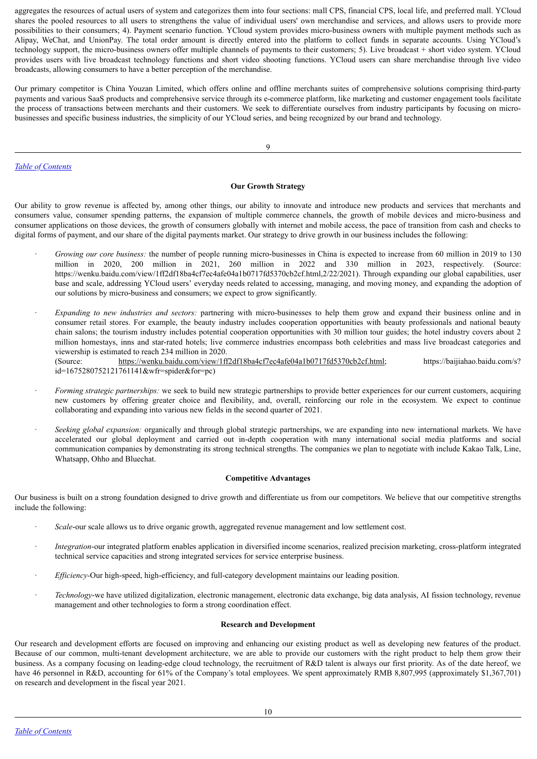aggregates the resources of actual users of system and categorizes them into four sections: mall CPS, financial CPS, local life, and preferred mall. YCloud shares the pooled resources to all users to strengthens the value of individual users' own merchandise and services, and allows users to provide more possibilities to their consumers; 4). Payment scenario function. YCloud system provides micro-business owners with multiple payment methods such as Alipay, WeChat, and UnionPay. The total order amount is directly entered into the platform to collect funds in separate accounts. Using YCloud's technology support, the micro-business owners offer multiple channels of payments to their customers; 5). Live broadcast + short video system. YCloud provides users with live broadcast technology functions and short video shooting functions. YCloud users can share merchandise through live video broadcasts, allowing consumers to have a better perception of the merchandise.

Our primary competitor is China Youzan Limited, which offers online and offline merchants suites of comprehensive solutions comprising third-party payments and various SaaS products and comprehensive service through its e-commerce platform, like marketing and customer engagement tools facilitate the process of transactions between merchants and their customers. We seek to differentiate ourselves from industry participants by focusing on microbusinesses and specific business industries, the simplicity of our YCloud series, and being recognized by our brand and technology.

 $\overline{Q}$ 

#### *Table of [Contents](#page-1-1)*

#### **Our Growth Strategy**

Our ability to grow revenue is affected by, among other things, our ability to innovate and introduce new products and services that merchants and consumers value, consumer spending patterns, the expansion of multiple commerce channels, the growth of mobile devices and micro-business and consumer applications on those devices, the growth of consumers globally with internet and mobile access, the pace of transition from cash and checks to digital forms of payment, and our share of the digital payments market. Our strategy to drive growth in our business includes the following:

- · *Growing our core business:* the number of people running micro-businesses in China is expected to increase from 60 million in 2019 to 130 million in 2020, 200 million in 2021, 260 million in 2022 and 330 million in 2023, respectively. (Source: https://wenku.baidu.com/view/1ff2df18ba4cf7ec4afe04a1b0717fd5370cb2cf.html,2/22/2021). Through expanding our global capabilities, user base and scale, addressing YCloud users' everyday needs related to accessing, managing, and moving money, and expanding the adoption of our solutions by micro-business and consumers; we expect to grow significantly.
- · *Expanding to new industries and sectors:* partnering with micro-businesses to help them grow and expand their business online and in consumer retail stores. For example, the beauty industry includes cooperation opportunities with beauty professionals and national beauty chain salons; the tourism industry includes potential cooperation opportunities with 30 million tour guides; the hotel industry covers about 2 million homestays, inns and star-rated hotels; live commerce industries encompass both celebrities and mass live broadcast categories and viewership is estimated to reach 234 million in 2020.

(Source: https://wenku.baidu.com/view/1ff2df18ba4cf7ec4afe04a1b0717fd5370cb2cf.html; https://baijiahao.baidu.com/s? id=1675280752121761141&wfr=spider&for=pc)

- · *Forming strategic partnerships:* we seek to build new strategic partnerships to provide better experiences for our current customers, acquiring new customers by offering greater choice and flexibility, and, overall, reinforcing our role in the ecosystem. We expect to continue collaborating and expanding into various new fields in the second quarter of 2021.
- Seeking global expansion: organically and through global strategic partnerships, we are expanding into new international markets. We have accelerated our global deployment and carried out in-depth cooperation with many international social media platforms and social communication companies by demonstrating its strong technical strengths. The companies we plan to negotiate with include Kakao Talk, Line, Whatsapp, Ohho and Bluechat.

# **Competitive Advantages**

Our business is built on a strong foundation designed to drive growth and differentiate us from our competitors. We believe that our competitive strengths include the following:

- · *Scale*-our scale allows us to drive organic growth, aggregated revenue management and low settlement cost.
- · *Integration*-our integrated platform enables application in diversified income scenarios, realized precision marketing, cross-platform integrated technical service capacities and strong integrated services for service enterprise business.
- · *Ef iciency-*Our high-speed, high-efficiency, and full-category development maintains our leading position.
- · *Technology*-we have utilized digitalization, electronic management, electronic data exchange, big data analysis, AI fission technology, revenue management and other technologies to form a strong coordination effect.

### **Research and Development**

Our research and development efforts are focused on improving and enhancing our existing product as well as developing new features of the product. Because of our common, multi-tenant development architecture, we are able to provide our customers with the right product to help them grow their business. As a company focusing on leading-edge cloud technology, the recruitment of R&D talent is always our first priority. As of the date hereof, we have 46 personnel in R&D, accounting for 61% of the Company's total employees. We spent approximately RMB 8,807,995 (approximately \$1,367,701) on research and development in the fiscal year 2021.

*Table of [Contents](#page-1-1)*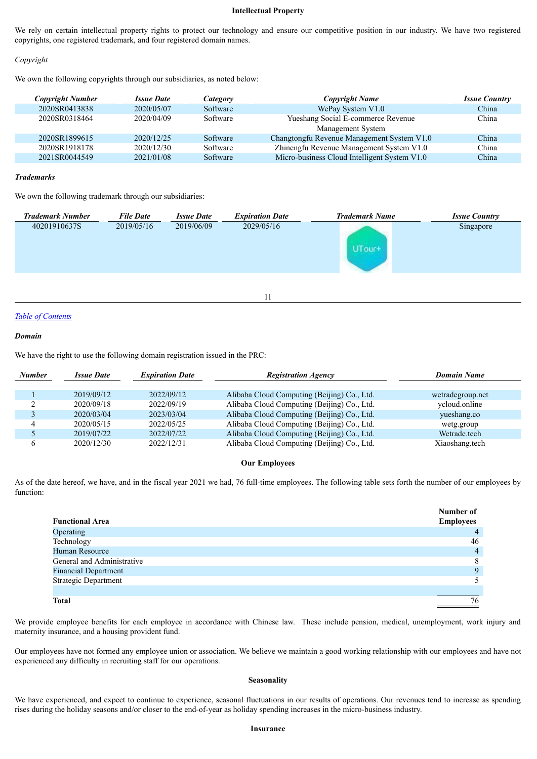# **Intellectual Property**

We rely on certain intellectual property rights to protect our technology and ensure our competitive position in our industry. We have two registered copyrights, one registered trademark, and four registered domain names.

# *Copyright*

We own the following copyrights through our subsidiaries, as noted below:

| Copyright Number | <b>Issue Date</b> | Category | Copyright Name                                          | <b>Issue Country</b> |
|------------------|-------------------|----------|---------------------------------------------------------|----------------------|
| 2020SR0413838    | 2020/05/07        | Software | WePay System V1.0                                       | China                |
| 2020SR0318464    | 2020/04/09        | Software | Yueshang Social E-commerce Revenue<br>Management System | China                |
| 2020SR1899615    | 2020/12/25        | Software | Changtongfu Revenue Management System V1.0              | China                |
| 2020SR1918178    | 2020/12/30        | Software | Zhinengfu Revenue Management System V1.0                | China                |
| 2021SR0044549    | 2021/01/08        | Software | Micro-business Cloud Intelligent System V1.0            | China                |

#### *Trademarks*

We own the following trademark through our subsidiaries:

| <b>Trademark Number</b> | <b>File Date</b> | <b>Issue Date</b> | <b>Expiration Date</b> | <b>Trademark Name</b> | <b>Issue Country</b> |
|-------------------------|------------------|-------------------|------------------------|-----------------------|----------------------|
| 40201910637S            | 2019/05/16       | 2019/06/09        | 2029/05/16             | UTour+                | Singapore            |
|                         |                  |                   | .                      |                       |                      |

11

### *Table of [Contents](#page-1-1)*

#### *Domain*

We have the right to use the following domain registration issued in the PRC:

| <b>Number</b> | <i><b>Issue Date</b></i> | <b>Expiration Date</b> | <b>Registration Agency</b>                  | <b>Domain Name</b> |
|---------------|--------------------------|------------------------|---------------------------------------------|--------------------|
|               |                          |                        |                                             |                    |
|               | 2019/09/12               | 2022/09/12             | Alibaba Cloud Computing (Beijing) Co., Ltd. | wetradegroup.net   |
| $\sim$        | 2020/09/18               | 2022/09/19             | Alibaba Cloud Computing (Beijing) Co., Ltd. | ycloud.online      |
|               | 2020/03/04               | 2023/03/04             | Alibaba Cloud Computing (Beijing) Co., Ltd. | yueshang.co        |
| 4             | 2020/05/15               | 2022/05/25             | Alibaba Cloud Computing (Beijing) Co., Ltd. | wetg.group         |
|               | 2019/07/22               | 2022/07/22             | Alibaba Cloud Computing (Beijing) Co., Ltd. | Wetrade.tech       |
| 6             | 2020/12/30               | 2022/12/31             | Alibaba Cloud Computing (Beijing) Co., Ltd. | Xiaoshang.tech     |

#### **Our Employees**

As of the date hereof, we have, and in the fiscal year 2021 we had, 76 full-time employees. The following table sets forth the number of our employees by function<sup>.</sup>

|                             | Number of        |
|-----------------------------|------------------|
| <b>Functional Area</b>      | <b>Employees</b> |
| Operating                   |                  |
| Technology                  | 46               |
| Human Resource              | 4                |
| General and Administrative  |                  |
| <b>Financial Department</b> |                  |
| <b>Strategic Department</b> |                  |
|                             |                  |
| Total                       | 76               |

We provide employee benefits for each employee in accordance with Chinese law. These include pension, medical, unemployment, work injury and maternity insurance, and a housing provident fund.

Our employees have not formed any employee union or association. We believe we maintain a good working relationship with our employees and have not experienced any difficulty in recruiting staff for our operations.

# **Seasonality**

We have experienced, and expect to continue to experience, seasonal fluctuations in our results of operations. Our revenues tend to increase as spending rises during the holiday seasons and/or closer to the end-of-year as holiday spending increases in the micro-business industry.

#### **Insurance**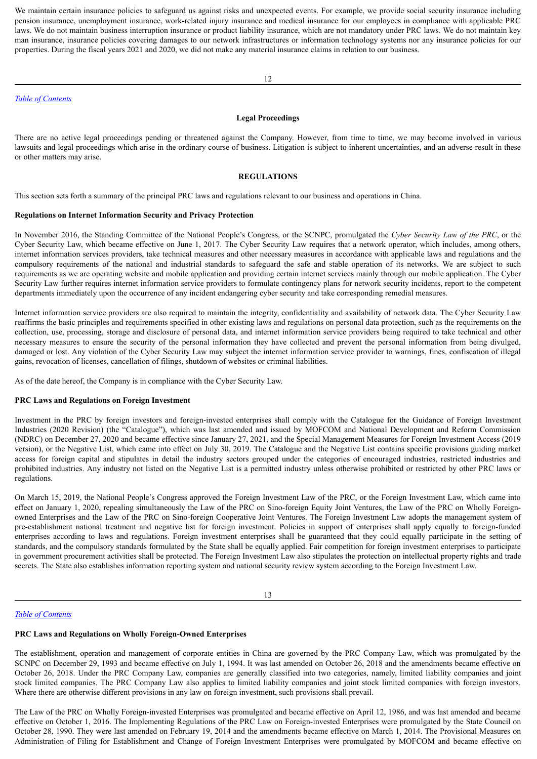We maintain certain insurance policies to safeguard us against risks and unexpected events. For example, we provide social security insurance including pension insurance, unemployment insurance, work-related injury insurance and medical insurance for our employees in compliance with applicable PRC laws. We do not maintain business interruption insurance or product liability insurance, which are not mandatory under PRC laws. We do not maintain key man insurance, insurance policies covering damages to our network infrastructures or information technology systems nor any insurance policies for our properties. During the fiscal years 2021 and 2020, we did not make any material insurance claims in relation to our business.

#### *Table of [Contents](#page-1-1)*

#### **Legal Proceedings**

There are no active legal proceedings pending or threatened against the Company. However, from time to time, we may become involved in various lawsuits and legal proceedings which arise in the ordinary course of business. Litigation is subject to inherent uncertainties, and an adverse result in these or other matters may arise.

#### **REGULATIONS**

This section sets forth a summary of the principal PRC laws and regulations relevant to our business and operations in China.

#### **Regulations on Internet Information Security and Privacy Protection**

In November 2016, the Standing Committee of the National People's Congress, or the SCNPC, promulgated the *Cyber Security Law of the PRC*, or the Cyber Security Law, which became effective on June 1, 2017. The Cyber Security Law requires that a network operator, which includes, among others, internet information services providers, take technical measures and other necessary measures in accordance with applicable laws and regulations and the compulsory requirements of the national and industrial standards to safeguard the safe and stable operation of its networks. We are subject to such requirements as we are operating website and mobile application and providing certain internet services mainly through our mobile application. The Cyber Security Law further requires internet information service providers to formulate contingency plans for network security incidents, report to the competent departments immediately upon the occurrence of any incident endangering cyber security and take corresponding remedial measures.

Internet information service providers are also required to maintain the integrity, confidentiality and availability of network data. The Cyber Security Law reaffirms the basic principles and requirements specified in other existing laws and regulations on personal data protection, such as the requirements on the collection, use, processing, storage and disclosure of personal data, and internet information service providers being required to take technical and other necessary measures to ensure the security of the personal information they have collected and prevent the personal information from being divulged, damaged or lost. Any violation of the Cyber Security Law may subject the internet information service provider to warnings, fines, confiscation of illegal gains, revocation of licenses, cancellation of filings, shutdown of websites or criminal liabilities.

As of the date hereof, the Company is in compliance with the Cyber Security Law.

#### **PRC Laws and Regulations on Foreign Investment**

Investment in the PRC by foreign investors and foreign-invested enterprises shall comply with the Catalogue for the Guidance of Foreign Investment Industries (2020 Revision) (the "Catalogue"), which was last amended and issued by MOFCOM and National Development and Reform Commission (NDRC) on December 27, 2020 and became effective since January 27, 2021, and the Special Management Measures for Foreign Investment Access (2019 version), or the Negative List, which came into effect on July 30, 2019. The Catalogue and the Negative List contains specific provisions guiding market access for foreign capital and stipulates in detail the industry sectors grouped under the categories of encouraged industries, restricted industries and prohibited industries. Any industry not listed on the Negative List is a permitted industry unless otherwise prohibited or restricted by other PRC laws or regulations.

On March 15, 2019, the National People's Congress approved the Foreign Investment Law of the PRC, or the Foreign Investment Law, which came into effect on January 1, 2020, repealing simultaneously the Law of the PRC on Sino-foreign Equity Joint Ventures, the Law of the PRC on Wholly Foreignowned Enterprises and the Law of the PRC on Sino-foreign Cooperative Joint Ventures. The Foreign Investment Law adopts the management system of pre-establishment national treatment and negative list for foreign investment. Policies in support of enterprises shall apply equally to foreign-funded enterprises according to laws and regulations. Foreign investment enterprises shall be guaranteed that they could equally participate in the setting of standards, and the compulsory standards formulated by the State shall be equally applied. Fair competition for foreign investment enterprises to participate in government procurement activities shall be protected. The Foreign Investment Law also stipulates the protection on intellectual property rights and trade secrets. The State also establishes information reporting system and national security review system according to the Foreign Investment Law.

13

#### *Table of [Contents](#page-1-1)*

#### **PRC Laws and Regulations on Wholly Foreign-Owned Enterprises**

The establishment, operation and management of corporate entities in China are governed by the PRC Company Law, which was promulgated by the SCNPC on December 29, 1993 and became effective on July 1, 1994. It was last amended on October 26, 2018 and the amendments became effective on October 26, 2018. Under the PRC Company Law, companies are generally classified into two categories, namely, limited liability companies and joint stock limited companies. The PRC Company Law also applies to limited liability companies and joint stock limited companies with foreign investors. Where there are otherwise different provisions in any law on foreign investment, such provisions shall prevail.

The Law of the PRC on Wholly Foreign-invested Enterprises was promulgated and became effective on April 12, 1986, and was last amended and became effective on October 1, 2016. The Implementing Regulations of the PRC Law on Foreign-invested Enterprises were promulgated by the State Council on October 28, 1990. They were last amended on February 19, 2014 and the amendments became effective on March 1, 2014. The Provisional Measures on Administration of Filing for Establishment and Change of Foreign Investment Enterprises were promulgated by MOFCOM and became effective on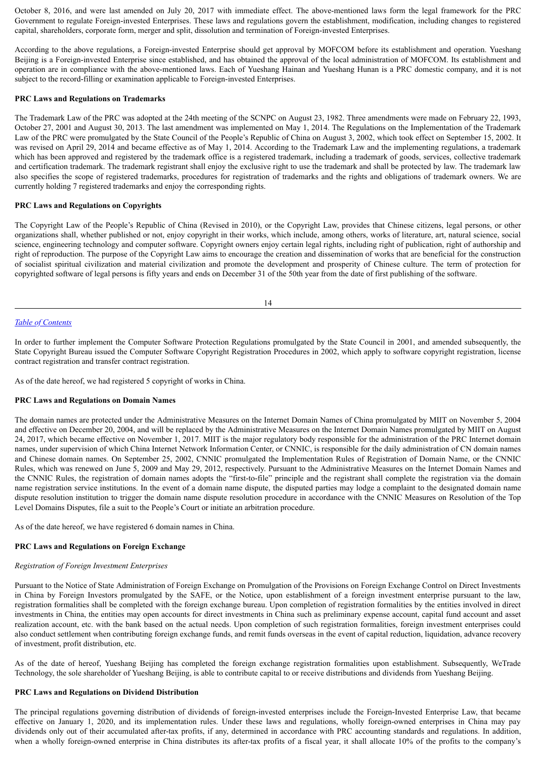October 8, 2016, and were last amended on July 20, 2017 with immediate effect. The above-mentioned laws form the legal framework for the PRC Government to regulate Foreign-invested Enterprises. These laws and regulations govern the establishment, modification, including changes to registered capital, shareholders, corporate form, merger and split, dissolution and termination of Foreign-invested Enterprises.

According to the above regulations, a Foreign-invested Enterprise should get approval by MOFCOM before its establishment and operation. Yueshang Beijing is a Foreign-invested Enterprise since established, and has obtained the approval of the local administration of MOFCOM. Its establishment and operation are in compliance with the above-mentioned laws. Each of Yueshang Hainan and Yueshang Hunan is a PRC domestic company, and it is not subject to the record-filling or examination applicable to Foreign-invested Enterprises.

## **PRC Laws and Regulations on Trademarks**

The Trademark Law of the PRC was adopted at the 24th meeting of the SCNPC on August 23, 1982. Three amendments were made on February 22, 1993, October 27, 2001 and August 30, 2013. The last amendment was implemented on May 1, 2014. The Regulations on the Implementation of the Trademark Law of the PRC were promulgated by the State Council of the People's Republic of China on August 3, 2002, which took effect on September 15, 2002. It was revised on April 29, 2014 and became effective as of May 1, 2014. According to the Trademark Law and the implementing regulations, a trademark which has been approved and registered by the trademark office is a registered trademark, including a trademark of goods, services, collective trademark and certification trademark. The trademark registrant shall enjoy the exclusive right to use the trademark and shall be protected by law. The trademark law also specifies the scope of registered trademarks, procedures for registration of trademarks and the rights and obligations of trademark owners. We are currently holding 7 registered trademarks and enjoy the corresponding rights.

#### **PRC Laws and Regulations on Copyrights**

The Copyright Law of the People's Republic of China (Revised in 2010), or the Copyright Law, provides that Chinese citizens, legal persons, or other organizations shall, whether published or not, enjoy copyright in their works, which include, among others, works of literature, art, natural science, social science, engineering technology and computer software. Copyright owners enjoy certain legal rights, including right of publication, right of authorship and right of reproduction. The purpose of the Copyright Law aims to encourage the creation and dissemination of works that are beneficial for the construction of socialist spiritual civilization and material civilization and promote the development and prosperity of Chinese culture. The term of protection for copyrighted software of legal persons is fifty years and ends on December 31 of the 50th year from the date of first publishing of the software.

#### *Table of [Contents](#page-1-1)*

In order to further implement the Computer Software Protection Regulations promulgated by the State Council in 2001, and amended subsequently, the State Copyright Bureau issued the Computer Software Copyright Registration Procedures in 2002, which apply to software copyright registration, license contract registration and transfer contract registration.

As of the date hereof, we had registered 5 copyright of works in China.

#### **PRC Laws and Regulations on Domain Names**

The domain names are protected under the Administrative Measures on the Internet Domain Names of China promulgated by MIIT on November 5, 2004 and effective on December 20, 2004, and will be replaced by the Administrative Measures on the Internet Domain Names promulgated by MIIT on August 24, 2017, which became effective on November 1, 2017. MIIT is the major regulatory body responsible for the administration of the PRC Internet domain names, under supervision of which China Internet Network Information Center, or CNNIC, is responsible for the daily administration of CN domain names and Chinese domain names. On September 25, 2002, CNNIC promulgated the Implementation Rules of Registration of Domain Name, or the CNNIC Rules, which was renewed on June 5, 2009 and May 29, 2012, respectively. Pursuant to the Administrative Measures on the Internet Domain Names and the CNNIC Rules, the registration of domain names adopts the "first-to-file" principle and the registrant shall complete the registration via the domain name registration service institutions. In the event of a domain name dispute, the disputed parties may lodge a complaint to the designated domain name dispute resolution institution to trigger the domain name dispute resolution procedure in accordance with the CNNIC Measures on Resolution of the Top Level Domains Disputes, file a suit to the People's Court or initiate an arbitration procedure.

As of the date hereof, we have registered 6 domain names in China.

# **PRC Laws and Regulations on Foreign Exchange**

#### *Registration of Foreign Investment Enterprises*

Pursuant to the Notice of State Administration of Foreign Exchange on Promulgation of the Provisions on Foreign Exchange Control on Direct Investments in China by Foreign Investors promulgated by the SAFE, or the Notice, upon establishment of a foreign investment enterprise pursuant to the law, registration formalities shall be completed with the foreign exchange bureau. Upon completion of registration formalities by the entities involved in direct investments in China, the entities may open accounts for direct investments in China such as preliminary expense account, capital fund account and asset realization account, etc. with the bank based on the actual needs. Upon completion of such registration formalities, foreign investment enterprises could also conduct settlement when contributing foreign exchange funds, and remit funds overseas in the event of capital reduction, liquidation, advance recovery of investment, profit distribution, etc.

As of the date of hereof, Yueshang Beijing has completed the foreign exchange registration formalities upon establishment. Subsequently, WeTrade Technology, the sole shareholder of Yueshang Beijing, is able to contribute capital to or receive distributions and dividends from Yueshang Beijing.

#### **PRC Laws and Regulations on Dividend Distribution**

The principal regulations governing distribution of dividends of foreign-invested enterprises include the Foreign-Invested Enterprise Law, that became effective on January 1, 2020, and its implementation rules. Under these laws and regulations, wholly foreign-owned enterprises in China may pay dividends only out of their accumulated after-tax profits, if any, determined in accordance with PRC accounting standards and regulations. In addition, when a wholly foreign-owned enterprise in China distributes its after-tax profits of a fiscal year, it shall allocate 10% of the profits to the company's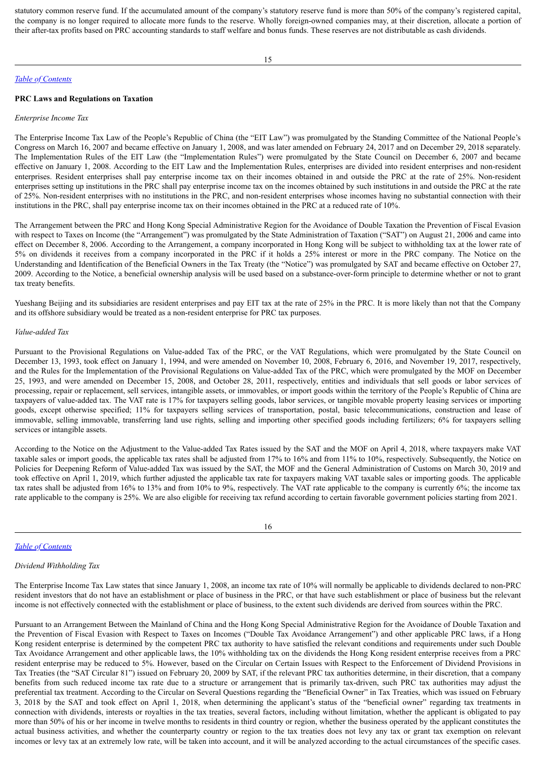statutory common reserve fund. If the accumulated amount of the company's statutory reserve fund is more than 50% of the company's registered capital, the company is no longer required to allocate more funds to the reserve. Wholly foreign-owned companies may, at their discretion, allocate a portion of their after-tax profits based on PRC accounting standards to staff welfare and bonus funds. These reserves are not distributable as cash dividends.

#### *Table of [Contents](#page-1-1)*

#### **PRC Laws and Regulations on Taxation**

#### *Enterprise Income Tax*

The Enterprise Income Tax Law of the People's Republic of China (the "EIT Law") was promulgated by the Standing Committee of the National People's Congress on March 16, 2007 and became effective on January 1, 2008, and was later amended on February 24, 2017 and on December 29, 2018 separately. The Implementation Rules of the EIT Law (the "Implementation Rules") were promulgated by the State Council on December 6, 2007 and became effective on January 1, 2008. According to the EIT Law and the Implementation Rules, enterprises are divided into resident enterprises and non-resident enterprises. Resident enterprises shall pay enterprise income tax on their incomes obtained in and outside the PRC at the rate of 25%. Non-resident enterprises setting up institutions in the PRC shall pay enterprise income tax on the incomes obtained by such institutions in and outside the PRC at the rate of 25%. Non-resident enterprises with no institutions in the PRC, and non-resident enterprises whose incomes having no substantial connection with their institutions in the PRC, shall pay enterprise income tax on their incomes obtained in the PRC at a reduced rate of 10%.

The Arrangement between the PRC and Hong Kong Special Administrative Region for the Avoidance of Double Taxation the Prevention of Fiscal Evasion with respect to Taxes on Income (the "Arrangement") was promulgated by the State Administration of Taxation ("SAT") on August 21, 2006 and came into effect on December 8, 2006. According to the Arrangement, a company incorporated in Hong Kong will be subject to withholding tax at the lower rate of 5% on dividends it receives from a company incorporated in the PRC if it holds a 25% interest or more in the PRC company. The Notice on the Understanding and Identification of the Beneficial Owners in the Tax Treaty (the "Notice") was promulgated by SAT and became effective on October 27, 2009. According to the Notice, a beneficial ownership analysis will be used based on a substance-over-form principle to determine whether or not to grant tax treaty benefits.

Yueshang Beijing and its subsidiaries are resident enterprises and pay EIT tax at the rate of 25% in the PRC. It is more likely than not that the Company and its offshore subsidiary would be treated as a non-resident enterprise for PRC tax purposes.

#### *Value-added Tax*

Pursuant to the Provisional Regulations on Value-added Tax of the PRC, or the VAT Regulations, which were promulgated by the State Council on December 13, 1993, took effect on January 1, 1994, and were amended on November 10, 2008, February 6, 2016, and November 19, 2017, respectively, and the Rules for the Implementation of the Provisional Regulations on Value-added Tax of the PRC, which were promulgated by the MOF on December 25, 1993, and were amended on December 15, 2008, and October 28, 2011, respectively, entities and individuals that sell goods or labor services of processing, repair or replacement, sell services, intangible assets, or immovables, or import goods within the territory of the People's Republic of China are taxpayers of value-added tax. The VAT rate is 17% for taxpayers selling goods, labor services, or tangible movable property leasing services or importing goods, except otherwise specified; 11% for taxpayers selling services of transportation, postal, basic telecommunications, construction and lease of immovable, selling immovable, transferring land use rights, selling and importing other specified goods including fertilizers; 6% for taxpayers selling services or intangible assets.

According to the Notice on the Adjustment to the Value-added Tax Rates issued by the SAT and the MOF on April 4, 2018, where taxpayers make VAT taxable sales or import goods, the applicable tax rates shall be adjusted from 17% to 16% and from 11% to 10%, respectively. Subsequently, the Notice on Policies for Deepening Reform of Value-added Tax was issued by the SAT, the MOF and the General Administration of Customs on March 30, 2019 and took effective on April 1, 2019, which further adjusted the applicable tax rate for taxpayers making VAT taxable sales or importing goods. The applicable tax rates shall be adjusted from 16% to 13% and from 10% to 9%, respectively. The VAT rate applicable to the company is currently 6%; the income tax rate applicable to the company is 25%. We are also eligible for receiving tax refund according to certain favorable government policies starting from 2021.

16

# *Table of [Contents](#page-1-1)*

# *Dividend Withholding Tax*

The Enterprise Income Tax Law states that since January 1, 2008, an income tax rate of 10% will normally be applicable to dividends declared to non-PRC resident investors that do not have an establishment or place of business in the PRC, or that have such establishment or place of business but the relevant income is not effectively connected with the establishment or place of business, to the extent such dividends are derived from sources within the PRC.

Pursuant to an Arrangement Between the Mainland of China and the Hong Kong Special Administrative Region for the Avoidance of Double Taxation and the Prevention of Fiscal Evasion with Respect to Taxes on Incomes ("Double Tax Avoidance Arrangement") and other applicable PRC laws, if a Hong Kong resident enterprise is determined by the competent PRC tax authority to have satisfied the relevant conditions and requirements under such Double Tax Avoidance Arrangement and other applicable laws, the 10% withholding tax on the dividends the Hong Kong resident enterprise receives from a PRC resident enterprise may be reduced to 5%. However, based on the Circular on Certain Issues with Respect to the Enforcement of Dividend Provisions in Tax Treaties (the "SAT Circular 81") issued on February 20, 2009 by SAT, if the relevant PRC tax authorities determine, in their discretion, that a company benefits from such reduced income tax rate due to a structure or arrangement that is primarily tax-driven, such PRC tax authorities may adjust the preferential tax treatment. According to the Circular on Several Questions regarding the "Beneficial Owner" in Tax Treaties, which was issued on February 3, 2018 by the SAT and took effect on April 1, 2018, when determining the applicant's status of the "beneficial owner" regarding tax treatments in connection with dividends, interests or royalties in the tax treaties, several factors, including without limitation, whether the applicant is obligated to pay more than 50% of his or her income in twelve months to residents in third country or region, whether the business operated by the applicant constitutes the actual business activities, and whether the counterparty country or region to the tax treaties does not levy any tax or grant tax exemption on relevant incomes or levy tax at an extremely low rate, will be taken into account, and it will be analyzed according to the actual circumstances of the specific cases.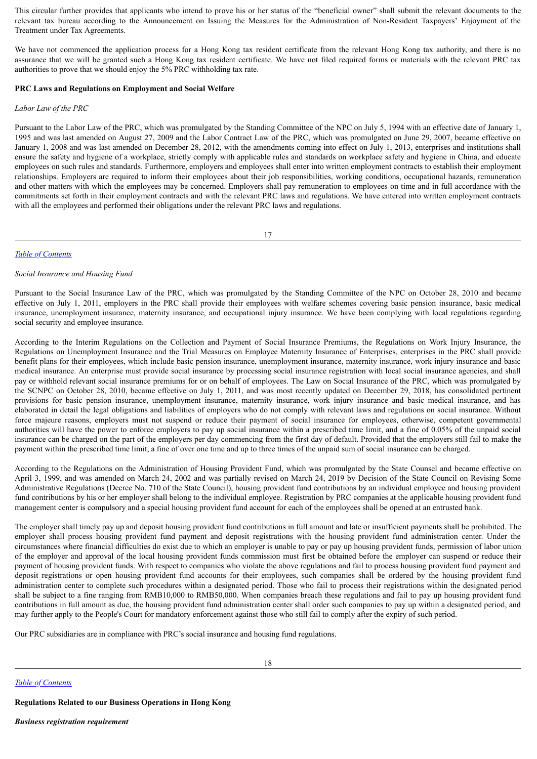This circular further provides that applicants who intend to prove his or her status of the "beneficial owner" shall submit the relevant documents to the relevant tax bureau according to the Announcement on Issuing the Measures for the Administration of Non-Resident Taxpayers' Enjoyment of the Treatment under Tax Agreements.

We have not commenced the application process for a Hong Kong tax resident certificate from the relevant Hong Kong tax authority, and there is no assurance that we will be granted such a Hong Kong tax resident certificate. We have not filed required forms or materials with the relevant PRC tax authorities to prove that we should enjoy the 5% PRC withholding tax rate.

#### **PRC Laws and Regulations on Employment and Social Welfare**

#### *Labor Law of the PRC*

Pursuant to the Labor Law of the PRC, which was promulgated by the Standing Committee of the NPC on July 5, 1994 with an effective date of January 1, 1995 and was last amended on August 27, 2009 and the Labor Contract Law of the PRC, which was promulgated on June 29, 2007, became effective on January 1, 2008 and was last amended on December 28, 2012, with the amendments coming into effect on July 1, 2013, enterprises and institutions shall ensure the safety and hygiene of a workplace, strictly comply with applicable rules and standards on workplace safety and hygiene in China, and educate employees on such rules and standards. Furthermore, employers and employees shall enter into written employment contracts to establish their employment relationships. Employers are required to inform their employees about their job responsibilities, working conditions, occupational hazards, remuneration and other matters with which the employees may be concerned. Employers shall pay remuneration to employees on time and in full accordance with the commitments set forth in their employment contracts and with the relevant PRC laws and regulations. We have entered into written employment contracts with all the employees and performed their obligations under the relevant PRC laws and regulations.

17

#### *Table of [Contents](#page-1-1)*

# *Social Insurance and Housing Fund*

Pursuant to the Social Insurance Law of the PRC, which was promulgated by the Standing Committee of the NPC on October 28, 2010 and became effective on July 1, 2011, employers in the PRC shall provide their employees with welfare schemes covering basic pension insurance, basic medical insurance, unemployment insurance, maternity insurance, and occupational injury insurance. We have been complying with local regulations regarding social security and employee insurance.

According to the Interim Regulations on the Collection and Payment of Social Insurance Premiums, the Regulations on Work Injury Insurance, the Regulations on Unemployment Insurance and the Trial Measures on Employee Maternity Insurance of Enterprises, enterprises in the PRC shall provide benefit plans for their employees, which include basic pension insurance, unemployment insurance, maternity insurance, work injury insurance and basic medical insurance. An enterprise must provide social insurance by processing social insurance registration with local social insurance agencies, and shall pay or withhold relevant social insurance premiums for or on behalf of employees. The Law on Social Insurance of the PRC, which was promulgated by the SCNPC on October 28, 2010, became effective on July 1, 2011, and was most recently updated on December 29, 2018, has consolidated pertinent provisions for basic pension insurance, unemployment insurance, maternity insurance, work injury insurance and basic medical insurance, and has elaborated in detail the legal obligations and liabilities of employers who do not comply with relevant laws and regulations on social insurance. Without force majeure reasons, employers must not suspend or reduce their payment of social insurance for employees, otherwise, competent governmental authorities will have the power to enforce employers to pay up social insurance within a prescribed time limit, and a fine of 0.05% of the unpaid social insurance can be charged on the part of the employers per day commencing from the first day of default. Provided that the employers still fail to make the payment within the prescribed time limit, a fine of over one time and up to three times of the unpaid sum of social insurance can be charged.

According to the Regulations on the Administration of Housing Provident Fund, which was promulgated by the State Counsel and became effective on April 3, 1999, and was amended on March 24, 2002 and was partially revised on March 24, 2019 by Decision of the State Council on Revising Some Administrative Regulations (Decree No. 710 of the State Council), housing provident fund contributions by an individual employee and housing provident fund contributions by his or her employer shall belong to the individual employee. Registration by PRC companies at the applicable housing provident fund management center is compulsory and a special housing provident fund account for each of the employees shall be opened at an entrusted bank.

The employer shall timely pay up and deposit housing provident fund contributions in full amount and late or insufficient payments shall be prohibited. The employer shall process housing provident fund payment and deposit registrations with the housing provident fund administration center. Under the circumstances where financial difficulties do exist due to which an employer is unable to pay or pay up housing provident funds, permission of labor union of the employer and approval of the local housing provident funds commission must first be obtained before the employer can suspend or reduce their payment of housing provident funds. With respect to companies who violate the above regulations and fail to process housing provident fund payment and deposit registrations or open housing provident fund accounts for their employees, such companies shall be ordered by the housing provident fund administration center to complete such procedures within a designated period. Those who fail to process their registrations within the designated period shall be subject to a fine ranging from RMB10,000 to RMB50,000. When companies breach these regulations and fail to pay up housing provident fund contributions in full amount as due, the housing provident fund administration center shall order such companies to pay up within a designated period, and may further apply to the People's Court for mandatory enforcement against those who still fail to comply after the expiry of such period.

Our PRC subsidiaries are in compliance with PRC's social insurance and housing fund regulations.

18

*Table of [Contents](#page-1-1)*

**Regulations Related to our Business Operations in Hong Kong**

*Business registration requirement*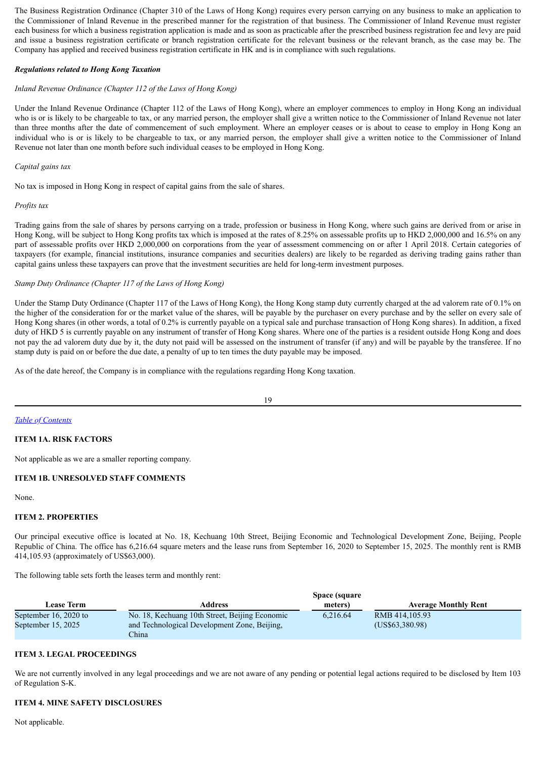The Business Registration Ordinance (Chapter 310 of the Laws of Hong Kong) requires every person carrying on any business to make an application to the Commissioner of Inland Revenue in the prescribed manner for the registration of that business. The Commissioner of Inland Revenue must register each business for which a business registration application is made and as soon as practicable after the prescribed business registration fee and levy are paid and issue a business registration certificate or branch registration certificate for the relevant business or the relevant branch, as the case may be. The Company has applied and received business registration certificate in HK and is in compliance with such regulations.

# *Regulations related to Hong Kong Taxation*

# *Inland Revenue Ordinance (Chapter 112 of the Laws of Hong Kong)*

Under the Inland Revenue Ordinance (Chapter 112 of the Laws of Hong Kong), where an employer commences to employ in Hong Kong an individual who is or is likely to be chargeable to tax, or any married person, the employer shall give a written notice to the Commissioner of Inland Revenue not later than three months after the date of commencement of such employment. Where an employer ceases or is about to cease to employ in Hong Kong an individual who is or is likely to be chargeable to tax, or any married person, the employer shall give a written notice to the Commissioner of Inland Revenue not later than one month before such individual ceases to be employed in Hong Kong.

# *Capital gains tax*

No tax is imposed in Hong Kong in respect of capital gains from the sale of shares.

# *Profits tax*

Trading gains from the sale of shares by persons carrying on a trade, profession or business in Hong Kong, where such gains are derived from or arise in Hong Kong, will be subject to Hong Kong profits tax which is imposed at the rates of 8.25% on assessable profits up to HKD 2,000,000 and 16.5% on any part of assessable profits over HKD 2,000,000 on corporations from the year of assessment commencing on or after 1 April 2018. Certain categories of taxpayers (for example, financial institutions, insurance companies and securities dealers) are likely to be regarded as deriving trading gains rather than capital gains unless these taxpayers can prove that the investment securities are held for long-term investment purposes.

# *Stamp Duty Ordinance (Chapter 117 of the Laws of Hong Kong)*

Under the Stamp Duty Ordinance (Chapter 117 of the Laws of Hong Kong), the Hong Kong stamp duty currently charged at the ad valorem rate of 0.1% on the higher of the consideration for or the market value of the shares, will be payable by the purchaser on every purchase and by the seller on every sale of Hong Kong shares (in other words, a total of 0.2% is currently payable on a typical sale and purchase transaction of Hong Kong shares). In addition, a fixed duty of HKD 5 is currently payable on any instrument of transfer of Hong Kong shares. Where one of the parties is a resident outside Hong Kong and does not pay the ad valorem duty due by it, the duty not paid will be assessed on the instrument of transfer (if any) and will be payable by the transferee. If no stamp duty is paid on or before the due date, a penalty of up to ten times the duty payable may be imposed.

As of the date hereof, the Company is in compliance with the regulations regarding Hong Kong taxation.

19

*Table of [Contents](#page-1-1)*

# <span id="page-12-0"></span>**ITEM 1A. RISK FACTORS**

Not applicable as we are a smaller reporting company.

# <span id="page-12-1"></span>**ITEM 1B. UNRESOLVED STAFF COMMENTS**

None.

# <span id="page-12-2"></span>**ITEM 2. PROPERTIES**

Our principal executive office is located at No. 18, Kechuang 10th Street, Beijing Economic and Technological Development Zone, Beijing, People Republic of China. The office has 6,216.64 square meters and the lease runs from September 16, 2020 to September 15, 2025. The monthly rent is RMB 414,105.93 (approximately of US\$63,000).

The following table sets forth the leases term and monthly rent:

|                       |                                                       | Space (square |                             |
|-----------------------|-------------------------------------------------------|---------------|-----------------------------|
| <b>Lease Term</b>     | <b>Address</b>                                        | meters)       | <b>Average Monthly Rent</b> |
| September 16, 2020 to | No. 18, Kechuang 10th Street, Beijing Economic        | 6,216.64      | RMB 414, 105.93             |
| September $15, 2025$  | and Technological Development Zone, Beijing,<br>China |               | (US\$63,380.98)             |

# <span id="page-12-3"></span>**ITEM 3. LEGAL PROCEEDINGS**

We are not currently involved in any legal proceedings and we are not aware of any pending or potential legal actions required to be disclosed by Item 103 of Regulation S-K.

# <span id="page-12-4"></span>**ITEM 4. MINE SAFETY DISCLOSURES**

Not applicable.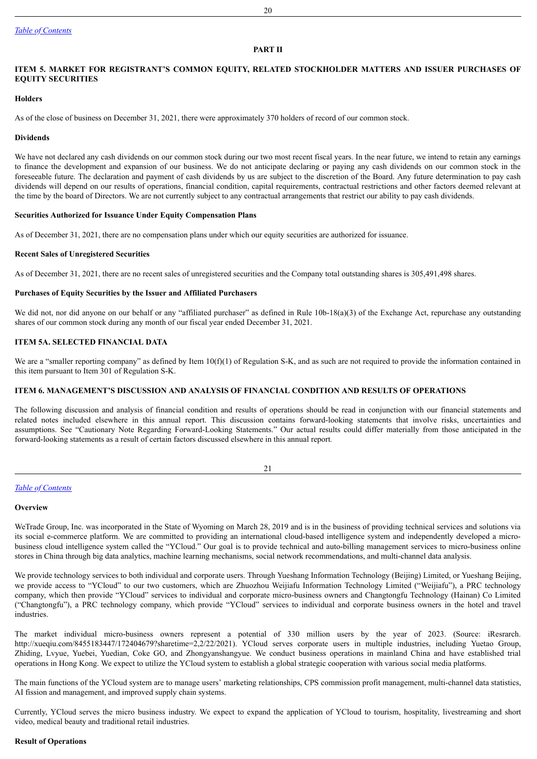# <span id="page-13-0"></span>**PART II**

# <span id="page-13-1"></span>**ITEM 5. MARKET FOR REGISTRANT'S COMMON EQUITY, RELATED STOCKHOLDER MATTERS AND ISSUER PURCHASES OF EQUITY SECURITIES**

#### **Holders**

As of the close of business on December 31, 2021, there were approximately 370 holders of record of our common stock.

#### **Dividends**

We have not declared any cash dividends on our common stock during our two most recent fiscal years. In the near future, we intend to retain any earnings to finance the development and expansion of our business. We do not anticipate declaring or paying any cash dividends on our common stock in the foreseeable future. The declaration and payment of cash dividends by us are subject to the discretion of the Board. Any future determination to pay cash dividends will depend on our results of operations, financial condition, capital requirements, contractual restrictions and other factors deemed relevant at the time by the board of Directors. We are not currently subject to any contractual arrangements that restrict our ability to pay cash dividends.

#### **Securities Authorized for Issuance Under Equity Compensation Plans**

As of December 31, 2021, there are no compensation plans under which our equity securities are authorized for issuance.

#### **Recent Sales of Unregistered Securities**

As of December 31, 2021, there are no recent sales of unregistered securities and the Company total outstanding shares is 305,491,498 shares.

#### **Purchases of Equity Securities by the Issuer and Affiliated Purchasers**

We did not, nor did anyone on our behalf or any "affiliated purchaser" as defined in Rule 10b-18(a)(3) of the Exchange Act, repurchase any outstanding shares of our common stock during any month of our fiscal year ended December 31, 2021.

# <span id="page-13-2"></span>**ITEM 5A. SELECTED FINANCIAL DATA**

We are a "smaller reporting company" as defined by Item  $10(f)(1)$  of Regulation S-K, and as such are not required to provide the information contained in this item pursuant to Item 301 of Regulation S-K.

# <span id="page-13-3"></span>**ITEM 6. MANAGEMENT'S DISCUSSION AND ANALYSIS OF FINANCIAL CONDITION AND RESULTS OF OPERATIONS**

The following discussion and analysis of financial condition and results of operations should be read in conjunction with our financial statements and related notes included elsewhere in this annual report. This discussion contains forward-looking statements that involve risks, uncertainties and assumptions. See "Cautionary Note Regarding Forward-Looking Statements." Our actual results could differ materially from those anticipated in the forward-looking statements as a result of certain factors discussed elsewhere in this annual report*.*

# *Table of [Contents](#page-1-1)*

# **Overview**

WeTrade Group, Inc. was incorporated in the State of Wyoming on March 28, 2019 and is in the business of providing technical services and solutions via its social e-commerce platform. We are committed to providing an international cloud-based intelligence system and independently developed a microbusiness cloud intelligence system called the "YCloud." Our goal is to provide technical and auto-billing management services to micro-business online stores in China through big data analytics, machine learning mechanisms, social network recommendations, and multi-channel data analysis.

We provide technology services to both individual and corporate users. Through Yueshang Information Technology (Beijing) Limited, or Yueshang Beijing, we provide access to "YCloud" to our two customers, which are Zhuozhou Weijiafu Information Technology Limited ("Weijiafu"), a PRC technology company, which then provide "YCloud" services to individual and corporate micro-business owners and Changtongfu Technology (Hainan) Co Limited ("Changtongfu"), a PRC technology company, which provide "YCloud" services to individual and corporate business owners in the hotel and travel industries.

The market individual micro-business owners represent a potential of 330 million users by the year of 2023. (Source: iResrarch. http://xueqiu.com/8455183447/172404679?sharetime=2,2/22/2021). YCloud serves corporate users in multiple industries, including Yuetao Group, Zhiding, Lvyue, Yuebei, Yuedian, Coke GO, and Zhongyanshangyue. We conduct business operations in mainland China and have established trial operations in Hong Kong. We expect to utilize the YCloud system to establish a global strategic cooperation with various social media platforms.

The main functions of the YCloud system are to manage users' marketing relationships, CPS commission profit management, multi-channel data statistics, AI fission and management, and improved supply chain systems.

Currently, YCloud serves the micro business industry. We expect to expand the application of YCloud to tourism, hospitality, livestreaming and short video, medical beauty and traditional retail industries.

# **Result of Operations**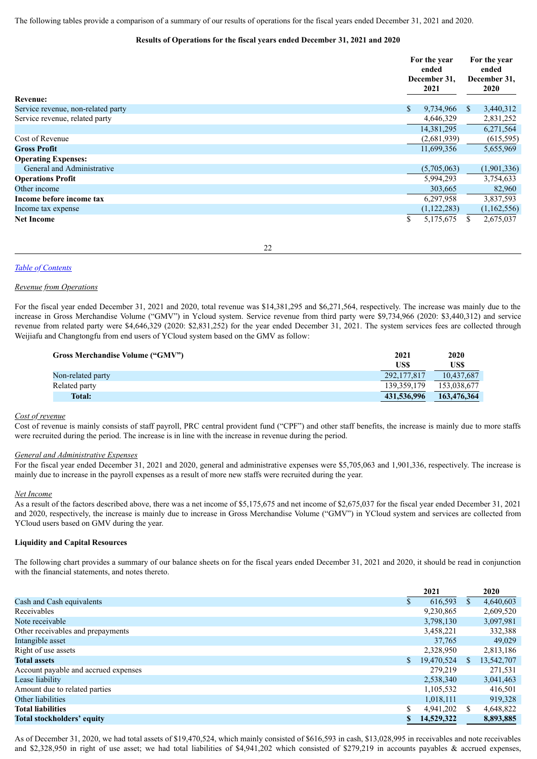The following tables provide a comparison of a summary of our results of operations for the fiscal years ended December 31, 2021 and 2020.

# **Results of Operations for the fiscal years ended December 31, 2021 and 2020**

|                                    | For the year<br>ended<br>December 31.<br>2021 | For the year<br>ended<br>December 31,<br><b>2020</b> |  |
|------------------------------------|-----------------------------------------------|------------------------------------------------------|--|
| <b>Revenue:</b>                    |                                               |                                                      |  |
| Service revenue, non-related party | \$<br>9,734,966                               | 3,440,312<br><sup>S</sup>                            |  |
| Service revenue, related party     | 4,646,329                                     | 2,831,252                                            |  |
|                                    | 14,381,295                                    | 6,271,564                                            |  |
| Cost of Revenue                    | (2,681,939)                                   | (615, 595)                                           |  |
| <b>Gross Profit</b>                | 11,699,356                                    | 5,655,969                                            |  |
| <b>Operating Expenses:</b>         |                                               |                                                      |  |
| General and Administrative         | (5,705,063)                                   | (1,901,336)                                          |  |
| <b>Operations Profit</b>           | 5,994,293                                     | 3,754,633                                            |  |
| Other income                       | 303,665                                       | 82,960                                               |  |
| Income before income tax           | 6,297,958                                     | 3,837,593                                            |  |
| Income tax expense                 | (1,122,283)                                   | (1,162,556)                                          |  |
| <b>Net Income</b>                  | \$<br>5,175,675                               | 2,675,037<br>S.                                      |  |

22

#### *Table of [Contents](#page-1-1)*

#### *Revenue from Operations*

For the fiscal year ended December 31, 2021 and 2020, total revenue was \$14,381,295 and \$6,271,564, respectively. The increase was mainly due to the increase in Gross Merchandise Volume ("GMV") in Ycloud system. Service revenue from third party were \$9,734,966 (2020: \$3,440,312) and service revenue from related party were \$4,646,329 (2020: \$2,831,252) for the year ended December 31, 2021. The system services fees are collected through Weijiafu and Changtongfu from end users of YCloud system based on the GMV as follow:

| Gross Merchandise Volume ("GMV") | 2021          | 2020        |
|----------------------------------|---------------|-------------|
|                                  | <b>USS</b>    | US\$        |
| Non-related party                | 292, 177, 817 | 10.437.687  |
| Related party                    | 139.359.179   | 153,038,677 |
| Total:                           | 431.536.996   | 163,476,364 |

#### *Cost of revenue*

Cost of revenue is mainly consists of staff payroll, PRC central provident fund ("CPF") and other staff benefits, the increase is mainly due to more staffs were recruited during the period. The increase is in line with the increase in revenue during the period.

#### *General and Administrative Expenses*

For the fiscal year ended December 31, 2021 and 2020, general and administrative expenses were \$5,705,063 and 1,901,336, respectively. The increase is mainly due to increase in the payroll expenses as a result of more new staffs were recruited during the year.

#### *Net Income*

As a result of the factors described above, there was a net income of \$5,175,675 and net income of \$2,675,037 for the fiscal year ended December 31, 2021 and 2020, respectively, the increase is mainly due to increase in Gross Merchandise Volume ("GMV") in YCloud system and services are collected from YCloud users based on GMV during the year.

# **Liquidity and Capital Resources**

The following chart provides a summary of our balance sheets on for the fiscal years ended December 31, 2021 and 2020, it should be read in conjunction with the financial statements, and notes thereto.

|                                      | 2021                       |    | 2020       |
|--------------------------------------|----------------------------|----|------------|
| Cash and Cash equivalents            | 616,593<br><sup>S</sup>    | S. | 4,640,603  |
| Receivables                          | 9,230,865                  |    | 2,609,520  |
| Note receivable                      | 3,798,130                  |    | 3,097,981  |
| Other receivables and prepayments    | 3,458,221                  |    | 332,388    |
| Intangible asset                     | 37,765                     |    | 49,029     |
| Right of use assets                  | 2,328,950                  |    | 2,813,186  |
| <b>Total assets</b>                  | <sup>S</sup><br>19.470.524 | S. | 13,542,707 |
| Account payable and accrued expenses | 279,219                    |    | 271,531    |
| Lease liability                      | 2,538,340                  |    | 3,041,463  |
| Amount due to related parties        | 1.105.532                  |    | 416,501    |
| Other liabilities                    | 1,018,111                  |    | 919,328    |
| <b>Total liabilities</b>             | \$.<br>4.941.202           | S. | 4,648,822  |
| Total stockholders' equity           | 14,529,322                 |    | 8,893,885  |

As of December 31, 2020, we had total assets of \$19,470,524, which mainly consisted of \$616,593 in cash, \$13,028,995 in receivables and note receivables and \$2,328,950 in right of use asset; we had total liabilities of \$4,941,202 which consisted of \$279,219 in accounts payables & accrued expenses,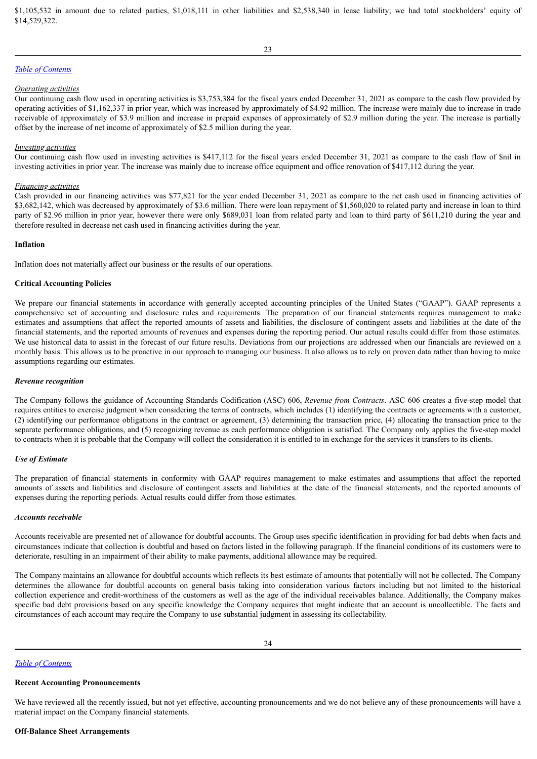\$1,105,532 in amount due to related parties, \$1,018,111 in other liabilities and \$2,538,340 in lease liability; we had total stockholders' equity of \$14,529,322.

#### *Table of [Contents](#page-1-1)*

# *Operating activities*

Our continuing cash flow used in operating activities is \$3,753,384 for the fiscal years ended December 31, 2021 as compare to the cash flow provided by operating activities of \$1,162,337 in prior year, which was increased by approximately of \$4.92 million. The increase were mainly due to increase in trade receivable of approximately of \$3.9 million and increase in prepaid expenses of approximately of \$2.9 million during the year. The increase is partially offset by the increase of net income of approximately of \$2.5 million during the year.

#### *Investing activities*

Our continuing cash flow used in investing activities is \$417,112 for the fiscal years ended December 31, 2021 as compare to the cash flow of \$nil in investing activities in prior year. The increase was mainly due to increase office equipment and office renovation of \$417,112 during the year.

#### *Financing activities*

Cash provided in our financing activities was \$77,821 for the year ended December 31, 2021 as compare to the net cash used in financing activities of \$3,682,142, which was decreased by approximately of \$3.6 million. There were loan repayment of \$1,560,020 to related party and increase in loan to third party of \$2.96 million in prior year, however there were only \$689,031 loan from related party and loan to third party of \$611,210 during the year and therefore resulted in decrease net cash used in financing activities during the year.

#### **Inflation**

Inflation does not materially affect our business or the results of our operations.

#### **Critical Accounting Policies**

We prepare our financial statements in accordance with generally accepted accounting principles of the United States ("GAAP"). GAAP represents a comprehensive set of accounting and disclosure rules and requirements. The preparation of our financial statements requires management to make estimates and assumptions that affect the reported amounts of assets and liabilities, the disclosure of contingent assets and liabilities at the date of the financial statements, and the reported amounts of revenues and expenses during the reporting period. Our actual results could differ from those estimates. We use historical data to assist in the forecast of our future results. Deviations from our projections are addressed when our financials are reviewed on a monthly basis. This allows us to be proactive in our approach to managing our business. It also allows us to rely on proven data rather than having to make assumptions regarding our estimates.

#### *Revenue recognition*

The Company follows the guidance of Accounting Standards Codification (ASC) 606, *Revenue from Contracts*. ASC 606 creates a five-step model that requires entities to exercise judgment when considering the terms of contracts, which includes (1) identifying the contracts or agreements with a customer, (2) identifying our performance obligations in the contract or agreement, (3) determining the transaction price, (4) allocating the transaction price to the separate performance obligations, and (5) recognizing revenue as each performance obligation is satisfied. The Company only applies the five-step model to contracts when it is probable that the Company will collect the consideration it is entitled to in exchange for the services it transfers to its clients.

#### *Use of Estimate*

The preparation of financial statements in conformity with GAAP requires management to make estimates and assumptions that affect the reported amounts of assets and liabilities and disclosure of contingent assets and liabilities at the date of the financial statements, and the reported amounts of expenses during the reporting periods. Actual results could differ from those estimates.

#### *Accounts receivable*

Accounts receivable are presented net of allowance for doubtful accounts. The Group uses specific identification in providing for bad debts when facts and circumstances indicate that collection is doubtful and based on factors listed in the following paragraph. If the financial conditions of its customers were to deteriorate, resulting in an impairment of their ability to make payments, additional allowance may be required.

The Company maintains an allowance for doubtful accounts which reflects its best estimate of amounts that potentially will not be collected. The Company determines the allowance for doubtful accounts on general basis taking into consideration various factors including but not limited to the historical collection experience and credit-worthiness of the customers as well as the age of the individual receivables balance. Additionally, the Company makes specific bad debt provisions based on any specific knowledge the Company acquires that might indicate that an account is uncollectible. The facts and circumstances of each account may require the Company to use substantial judgment in assessing its collectability.

#### *Table of [Contents](#page-1-1)*

#### **Recent Accounting Pronouncements**

We have reviewed all the recently issued, but not yet effective, accounting pronouncements and we do not believe any of these pronouncements will have a material impact on the Company financial statements.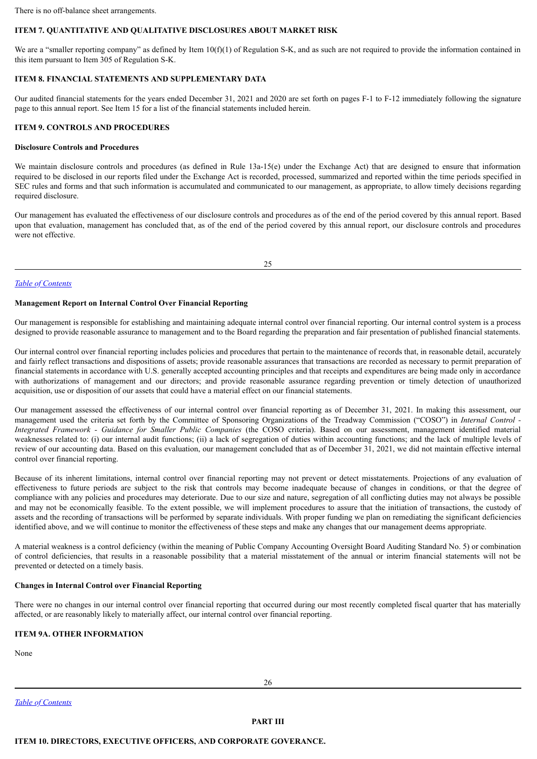There is no off-balance sheet arrangements.

# <span id="page-16-0"></span>**ITEM 7. QUANTITATIVE AND QUALITATIVE DISCLOSURES ABOUT MARKET RISK**

We are a "smaller reporting company" as defined by Item  $10(f)(1)$  of Regulation S-K, and as such are not required to provide the information contained in this item pursuant to Item 305 of Regulation S-K.

# <span id="page-16-1"></span>**ITEM 8. FINANCIAL STATEMENTS AND SUPPLEMENTARY DATA**

Our audited financial statements for the years ended December 31, 2021 and 2020 are set forth on pages F-1 to F-12 immediately following the signature page to this annual report. See Item 15 for a list of the financial statements included herein.

# <span id="page-16-2"></span>**ITEM 9. CONTROLS AND PROCEDURES**

# **Disclosure Controls and Procedures**

We maintain disclosure controls and procedures (as defined in Rule 13a-15(e) under the Exchange Act) that are designed to ensure that information required to be disclosed in our reports filed under the Exchange Act is recorded, processed, summarized and reported within the time periods specified in SEC rules and forms and that such information is accumulated and communicated to our management, as appropriate, to allow timely decisions regarding required disclosure.

Our management has evaluated the effectiveness of our disclosure controls and procedures as of the end of the period covered by this annual report. Based upon that evaluation, management has concluded that, as of the end of the period covered by this annual report, our disclosure controls and procedures were not effective.

25

#### *Table of [Contents](#page-1-1)*

#### **Management Report on Internal Control Over Financial Reporting**

Our management is responsible for establishing and maintaining adequate internal control over financial reporting. Our internal control system is a process designed to provide reasonable assurance to management and to the Board regarding the preparation and fair presentation of published financial statements.

Our internal control over financial reporting includes policies and procedures that pertain to the maintenance of records that, in reasonable detail, accurately and fairly reflect transactions and dispositions of assets; provide reasonable assurances that transactions are recorded as necessary to permit preparation of financial statements in accordance with U.S. generally accepted accounting principles and that receipts and expenditures are being made only in accordance with authorizations of management and our directors; and provide reasonable assurance regarding prevention or timely detection of unauthorized acquisition, use or disposition of our assets that could have a material effect on our financial statements.

Our management assessed the effectiveness of our internal control over financial reporting as of December 31, 2021. In making this assessment, our management used the criteria set forth by the Committee of Sponsoring Organizations of the Treadway Commission ("COSO") in *Internal Control - Integrated Framework - Guidance for Smaller Public Companies* (the COSO criteria). Based on our assessment, management identified material weaknesses related to: (i) our internal audit functions; (ii) a lack of segregation of duties within accounting functions; and the lack of multiple levels of review of our accounting data. Based on this evaluation, our management concluded that as of December 31, 2021, we did not maintain effective internal control over financial reporting.

Because of its inherent limitations, internal control over financial reporting may not prevent or detect misstatements. Projections of any evaluation of effectiveness to future periods are subject to the risk that controls may become inadequate because of changes in conditions, or that the degree of compliance with any policies and procedures may deteriorate. Due to our size and nature, segregation of all conflicting duties may not always be possible and may not be economically feasible. To the extent possible, we will implement procedures to assure that the initiation of transactions, the custody of assets and the recording of transactions will be performed by separate individuals. With proper funding we plan on remediating the significant deficiencies identified above, and we will continue to monitor the effectiveness of these steps and make any changes that our management deems appropriate.

A material weakness is a control deficiency (within the meaning of Public Company Accounting Oversight Board Auditing Standard No. 5) or combination of control deficiencies, that results in a reasonable possibility that a material misstatement of the annual or interim financial statements will not be prevented or detected on a timely basis.

# **Changes in Internal Control over Financial Reporting**

There were no changes in our internal control over financial reporting that occurred during our most recently completed fiscal quarter that has materially affected, or are reasonably likely to materially affect, our internal control over financial reporting.

# <span id="page-16-3"></span>**ITEM 9A. OTHER INFORMATION**

None

<span id="page-16-5"></span>*Table of [Contents](#page-1-1)*

<span id="page-16-4"></span>**PART III**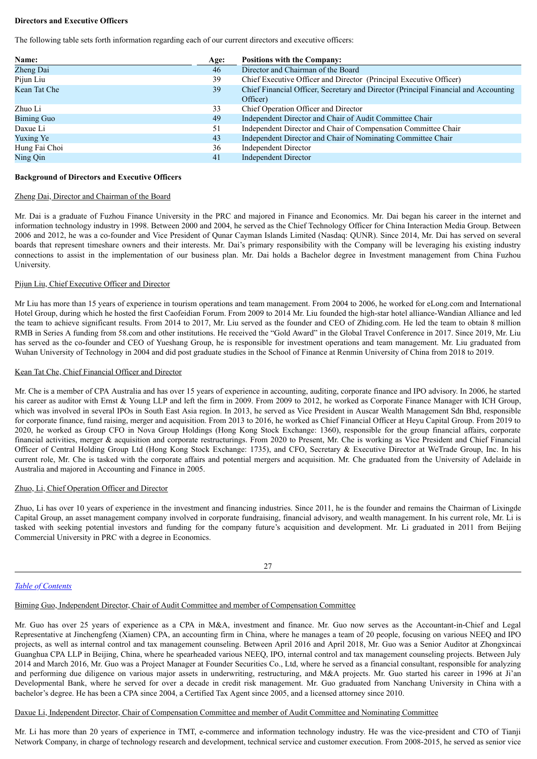# **Directors and Executive Officers**

The following table sets forth information regarding each of our current directors and executive officers:

| Name:             | Age: | <b>Positions with the Company:</b>                                                              |
|-------------------|------|-------------------------------------------------------------------------------------------------|
| Zheng Dai         | 46   | Director and Chairman of the Board                                                              |
| Pijun Liu         | 39   | Chief Executive Officer and Director (Principal Executive Officer)                              |
| Kean Tat Che      | 39   | Chief Financial Officer, Secretary and Director (Principal Financial and Accounting<br>Officer) |
| Zhuo Li           | 33   | Chief Operation Officer and Director                                                            |
| <b>Biming Guo</b> | 49   | Independent Director and Chair of Audit Committee Chair                                         |
| Daxue Li          | 51   | Independent Director and Chair of Compensation Committee Chair                                  |
| Yuxing Ye         | 43   | Independent Director and Chair of Nominating Committee Chair                                    |
| Hung Fai Choi     | 36   | Independent Director                                                                            |
| Ning Qin          | 41   | Independent Director                                                                            |

#### **Background of Directors and Executive Officers**

#### Zheng Dai, Director and Chairman of the Board

Mr. Dai is a graduate of Fuzhou Finance University in the PRC and majored in Finance and Economics. Mr. Dai began his career in the internet and information technology industry in 1998. Between 2000 and 2004, he served as the Chief Technology Officer for China Interaction Media Group. Between 2006 and 2012, he was a co-founder and Vice President of Qunar Cayman Islands Limited (Nasdaq: QUNR). Since 2014, Mr. Dai has served on several boards that represent timeshare owners and their interests. Mr. Dai's primary responsibility with the Company will be leveraging his existing industry connections to assist in the implementation of our business plan. Mr. Dai holds a Bachelor degree in Investment management from China Fuzhou University.

#### Pijun Liu, Chief Executive Officer and Director

Mr Liu has more than 15 years of experience in tourism operations and team management. From 2004 to 2006, he worked for eLong.com and International Hotel Group, during which he hosted the first Caofeidian Forum. From 2009 to 2014 Mr. Liu founded the high-star hotel alliance-Wandian Alliance and led the team to achieve significant results. From 2014 to 2017, Mr. Liu served as the founder and CEO of Zhiding.com. He led the team to obtain 8 million RMB in Series A funding from 58.com and other institutions. He received the "Gold Award" in the Global Travel Conference in 2017. Since 2019, Mr. Liu has served as the co-founder and CEO of Yueshang Group, he is responsible for investment operations and team management. Mr. Liu graduated from Wuhan University of Technology in 2004 and did post graduate studies in the School of Finance at Renmin University of China from 2018 to 2019.

#### Kean Tat Che, Chief Financial Officer and Director

Mr. Che is a member of CPA Australia and has over 15 years of experience in accounting, auditing, corporate finance and IPO advisory. In 2006, he started his career as auditor with Ernst & Young LLP and left the firm in 2009. From 2009 to 2012, he worked as Corporate Finance Manager with ICH Group, which was involved in several IPOs in South East Asia region. In 2013, he served as Vice President in Auscar Wealth Management Sdn Bhd, responsible for corporate finance, fund raising, merger and acquisition. From 2013 to 2016, he worked as Chief Financial Officer at Heyu Capital Group. From 2019 to 2020, he worked as Group CFO in Nova Group Holdings (Hong Kong Stock Exchange: 1360), responsible for the group financial affairs, corporate financial activities, merger & acquisition and corporate restructurings. From 2020 to Present, Mr. Che is working as Vice President and Chief Financial Officer of Central Holding Group Ltd (Hong Kong Stock Exchange: 1735), and CFO, Secretary & Executive Director at WeTrade Group, Inc. In his current role, Mr. Che is tasked with the corporate affairs and potential mergers and acquisition. Mr. Che graduated from the University of Adelaide in Australia and majored in Accounting and Finance in 2005.

# Zhuo, Li, Chief Operation Officer and Director

Zhuo, Li has over 10 years of experience in the investment and financing industries. Since 2011, he is the founder and remains the Chairman of Lixingde Capital Group, an asset management company involved in corporate fundraising, financial advisory, and wealth management. In his current role, Mr. Li is tasked with seeking potential investors and funding for the company future's acquisition and development. Mr. Li graduated in 2011 from Beijing Commercial University in PRC with a degree in Economics.

# *Table of [Contents](#page-1-1)*

# Biming Guo, Independent Director, Chair of Audit Committee and member of Compensation Committee

Mr. Guo has over 25 years of experience as a CPA in M&A, investment and finance. Mr. Guo now serves as the Accountant-in-Chief and Legal Representative at Jinchengfeng (Xiamen) CPA, an accounting firm in China, where he manages a team of 20 people, focusing on various NEEQ and IPO projects, as well as internal control and tax management counseling. Between April 2016 and April 2018, Mr. Guo was a Senior Auditor at Zhongxincai Guanghua CPA LLP in Beijing, China, where he spearheaded various NEEQ, IPO, internal control and tax management counseling projects. Between July 2014 and March 2016, Mr. Guo was a Project Manager at Founder Securities Co., Ltd, where he served as a financial consultant, responsible for analyzing and performing due diligence on various major assets in underwriting, restructuring, and M&A projects. Mr. Guo started his career in 1996 at Ji'an Developmental Bank, where he served for over a decade in credit risk management. Mr. Guo graduated from Nanchang University in China with a bachelor's degree. He has been a CPA since 2004, a Certified Tax Agent since 2005, and a licensed attorney since 2010.

#### Daxue Li, Independent Director, Chair of Compensation Committee and member of Audit Committee and Nominating Committee

Mr. Li has more than 20 years of experience in TMT, e-commerce and information technology industry. He was the vice-president and CTO of Tianji Network Company, in charge of technology research and development, technical service and customer execution. From 2008-2015, he served as senior vice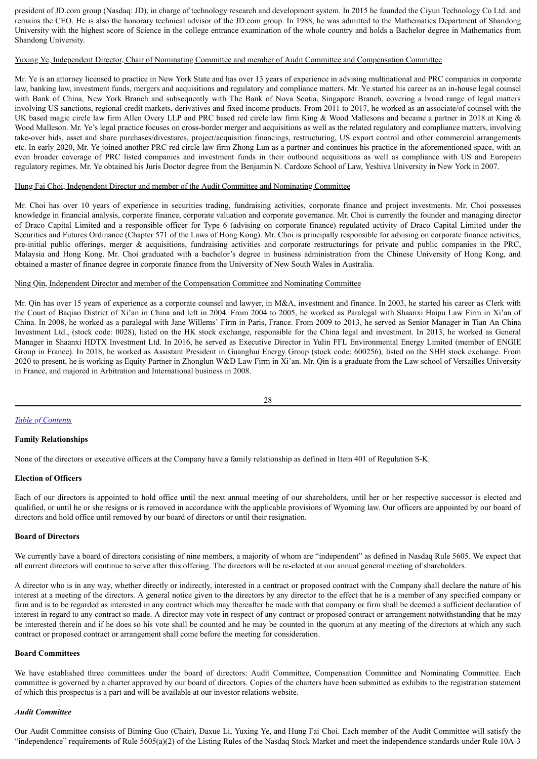president of JD.com group (Nasdaq: JD), in charge of technology research and development system. In 2015 he founded the Ciyun Technology Co Ltd. and remains the CEO. He is also the honorary technical advisor of the JD.com group. In 1988, he was admitted to the Mathematics Department of Shandong University with the highest score of Science in the college entrance examination of the whole country and holds a Bachelor degree in Mathematics from Shandong University.

#### Yuxing Ye, Independent Director, Chair of Nominating Committee and member of Audit Committee and Compensation Committee

Mr. Ye is an attorney licensed to practice in New York State and has over 13 years of experience in advising multinational and PRC companies in corporate law, banking law, investment funds, mergers and acquisitions and regulatory and compliance matters. Mr. Ye started his career as an in-house legal counsel with Bank of China, New York Branch and subsequently with The Bank of Nova Scotia, Singapore Branch, covering a broad range of legal matters involving US sanctions, regional credit markets, derivatives and fixed income products. From 2011 to 2017, he worked as an associate/of counsel with the UK based magic circle law firm Allen Overy LLP and PRC based red circle law firm King & Wood Mallesons and became a partner in 2018 at King & Wood Malleson. Mr. Ye's legal practice focuses on cross-border merger and acquisitions as well as the related regulatory and compliance matters, involving take-over bids, asset and share purchases/divestures, project/acquisition financings, restructuring, US export control and other commercial arrangements etc. In early 2020, Mr. Ye joined another PRC red circle law firm Zhong Lun as a partner and continues his practice in the aforementioned space, with an even broader coverage of PRC listed companies and investment funds in their outbound acquisitions as well as compliance with US and European regulatory regimes. Mr. Ye obtained his Juris Doctor degree from the Benjamin N. Cardozo School of Law, Yeshiva University in New York in 2007.

#### Hung Fai Choi, Independent Director and member of the Audit Committee and Nominating Committee

Mr. Choi has over 10 years of experience in securities trading, fundraising activities, corporate finance and project investments. Mr. Choi possesses knowledge in financial analysis, corporate finance, corporate valuation and corporate governance. Mr. Choi is currently the founder and managing director of Draco Capital Limited and a responsible officer for Type 6 (advising on corporate finance) regulated activity of Draco Capital Limited under the Securities and Futures Ordinance (Chapter 571 of the Laws of Hong Kong). Mr. Choi is principally responsible for advising on corporate finance activities, pre-initial public offerings, merger & acquisitions, fundraising activities and corporate restructurings for private and public companies in the PRC, Malaysia and Hong Kong. Mr. Choi graduated with a bachelor's degree in business administration from the Chinese University of Hong Kong, and obtained a master of finance degree in corporate finance from the University of New South Wales in Australia.

#### Ning Qin, Independent Director and member of the Compensation Committee and Nominating Committee

Mr. Qin has over 15 years of experience as a corporate counsel and lawyer, in M&A, investment and finance. In 2003, he started his career as Clerk with the Court of Baqiao District of Xi'an in China and left in 2004. From 2004 to 2005, he worked as Paralegal with Shaanxi Haipu Law Firm in Xi'an of China. In 2008, he worked as a paralegal with Jane Willems' Firm in Paris, France. From 2009 to 2013, he served as Senior Manager in Tian An China Investment Ltd., (stock code: 0028), listed on the HK stock exchange, responsible for the China legal and investment. In 2013, he worked as General Manager in Shaanxi HDTX Investment Ltd. In 2016, he served as Executive Director in Yulin FFL Environmental Energy Limited (member of ENGIE Group in France). In 2018, he worked as Assistant President in Guanghui Energy Group (stock code: 600256), listed on the SHH stock exchange. From 2020 to present, he is working as Equity Partner in Zhonglun W&D Law Firm in Xi'an. Mr. Qin is a graduate from the Law school of Versailles University in France, and majored in Arbitration and International business in 2008.

$$
28\\
$$

#### *Table of [Contents](#page-1-1)*

#### **Family Relationships**

None of the directors or executive officers at the Company have a family relationship as defined in Item 401 of Regulation S-K.

#### **Election of Officers**

Each of our directors is appointed to hold office until the next annual meeting of our shareholders, until her or her respective successor is elected and qualified, or until he or she resigns or is removed in accordance with the applicable provisions of Wyoming law. Our officers are appointed by our board of directors and hold office until removed by our board of directors or until their resignation.

### **Board of Directors**

We currently have a board of directors consisting of nine members, a majority of whom are "independent" as defined in Nasdaq Rule 5605. We expect that all current directors will continue to serve after this offering. The directors will be re-elected at our annual general meeting of shareholders.

A director who is in any way, whether directly or indirectly, interested in a contract or proposed contract with the Company shall declare the nature of his interest at a meeting of the directors. A general notice given to the directors by any director to the effect that he is a member of any specified company or firm and is to be regarded as interested in any contract which may thereafter be made with that company or firm shall be deemed a sufficient declaration of interest in regard to any contract so made. A director may vote in respect of any contract or proposed contract or arrangement notwithstanding that he may be interested therein and if he does so his vote shall be counted and he may be counted in the quorum at any meeting of the directors at which any such contract or proposed contract or arrangement shall come before the meeting for consideration.

#### **Board Committees**

We have established three committees under the board of directors: Audit Committee, Compensation Committee and Nominating Committee. Each committee is governed by a charter approved by our board of directors. Copies of the charters have been submitted as exhibits to the registration statement of which this prospectus is a part and will be available at our investor relations website.

#### *Audit Committee*

Our Audit Committee consists of Biming Guo (Chair), Daxue Li, Yuxing Ye, and Hung Fai Choi. Each member of the Audit Committee will satisfy the "independence" requirements of Rule 5605(a)(2) of the Listing Rules of the Nasdaq Stock Market and meet the independence standards under Rule 10A-3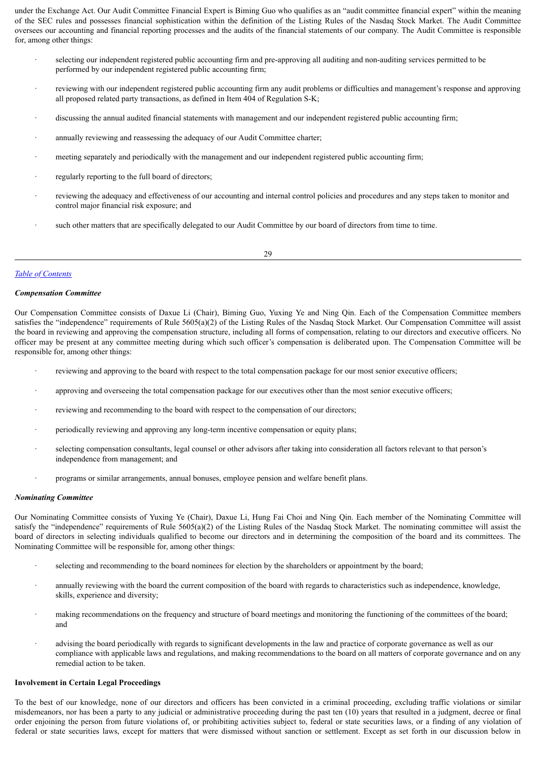under the Exchange Act. Our Audit Committee Financial Expert is Biming Guo who qualifies as an "audit committee financial expert" within the meaning of the SEC rules and possesses financial sophistication within the definition of the Listing Rules of the Nasdaq Stock Market. The Audit Committee oversees our accounting and financial reporting processes and the audits of the financial statements of our company. The Audit Committee is responsible for, among other things:

- selecting our independent registered public accounting firm and pre-approving all auditing and non-auditing services permitted to be performed by our independent registered public accounting firm;
- · reviewing with our independent registered public accounting firm any audit problems or difficulties and management's response and approving all proposed related party transactions, as defined in Item 404 of Regulation S-K;
- discussing the annual audited financial statements with management and our independent registered public accounting firm;
- · annually reviewing and reassessing the adequacy of our Audit Committee charter;
- meeting separately and periodically with the management and our independent registered public accounting firm;
- regularly reporting to the full board of directors;
- reviewing the adequacy and effectiveness of our accounting and internal control policies and procedures and any steps taken to monitor and control major financial risk exposure; and
- such other matters that are specifically delegated to our Audit Committee by our board of directors from time to time.

 $29$ 

#### *Table of [Contents](#page-1-1)*

#### *Compensation Committee*

Our Compensation Committee consists of Daxue Li (Chair), Biming Guo, Yuxing Ye and Ning Qin. Each of the Compensation Committee members satisfies the "independence" requirements of Rule 5605(a)(2) of the Listing Rules of the Nasdaq Stock Market. Our Compensation Committee will assist the board in reviewing and approving the compensation structure, including all forms of compensation, relating to our directors and executive officers. No officer may be present at any committee meeting during which such officer's compensation is deliberated upon. The Compensation Committee will be responsible for, among other things:

- · reviewing and approving to the board with respect to the total compensation package for our most senior executive officers;
- approving and overseeing the total compensation package for our executives other than the most senior executive officers;
- reviewing and recommending to the board with respect to the compensation of our directors;
- · periodically reviewing and approving any long-term incentive compensation or equity plans;
- selecting compensation consultants, legal counsel or other advisors after taking into consideration all factors relevant to that person's independence from management; and
- · programs or similar arrangements, annual bonuses, employee pension and welfare benefit plans.

#### *Nominating Committee*

Our Nominating Committee consists of Yuxing Ye (Chair), Daxue Li, Hung Fai Choi and Ning Qin. Each member of the Nominating Committee will satisfy the "independence" requirements of Rule 5605(a)(2) of the Listing Rules of the Nasdaq Stock Market. The nominating committee will assist the board of directors in selecting individuals qualified to become our directors and in determining the composition of the board and its committees. The Nominating Committee will be responsible for, among other things:

- selecting and recommending to the board nominees for election by the shareholders or appointment by the board;
- · annually reviewing with the board the current composition of the board with regards to characteristics such as independence, knowledge, skills, experience and diversity;
- making recommendations on the frequency and structure of board meetings and monitoring the functioning of the committees of the board; and
- advising the board periodically with regards to significant developments in the law and practice of corporate governance as well as our compliance with applicable laws and regulations, and making recommendations to the board on all matters of corporate governance and on any remedial action to be taken.

#### **Involvement in Certain Legal Proceedings**

To the best of our knowledge, none of our directors and officers has been convicted in a criminal proceeding, excluding traffic violations or similar misdemeanors, nor has been a party to any judicial or administrative proceeding during the past ten (10) years that resulted in a judgment, decree or final order enjoining the person from future violations of, or prohibiting activities subject to, federal or state securities laws, or a finding of any violation of federal or state securities laws, except for matters that were dismissed without sanction or settlement. Except as set forth in our discussion below in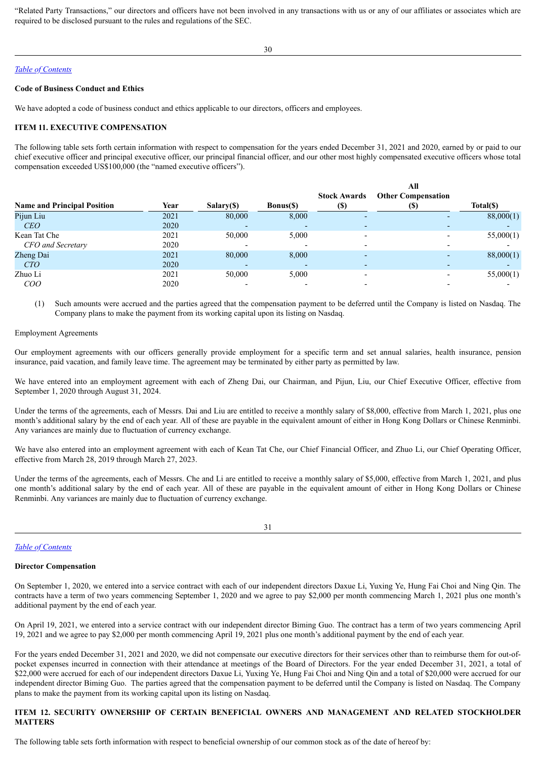"Related Party Transactions," our directors and officers have not been involved in any transactions with us or any of our affiliates or associates which are required to be disclosed pursuant to the rules and regulations of the SEC.

### *Table of [Contents](#page-1-1)*

#### **Code of Business Conduct and Ethics**

We have adopted a code of business conduct and ethics applicable to our directors, officers and employees.

#### <span id="page-20-0"></span>**ITEM 11. EXECUTIVE COMPENSATION**

The following table sets forth certain information with respect to compensation for the years ended December 31, 2021 and 2020, earned by or paid to our chief executive officer and principal executive officer, our principal financial officer, and our other most highly compensated executive officers whose total compensation exceeded US\$100,000 (the "named executive officers").

|                                    |      |            |                   | <b>Stock Awards</b> | All<br><b>Other Compensation</b> |           |
|------------------------------------|------|------------|-------------------|---------------------|----------------------------------|-----------|
| <b>Name and Principal Position</b> | Year | Salary(\$) | <b>Bonus</b> (\$) | (S)                 | (S)                              | Total(\$) |
| Pijun Liu                          | 2021 | 80,000     | 8,000             |                     |                                  | 88,000(1) |
| <b>CEO</b>                         | 2020 |            |                   |                     |                                  |           |
| Kean Tat Che                       | 2021 | 50,000     | 5,000             |                     |                                  | 55,000(1) |
| CFO and Secretary                  | 2020 |            |                   |                     |                                  |           |
| Zheng Dai                          | 2021 | 80,000     | 8,000             |                     |                                  | 88,000(1) |
| <i>CTO</i>                         | 2020 |            |                   |                     |                                  |           |
| Zhuo Li                            | 2021 | 50,000     | 5,000             |                     |                                  | 55,000(1) |
| COO                                | 2020 |            |                   |                     |                                  |           |

(1) Such amounts were accrued and the parties agreed that the compensation payment to be deferred until the Company is listed on Nasdaq. The Company plans to make the payment from its working capital upon its listing on Nasdaq.

#### Employment Agreements

Our employment agreements with our officers generally provide employment for a specific term and set annual salaries, health insurance, pension insurance, paid vacation, and family leave time. The agreement may be terminated by either party as permitted by law.

We have entered into an employment agreement with each of Zheng Dai, our Chairman, and Pijun, Liu, our Chief Executive Officer, effective from September 1, 2020 through August 31, 2024.

Under the terms of the agreements, each of Messrs. Dai and Liu are entitled to receive a monthly salary of \$8,000, effective from March 1, 2021, plus one month's additional salary by the end of each year. All of these are payable in the equivalent amount of either in Hong Kong Dollars or Chinese Renminbi. Any variances are mainly due to fluctuation of currency exchange.

We have also entered into an employment agreement with each of Kean Tat Che, our Chief Financial Officer, and Zhuo Li, our Chief Operating Officer, effective from March 28, 2019 through March 27, 2023.

Under the terms of the agreements, each of Messrs. Che and Li are entitled to receive a monthly salary of \$5,000, effective from March 1, 2021, and plus one month's additional salary by the end of each year. All of these are payable in the equivalent amount of either in Hong Kong Dollars or Chinese Renminbi. Any variances are mainly due to fluctuation of currency exchange.

| ۰<br>I | ۰.<br>v |  |
|--------|---------|--|
|        |         |  |

# *Table of [Contents](#page-1-1)*

# **Director Compensation**

On September 1, 2020, we entered into a service contract with each of our independent directors Daxue Li, Yuxing Ye, Hung Fai Choi and Ning Qin. The contracts have a term of two years commencing September 1, 2020 and we agree to pay \$2,000 per month commencing March 1, 2021 plus one month's additional payment by the end of each year.

On April 19, 2021, we entered into a service contract with our independent director Biming Guo. The contract has a term of two years commencing April 19, 2021 and we agree to pay \$2,000 per month commencing April 19, 2021 plus one month's additional payment by the end of each year.

For the years ended December 31, 2021 and 2020, we did not compensate our executive directors for their services other than to reimburse them for out-ofpocket expenses incurred in connection with their attendance at meetings of the Board of Directors. For the year ended December 31, 2021, a total of \$22,000 were accrued for each of our independent directors Daxue Li, Yuxing Ye, Hung Fai Choi and Ning Qin and a total of \$20,000 were accrued for our independent director Biming Guo. The parties agreed that the compensation payment to be deferred until the Company is listed on Nasdaq. The Company plans to make the payment from its working capital upon its listing on Nasdaq.

# <span id="page-20-1"></span>**ITEM 12. SECURITY OWNERSHIP OF CERTAIN BENEFICIAL OWNERS AND MANAGEMENT AND RELATED STOCKHOLDER MATTERS**

The following table sets forth information with respect to beneficial ownership of our common stock as of the date of hereof by:

30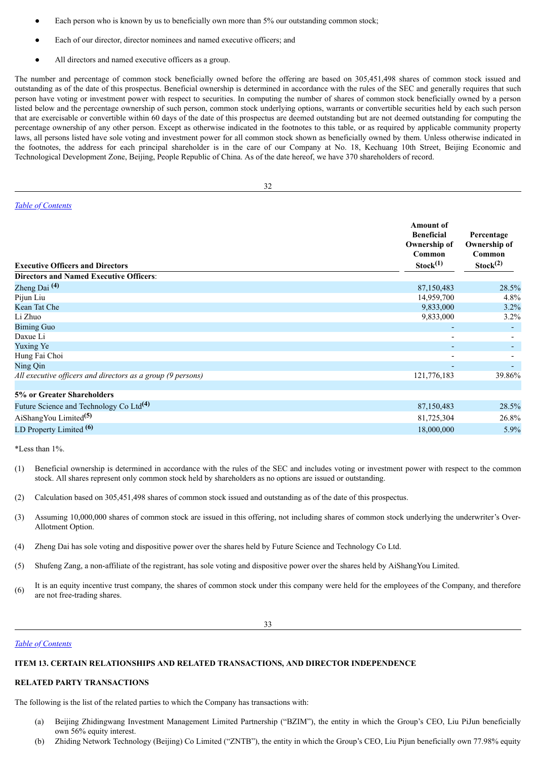- Each person who is known by us to beneficially own more than 5% our outstanding common stock;
- Each of our director, director nominees and named executive officers; and
- All directors and named executive officers as a group.

The number and percentage of common stock beneficially owned before the offering are based on 305,451,498 shares of common stock issued and outstanding as of the date of this prospectus. Beneficial ownership is determined in accordance with the rules of the SEC and generally requires that such person have voting or investment power with respect to securities. In computing the number of shares of common stock beneficially owned by a person listed below and the percentage ownership of such person, common stock underlying options, warrants or convertible securities held by each such person that are exercisable or convertible within 60 days of the date of this prospectus are deemed outstanding but are not deemed outstanding for computing the percentage ownership of any other person. Except as otherwise indicated in the footnotes to this table, or as required by applicable community property laws, all persons listed have sole voting and investment power for all common stock shown as beneficially owned by them. Unless otherwise indicated in the footnotes, the address for each principal shareholder is in the care of our Company at No. 18, Kechuang 10th Street, Beijing Economic and Technological Development Zone, Beijing, People Republic of China. As of the date hereof, we have 370 shareholders of record.

#### *Table of [Contents](#page-1-1)*

| <b>Executive Officers and Directors</b>                     | <b>Amount of</b><br><b>Beneficial</b><br>Ownership of<br>Common<br>Stock <sup>(1)</sup> | Percentage<br><b>Ownership of</b><br>Common<br>Stock <sup>(2)</sup> |
|-------------------------------------------------------------|-----------------------------------------------------------------------------------------|---------------------------------------------------------------------|
| <b>Directors and Named Executive Officers:</b>              |                                                                                         |                                                                     |
| Zheng Dai <sup>(4)</sup>                                    | 87,150,483                                                                              | 28.5%                                                               |
| Pijun Liu                                                   | 14,959,700                                                                              | 4.8%                                                                |
| Kean Tat Che                                                | 9,833,000                                                                               | 3.2%                                                                |
| Li Zhuo                                                     | 9,833,000                                                                               | 3.2%                                                                |
| <b>Biming Guo</b>                                           | $\overline{\phantom{a}}$                                                                | $\sim$                                                              |
| Daxue Li                                                    | $\overline{\phantom{a}}$                                                                |                                                                     |
| Yuxing Ye                                                   | $\overline{\phantom{0}}$                                                                | ۰.                                                                  |
| Hung Fai Choi                                               | $\overline{\phantom{a}}$                                                                |                                                                     |
| Ning Qin                                                    | $\overline{\phantom{0}}$                                                                |                                                                     |
| All executive officers and directors as a group (9 persons) | 121,776,183                                                                             | 39.86%                                                              |
|                                                             |                                                                                         |                                                                     |
| 5% or Greater Shareholders                                  |                                                                                         |                                                                     |
| Future Science and Technology Co Ltd <sup>(4)</sup>         | 87,150,483                                                                              | 28.5%                                                               |
| AiShangYou Limited <sup>(5)</sup>                           | 81,725,304                                                                              | 26.8%                                                               |
| LD Property Limited <sup>(6)</sup>                          | 18,000,000                                                                              | 5.9%                                                                |

\*Less than 1%.

- (1) Beneficial ownership is determined in accordance with the rules of the SEC and includes voting or investment power with respect to the common stock. All shares represent only common stock held by shareholders as no options are issued or outstanding.
- (2) Calculation based on 305,451,498 shares of common stock issued and outstanding as of the date of this prospectus.
- (3) Assuming 10,000,000 shares of common stock are issued in this offering, not including shares of common stock underlying the underwriter's Over-Allotment Option.
- (4) Zheng Dai has sole voting and dispositive power over the shares held by Future Science and Technology Co Ltd.
- (5) Shufeng Zang, a non-affiliate of the registrant, has sole voting and dispositive power over the shares held by AiShangYou Limited.
- (6) It is an equity incentive trust company, the shares of common stock under this company were held for the employees of the Company, and therefore are not free-trading shares.

#### *Table of [Contents](#page-1-1)*

# <span id="page-21-0"></span>**ITEM 13. CERTAIN RELATIONSHIPS AND RELATED TRANSACTIONS, AND DIRECTOR INDEPENDENCE**

#### **RELATED PARTY TRANSACTIONS**

The following is the list of the related parties to which the Company has transactions with:

- (a) Beijing Zhidingwang Investment Management Limited Partnership ("BZIM"), the entity in which the Group's CEO, Liu PiJun beneficially own 56% equity interest.
- (b) Zhiding Network Technology (Beijing) Co Limited ("ZNTB"), the entity in which the Group's CEO, Liu Pijun beneficially own 77.98% equity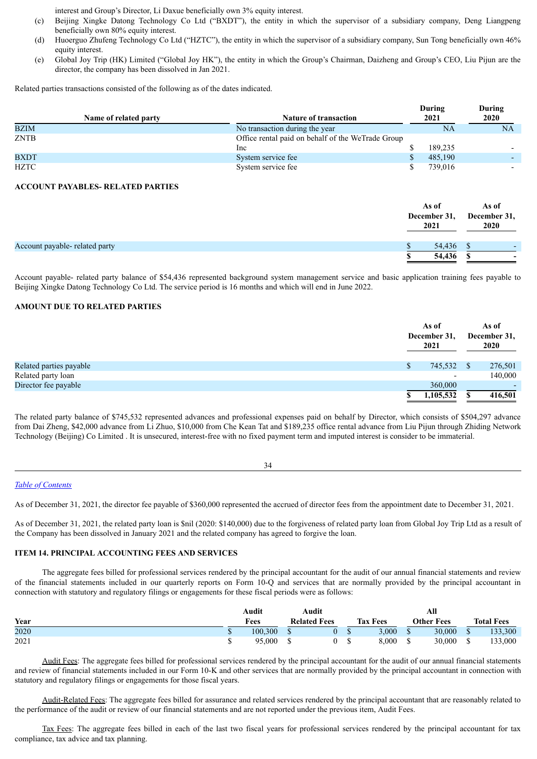interest and Group's Director, Li Daxue beneficially own 3% equity interest.

- (c) Beijing Xingke Datong Technology Co Ltd ("BXDT"), the entity in which the supervisor of a subsidiary company, Deng Liangpeng beneficially own 80% equity interest.
- (d) Huoerguo Zhufeng Technology Co Ltd ("HZTC"), the entity in which the supervisor of a subsidiary company, Sun Tong beneficially own 46% equity interest.
- (e) Global Joy Trip (HK) Limited ("Global Joy HK"), the entity in which the Group's Chairman, Daizheng and Group's CEO, Liu Pijun are the director, the company has been dissolved in Jan 2021.

Related parties transactions consisted of the following as of the dates indicated.

|             | Name of related party | <b>Nature of transaction</b>                      | During<br>2021 | During<br>2020 |
|-------------|-----------------------|---------------------------------------------------|----------------|----------------|
| BZIM        |                       | No transaction during the year                    | NA             | NA             |
| <b>ZNTB</b> |                       | Office rental paid on behalf of the WeTrade Group |                |                |
|             |                       | Inc                                               | 189,235        |                |
| BXDT        |                       | System service fee                                | 485,190        |                |
| <b>HZTC</b> |                       | System service fee                                | 739,016        | $\,$           |

#### **ACCOUNT PAYABLES- RELATED PARTIES**

|                               | As of<br>December 31,<br>2021 | As of<br>December 31,<br>2020 |                          |
|-------------------------------|-------------------------------|-------------------------------|--------------------------|
| Account payable-related party | 54,436                        |                               | $\overline{\phantom{0}}$ |
|                               | 54,436                        |                               |                          |

Account payable- related party balance of \$54,436 represented background system management service and basic application training fees payable to Beijing Xingke Datong Technology Co Ltd. The service period is 16 months and which will end in June 2022.

# **AMOUNT DUE TO RELATED PARTIES**

|                         | As of<br>December 31,<br>2021 |               | As of<br>December 31,<br>2020 |
|-------------------------|-------------------------------|---------------|-------------------------------|
| Related parties payable | \$<br>745,532                 | <sup>\$</sup> | 276,501                       |
| Related party loan      | $\overline{\phantom{0}}$      |               | 140,000                       |
| Director fee payable    | 360,000                       |               |                               |
|                         | 1,105,532                     |               | 416,501                       |

The related party balance of \$745,532 represented advances and professional expenses paid on behalf by Director, which consists of \$504,297 advance from Dai Zheng, \$42,000 advance from Li Zhuo, \$10,000 from Che Kean Tat and \$189,235 office rental advance from Liu Pijun through Zhiding Network Technology (Beijing) Co Limited . It is unsecured, interest-free with no fixed payment term and imputed interest is consider to be immaterial.

#### *Table of [Contents](#page-1-1)*

As of December 31, 2021, the director fee payable of \$360,000 represented the accrued of director fees from the appointment date to December 31, 2021.

As of December 31, 2021, the related party loan is \$nil (2020: \$140,000) due to the forgiveness of related party loan from Global Joy Trip Ltd as a result of the Company has been dissolved in January 2021 and the related company has agreed to forgive the loan.

#### <span id="page-22-0"></span>**ITEM 14. PRINCIPAL ACCOUNTING FEES AND SERVICES**

The aggregate fees billed for professional services rendered by the principal accountant for the audit of our annual financial statements and review of the financial statements included in our quarterly reports on Form 10-Q and services that are normally provided by the principal accountant in connection with statutory and regulatory filings or engagements for these fiscal periods were as follows:

|      | Audit     | Audit               |                 |  |                   |  |                   |
|------|-----------|---------------------|-----------------|--|-------------------|--|-------------------|
| Year | Fees      | <b>Related Fees</b> | <b>Tax Fees</b> |  | <b>Other Fees</b> |  | <b>Total Fees</b> |
| 2020 | 100.300   |                     | 3,000           |  | 30,000            |  | 133,300           |
| 2021 | 95,000 \$ |                     | 8,000           |  | 30,000            |  | 133,000           |

Audit Fees: The aggregate fees billed for professional services rendered by the principal accountant for the audit of our annual financial statements and review of financial statements included in our Form 10-K and other services that are normally provided by the principal accountant in connection with statutory and regulatory filings or engagements for those fiscal years.

Audit-Related Fees: The aggregate fees billed for assurance and related services rendered by the principal accountant that are reasonably related to the performance of the audit or review of our financial statements and are not reported under the previous item, Audit Fees.

Tax Fees: The aggregate fees billed in each of the last two fiscal years for professional services rendered by the principal accountant for tax compliance, tax advice and tax planning.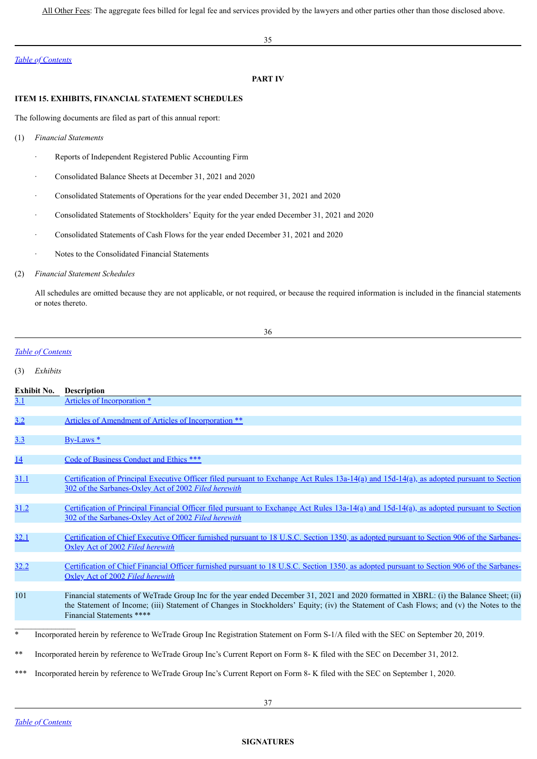# *Table of [Contents](#page-1-1)*

# <span id="page-23-0"></span>**PART IV**

#### <span id="page-23-1"></span>**ITEM 15. EXHIBITS, FINANCIAL STATEMENT SCHEDULES**

The following documents are filed as part of this annual report:

- (1) *Financial Statements*
	- Reports of Independent Registered Public Accounting Firm
	- · Consolidated Balance Sheets at December 31, 2021 and 2020
	- Consolidated Statements of Operations for the year ended December 31, 2021 and 2020
	- · Consolidated Statements of Stockholders' Equity for the year ended December 31, 2021 and 2020
	- · Consolidated Statements of Cash Flows for the year ended December 31, 2021 and 2020
	- · Notes to the Consolidated Financial Statements

# (2) *Financial Statement Schedules*

All schedules are omitted because they are not applicable, or not required, or because the required information is included in the financial statements or notes thereto.

<span id="page-23-2"></span>

| I<br>I  | ٧<br>I      |
|---------|-------------|
| ۰.<br>v | I<br>×<br>٧ |

# *Table of [Contents](#page-1-1)*

(3) *Exhibits*

|        | <b>Exhibit No.</b><br><b>Description</b>                                                                                                                                                                                                                                                                       |
|--------|----------------------------------------------------------------------------------------------------------------------------------------------------------------------------------------------------------------------------------------------------------------------------------------------------------------|
| 3.1    | Articles of Incorporation *                                                                                                                                                                                                                                                                                    |
| 3.2    | Articles of Amendment of Articles of Incorporation **                                                                                                                                                                                                                                                          |
| 3.3    | $By-Laws*$                                                                                                                                                                                                                                                                                                     |
| 14     | Code of Business Conduct and Ethics ***                                                                                                                                                                                                                                                                        |
| 31.1   | Certification of Principal Executive Officer filed pursuant to Exchange Act Rules 13a-14(a) and 15d-14(a), as adopted pursuant to Section<br>302 of the Sarbanes-Oxley Act of 2002 Filed herewith                                                                                                              |
| 31.2   | Certification of Principal Financial Officer filed pursuant to Exchange Act Rules 13a-14(a) and 15d-14(a), as adopted pursuant to Section<br>302 of the Sarbanes-Oxley Act of 2002 Filed herewith                                                                                                              |
| 32.1   | Certification of Chief Executive Officer furnished pursuant to 18 U.S.C. Section 1350, as adopted pursuant to Section 906 of the Sarbanes-<br>Oxley Act of 2002 Filed herewith                                                                                                                                 |
| 32.2   | Certification of Chief Financial Officer furnished pursuant to 18 U.S.C. Section 1350, as adopted pursuant to Section 906 of the Sarbanes-<br>Oxley Act of 2002 Filed herewith                                                                                                                                 |
| 101    | Financial statements of WeTrade Group Inc for the year ended December 31, 2021 and 2020 formatted in XBRL: (i) the Balance Sheet; (ii)<br>the Statement of Income; (iii) Statement of Changes in Stockholders' Equity; (iv) the Statement of Cash Flows; and (v) the Notes to the<br>Financial Statements **** |
| $\ast$ | Incorporated herein by reference to WeTrade Group Inc Registration Statement on Form S-1/A filed with the SEC on September 20, 2019.                                                                                                                                                                           |
| $***$  | Incorporated herein by reference to WeTrade Group Inc's Current Report on Form 8-K filed with the SEC on December 31, 2012.                                                                                                                                                                                    |
| ***    | Incorporated herein by reference to WeTrade Group Inc's Current Report on Form 8- K filed with the SEC on September 1, 2020.                                                                                                                                                                                   |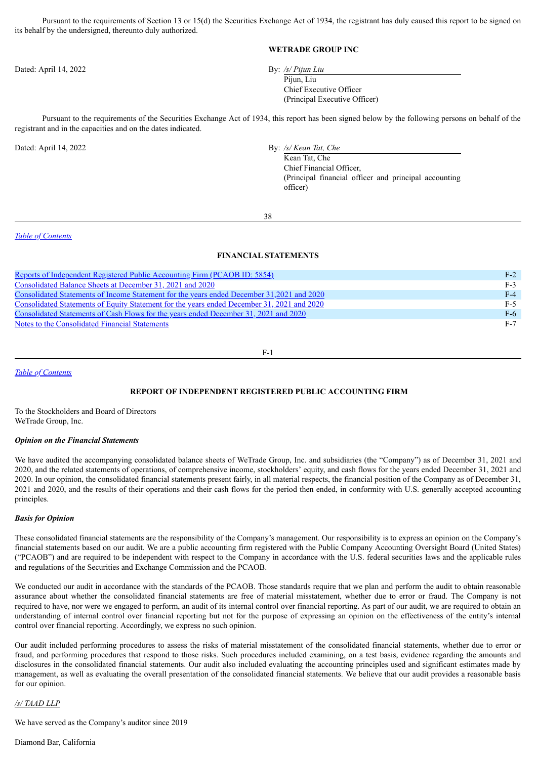Pursuant to the requirements of Section 13 or 15(d) the Securities Exchange Act of 1934, the registrant has duly caused this report to be signed on its behalf by the undersigned, thereunto duly authorized.

Dated: April 14, 2022 By: */s/ Pijun Liu*

### **WETRADE GROUP INC**

Pijun, Liu Chief Executive Officer (Principal Executive Officer)

Pursuant to the requirements of the Securities Exchange Act of 1934, this report has been signed below by the following persons on behalf of the registrant and in the capacities and on the dates indicated.

Dated: April 14, 2022 By: */s/ Kean Tat, Che*

Kean Tat, Che Chief Financial Officer, (Principal financial officer and principal accounting officer)

38

# <span id="page-24-2"></span>*Table of [Contents](#page-1-1)*

# <span id="page-24-0"></span>**FINANCIAL STATEMENTS**

| <u>Reports of Independent Registered Public Accounting Firm (PCAOB ID: 5854)</u>                  | $F-2$ |
|---------------------------------------------------------------------------------------------------|-------|
| Consolidated Balance Sheets at December 31, 2021 and 2020                                         | $F-3$ |
| Consolidated Statements of Income Statement for the years ended December 31,2021 and 2020         | $F-4$ |
| <u>Consolidated Statements of Equity Statement for the years ended December 31, 2021 and 2020</u> | $F-5$ |
| Consolidated Statements of Cash Flows for the years ended December 31, 2021 and 2020              | $F-6$ |
| Notes to the Consolidated Financial Statements                                                    | $F-7$ |

#### F-1

*Table of [Contents](#page-24-2)*

# <span id="page-24-1"></span>**REPORT OF INDEPENDENT REGISTERED PUBLIC ACCOUNTING FIRM**

To the Stockholders and Board of Directors WeTrade Group, Inc.

### *Opinion on the Financial Statements*

We have audited the accompanying consolidated balance sheets of WeTrade Group, Inc. and subsidiaries (the "Company") as of December 31, 2021 and 2020, and the related statements of operations, of comprehensive income, stockholders' equity, and cash flows for the years ended December 31, 2021 and 2020. In our opinion, the consolidated financial statements present fairly, in all material respects, the financial position of the Company as of December 31, 2021 and 2020, and the results of their operations and their cash flows for the period then ended, in conformity with U.S. generally accepted accounting principles.

# *Basis for Opinion*

These consolidated financial statements are the responsibility of the Company's management. Our responsibility is to express an opinion on the Company's financial statements based on our audit. We are a public accounting firm registered with the Public Company Accounting Oversight Board (United States) ("PCAOB") and are required to be independent with respect to the Company in accordance with the U.S. federal securities laws and the applicable rules and regulations of the Securities and Exchange Commission and the PCAOB.

We conducted our audit in accordance with the standards of the PCAOB. Those standards require that we plan and perform the audit to obtain reasonable assurance about whether the consolidated financial statements are free of material misstatement, whether due to error or fraud. The Company is not required to have, nor were we engaged to perform, an audit of its internal control over financial reporting. As part of our audit, we are required to obtain an understanding of internal control over financial reporting but not for the purpose of expressing an opinion on the effectiveness of the entity's internal control over financial reporting. Accordingly, we express no such opinion.

Our audit included performing procedures to assess the risks of material misstatement of the consolidated financial statements, whether due to error or fraud, and performing procedures that respond to those risks. Such procedures included examining, on a test basis, evidence regarding the amounts and disclosures in the consolidated financial statements. Our audit also included evaluating the accounting principles used and significant estimates made by management, as well as evaluating the overall presentation of the consolidated financial statements. We believe that our audit provides a reasonable basis for our opinion.

# */s/ TAAD LLP*

We have served as the Company's auditor since 2019

Diamond Bar, California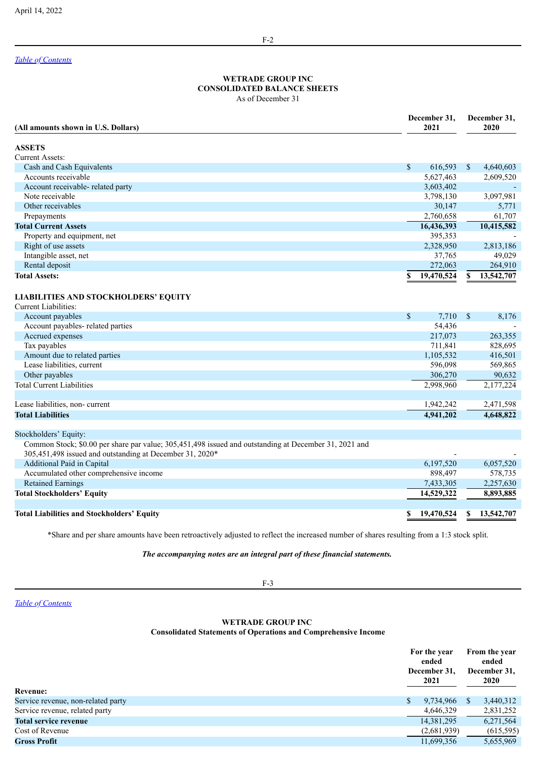# *Table of [Contents](#page-24-2)*

# <span id="page-25-0"></span>**WETRADE GROUP INC CONSOLIDATED BALANCE SHEETS**

As of December 31

| (All amounts shown in U.S. Dollars)         | December 31,<br>2021               |               | December 31,<br>2020 |  |
|---------------------------------------------|------------------------------------|---------------|----------------------|--|
| <b>ASSETS</b>                               |                                    |               |                      |  |
| <b>Current Assets:</b>                      |                                    |               |                      |  |
| Cash and Cash Equivalents                   | <sup>\$</sup><br>616,593           | <sup>S</sup>  | 4,640,603            |  |
| Accounts receivable                         | 5,627,463                          |               | 2,609,520            |  |
| Account receivable- related party           | 3,603,402                          |               |                      |  |
| Note receivable                             | 3,798,130                          |               | 3,097,981            |  |
| Other receivables                           | 30,147                             |               | 5,771                |  |
| Prepayments                                 | 2,760,658                          |               | 61,707               |  |
| <b>Total Current Assets</b>                 | 16,436,393                         |               | 10,415,582           |  |
| Property and equipment, net                 | 395,353                            |               |                      |  |
| Right of use assets                         | 2,328,950                          |               | 2,813,186            |  |
| Intangible asset, net                       | 37,765                             |               | 49,029               |  |
| Rental deposit                              | 272,063                            |               | 264,910              |  |
| <b>Total Assets:</b>                        | 19,470,524<br>S                    | S             | 13,542,707           |  |
| <b>LIABILITIES AND STOCKHOLDERS' EQUITY</b> |                                    |               |                      |  |
| Current Liabilities:                        |                                    |               |                      |  |
| Account payables                            | $\boldsymbol{\mathsf{S}}$<br>7,710 | <sup>\$</sup> | 8,176                |  |
| Account payables-related parties            | 54,436                             |               |                      |  |
| Accrued expenses                            | 217,073                            |               | 263,355              |  |
| Tax payables                                | 711,841                            |               | 828,695              |  |
| Amount due to related parties               | 1,105,532                          |               | 416,501              |  |
| Lease liabilities, current                  | 596,098                            |               | 569,865              |  |
| Other payables                              | 306,270                            |               | 90,632               |  |
| <b>Total Current Liabilities</b>            | 2,998,960                          |               | 2,177,224            |  |

**Total Liabilities and Stockholders' Equity \$ 19,470,524 \$ 13,542,707**

305,451,498 issued and outstanding at December 31, 2020\*

\*Share and per share amounts have been retroactively adjusted to reflect the increased number of shares resulting from a 1:3 stock split.

Additional Paid in Capital 6,057,520 6,057,520 6,057,520 6,057,520 6,057,520 6,057,520 6,057,520 6,057,520 6,057,520 6,057,520 6,057,520 6,057,520 6,057,520 6,057,520 6,057,520 6,057,520 6,057,520 6,057,520 6,057,520 6,057 Accumulated other comprehensive income 678,735 Retained Earnings 2,257,630 2,257,630 **Total Stockholders' Equity 14,529,322 8,893,885**

Lease liabilities, non- current 1,942,242 2,471,598 **Total Liabilities 4,941,202 4,648,822**

Common Stock; \$0.00 per share par value; 305,451,498 issued and outstanding at December 31, 2021 and

*The accompanying notes are an integral part of these financial statements.*

#### F-3

*Table of [Contents](#page-24-2)*

Stockholders' Equity:

#### **WETRADE GROUP INC**

# <span id="page-25-1"></span>**Consolidated Statements of Operations and Comprehensive Income**

| <b>Revenue:</b>                    | For the year<br>ended<br>December 31,<br>2021 | From the year<br>ended<br>December 31,<br><b>2020</b> |  |
|------------------------------------|-----------------------------------------------|-------------------------------------------------------|--|
| Service revenue, non-related party | <sup>S</sup><br>9,734,966                     | 3,440,312<br>S.                                       |  |
| Service revenue, related party     | 4,646,329                                     | 2,831,252                                             |  |
| <b>Total service revenue</b>       | 14,381,295                                    | 6,271,564                                             |  |
| Cost of Revenue                    | (2,681,939)                                   | (615,595)                                             |  |
| <b>Gross Profit</b>                | 11,699,356                                    | 5,655,969                                             |  |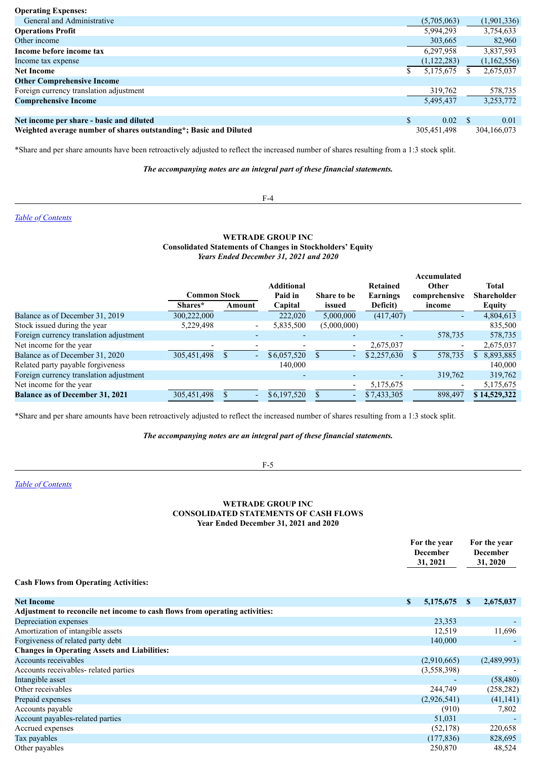| <b>Operating Expenses:</b>                                        |    |               |               |
|-------------------------------------------------------------------|----|---------------|---------------|
| General and Administrative                                        |    | (5,705,063)   | (1,901,336)   |
| <b>Operations Profit</b>                                          |    | 5,994,293     | 3,754,633     |
| Other income                                                      |    | 303,665       | 82,960        |
| Income before income tax                                          |    | 6,297,958     | 3,837,593     |
| Income tax expense                                                |    | (1, 122, 283) | (1,162,556)   |
| <b>Net Income</b>                                                 | S  | 5,175,675     | 2,675,037     |
| <b>Other Comprehensive Income</b>                                 |    |               |               |
| Foreign currency translation adjustment                           |    | 319,762       | 578,735       |
| <b>Comprehensive Income</b>                                       |    | 5,495,437     | 3,253,772     |
|                                                                   |    |               |               |
| Net income per share - basic and diluted                          | \$ | 0.02          | 0.01          |
| Weighted average number of shares outstanding*; Basic and Diluted |    | 305,451,498   | 304, 166, 073 |

\*Share and per share amounts have been retroactively adjusted to reflect the increased number of shares resulting from a 1:3 stock split.

#### *The accompanying notes are an integral part of these financial statements.*

F-4

# *Table of [Contents](#page-24-2)*

# <span id="page-26-0"></span>**WETRADE GROUP INC Consolidated Statements of Changes in Stockholders' Equity** *Years Ended December 31, 2021 and 2020*

|                                         |                     |        | <b>Additional</b> |                          | <b>Retained</b> | Accumulated<br>Other     | <b>Total</b>       |
|-----------------------------------------|---------------------|--------|-------------------|--------------------------|-----------------|--------------------------|--------------------|
|                                         | <b>Common Stock</b> |        | Paid in           | Share to be              | Earnings        | comprehensive            | <b>Shareholder</b> |
|                                         | Shares*             | Amount | Capital           | issued                   | Deficit)        | income                   | Equity             |
| Balance as of December 31, 2019         | 300,222,000         |        | 222,020           | 5,000,000                | (417, 407)      | $\overline{\phantom{a}}$ | 4,804,613          |
| Stock issued during the year            | 5,229,498           |        | 5,835,500         | (5,000,000)              |                 |                          | 835,500            |
| Foreign currency translation adjustment |                     |        |                   | $\overline{\phantom{a}}$ |                 | 578,735                  | 578,735            |
| Net income for the year                 |                     |        |                   | $\overline{\phantom{a}}$ | 2,675,037       |                          | 2,675,037          |
| Balance as of December 31, 2020         | 305,451,498         |        | \$6,057,520       | $\overline{\phantom{a}}$ | \$2,257,630     | 578,735<br>S             | 8,893,885          |
| Related party payable forgiveness       |                     |        | 140,000           |                          |                 |                          | 140,000            |
| Foreign currency translation adjustment |                     |        |                   |                          |                 | 319.762                  | 319,762            |
| Net income for the year                 |                     |        |                   | $\overline{\phantom{a}}$ | 5,175,675       |                          | 5,175,675          |
| <b>Balance as of December 31, 2021</b>  | 305,451,498         |        | \$6,197,520       |                          | \$7,433,305     | 898,497                  | \$14,529,322       |

\*Share and per share amounts have been retroactively adjusted to reflect the increased number of shares resulting from a 1:3 stock split.

# *The accompanying notes are an integral part of these financial statements.*

F-5

*Table of [Contents](#page-24-2)*

# <span id="page-26-1"></span>**WETRADE GROUP INC CONSOLIDATED STATEMENTS OF CASH FLOWS Year Ended December 31, 2021 and 2020**

|                                                                             | For the year<br><b>December</b><br>31, 2021 |              | For the year<br><b>December</b><br>31, 2020 |
|-----------------------------------------------------------------------------|---------------------------------------------|--------------|---------------------------------------------|
| <b>Cash Flows from Operating Activities:</b>                                |                                             |              |                                             |
| <b>Net Income</b>                                                           | \$<br>5,175,675                             | <sup>S</sup> | 2,675,037                                   |
| Adjustment to reconcile net income to cash flows from operating activities: |                                             |              |                                             |
| Depreciation expenses                                                       | 23,353                                      |              |                                             |
| Amortization of intangible assets                                           | 12,519                                      |              | 11,696                                      |
| Forgiveness of related party debt                                           | 140,000                                     |              |                                             |
| <b>Changes in Operating Assets and Liabilities:</b>                         |                                             |              |                                             |
| Accounts receivables                                                        | (2,910,665)                                 |              | (2,489,993)                                 |
| Accounts receivables-related parties                                        | (3,558,398)                                 |              |                                             |
| Intangible asset                                                            |                                             |              | (58, 480)                                   |
| Other receivables                                                           | 244,749                                     |              | (258, 282)                                  |
| Prepaid expenses                                                            | (2,926,541)                                 |              | (41, 141)                                   |
| Accounts payable                                                            | (910)                                       |              | 7,802                                       |
| Account payables-related parties                                            | 51,031                                      |              |                                             |
| Accrued expenses                                                            | (52, 178)                                   |              | 220,658                                     |
| Tax payables                                                                | (177, 836)                                  |              | 828,695                                     |
| Other payables                                                              | 250,870                                     |              | 48,524                                      |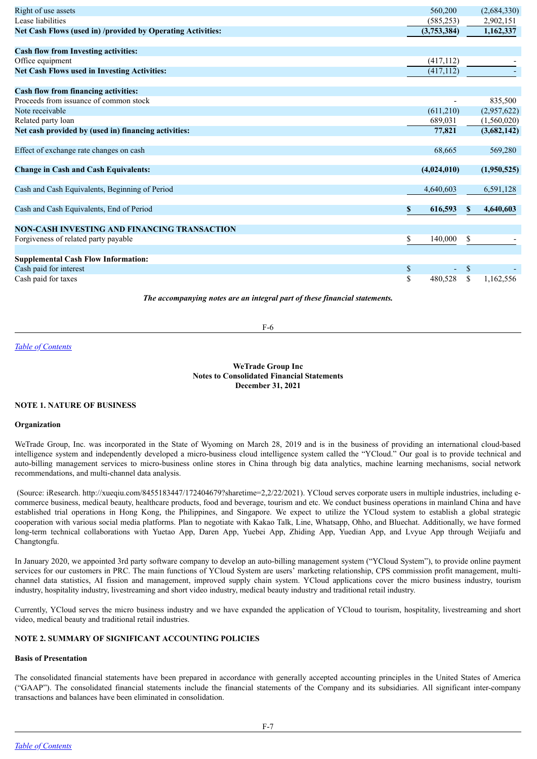| Right of use assets                                         | 560,200                        | (2,684,330)                |
|-------------------------------------------------------------|--------------------------------|----------------------------|
| Lease liabilities                                           | (585, 253)                     | 2,902,151                  |
| Net Cash Flows (used in) /provided by Operating Activities: | (3,753,384)                    | 1,162,337                  |
| <b>Cash flow from Investing activities:</b>                 |                                |                            |
| Office equipment                                            | (417, 112)                     |                            |
| <b>Net Cash Flows used in Investing Activities:</b>         | (417, 112)                     |                            |
| Cash flow from financing activities:                        |                                |                            |
| Proceeds from issuance of common stock                      |                                | 835,500                    |
| Note receivable                                             | (611,210)                      | (2,957,622)                |
| Related party loan                                          | 689,031                        | (1,560,020)                |
| Net cash provided by (used in) financing activities:        | 77,821                         | (3,682,142)                |
| Effect of exchange rate changes on cash                     | 68,665                         | 569,280                    |
| <b>Change in Cash and Cash Equivalents:</b>                 | (4,024,010)                    | (1,950,525)                |
| Cash and Cash Equivalents, Beginning of Period              | 4,640,603                      | 6,591,128                  |
| Cash and Cash Equivalents, End of Period                    | 616,593<br>\$                  | 4,640,603<br><sup>\$</sup> |
|                                                             |                                |                            |
| NON-CASH INVESTING AND FINANCING TRANSACTION                |                                |                            |
| Forgiveness of related party payable                        | \$<br>140,000                  | \$                         |
| <b>Supplemental Cash Flow Information:</b>                  |                                |                            |
| Cash paid for interest                                      | \$<br>$\overline{\phantom{a}}$ | \$                         |
| Cash paid for taxes                                         | \$<br>480.528                  | \$<br>1.162.556            |

*The accompanying notes are an integral part of these financial statements.*

F-6

*Table of [Contents](#page-24-2)*

<span id="page-27-0"></span>**WeTrade Group Inc Notes to Consolidated Financial Statements December 31, 2021**

#### **NOTE 1. NATURE OF BUSINESS**

#### **Organization**

WeTrade Group, Inc. was incorporated in the State of Wyoming on March 28, 2019 and is in the business of providing an international cloud-based intelligence system and independently developed a micro-business cloud intelligence system called the "YCloud." Our goal is to provide technical and auto-billing management services to micro-business online stores in China through big data analytics, machine learning mechanisms, social network recommendations, and multi-channel data analysis.

(Source: iResearch. http://xueqiu.com/8455183447/172404679?sharetime=2,2/22/2021). YCloud serves corporate users in multiple industries, including ecommerce business, medical beauty, healthcare products, food and beverage, tourism and etc. We conduct business operations in mainland China and have established trial operations in Hong Kong, the Philippines, and Singapore. We expect to utilize the YCloud system to establish a global strategic cooperation with various social media platforms. Plan to negotiate with Kakao Talk, Line, Whatsapp, Ohho, and Bluechat. Additionally, we have formed long-term technical collaborations with Yuetao App, Daren App, Yuebei App, Zhiding App, Yuedian App, and Lvyue App through Weijiafu and Changtongfu.

In January 2020, we appointed 3rd party software company to develop an auto-billing management system ("YCloud System"), to provide online payment services for our customers in PRC. The main functions of YCloud System are users' marketing relationship, CPS commission profit management, multichannel data statistics, AI fission and management, improved supply chain system. YCloud applications cover the micro business industry, tourism industry, hospitality industry, livestreaming and short video industry, medical beauty industry and traditional retail industry.

Currently, YCloud serves the micro business industry and we have expanded the application of YCloud to tourism, hospitality, livestreaming and short video, medical beauty and traditional retail industries.

# **NOTE 2. SUMMARY OF SIGNIFICANT ACCOUNTING POLICIES**

# **Basis of Presentation**

The consolidated financial statements have been prepared in accordance with generally accepted accounting principles in the United States of America ("GAAP"). The consolidated financial statements include the financial statements of the Company and its subsidiaries. All significant inter-company transactions and balances have been eliminated in consolidation.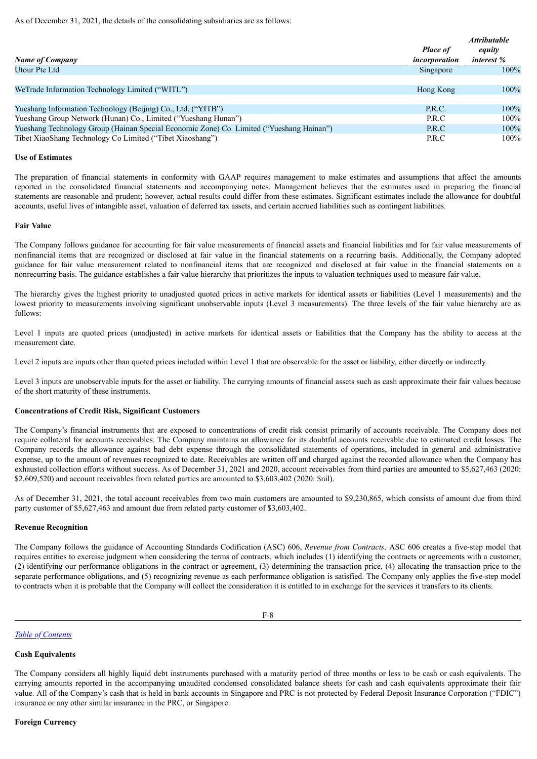As of December 31, 2021, the details of the consolidating subsidiaries are as follows:

|                                                                                          |                                  | <i><b>Attributable</b></i> |
|------------------------------------------------------------------------------------------|----------------------------------|----------------------------|
| <b>Name of Company</b>                                                                   | <b>Place of</b><br>incorporation | equity<br>interest $%$     |
| Utour Pte Ltd                                                                            | Singapore                        | $100\%$                    |
| We Trade Information Technology Limited ("WITL")                                         | Hong Kong                        | 100%                       |
| Yueshang Information Technology (Beijing) Co., Ltd. ("YITB")                             | P.R.C.                           | 100%                       |
| Yueshang Group Network (Hunan) Co., Limited ("Yueshang Hunan")                           | P.R.C                            | $100\%$                    |
| Yueshang Technology Group (Hainan Special Economic Zone) Co. Limited ("Yueshang Hainan") | P.R.C                            | 100%                       |
| Tibet XiaoShang Technology Co Limited ("Tibet Xiaoshang")                                | P.R.C                            | $100\%$                    |

#### **Use of Estimates**

The preparation of financial statements in conformity with GAAP requires management to make estimates and assumptions that affect the amounts reported in the consolidated financial statements and accompanying notes. Management believes that the estimates used in preparing the financial statements are reasonable and prudent; however, actual results could differ from these estimates. Significant estimates include the allowance for doubtful accounts, useful lives of intangible asset, valuation of deferred tax assets, and certain accrued liabilities such as contingent liabilities.

#### **Fair Value**

The Company follows guidance for accounting for fair value measurements of financial assets and financial liabilities and for fair value measurements of nonfinancial items that are recognized or disclosed at fair value in the financial statements on a recurring basis. Additionally, the Company adopted guidance for fair value measurement related to nonfinancial items that are recognized and disclosed at fair value in the financial statements on a nonrecurring basis. The guidance establishes a fair value hierarchy that prioritizes the inputs to valuation techniques used to measure fair value.

The hierarchy gives the highest priority to unadjusted quoted prices in active markets for identical assets or liabilities (Level 1 measurements) and the lowest priority to measurements involving significant unobservable inputs (Level 3 measurements). The three levels of the fair value hierarchy are as follows:

Level 1 inputs are quoted prices (unadjusted) in active markets for identical assets or liabilities that the Company has the ability to access at the measurement date.

Level 2 inputs are inputs other than quoted prices included within Level 1 that are observable for the asset or liability, either directly or indirectly.

Level 3 inputs are unobservable inputs for the asset or liability. The carrying amounts of financial assets such as cash approximate their fair values because of the short maturity of these instruments.

#### **Concentrations of Credit Risk, Significant Customers**

The Company's financial instruments that are exposed to concentrations of credit risk consist primarily of accounts receivable. The Company does not require collateral for accounts receivables. The Company maintains an allowance for its doubtful accounts receivable due to estimated credit losses. The Company records the allowance against bad debt expense through the consolidated statements of operations, included in general and administrative expense, up to the amount of revenues recognized to date. Receivables are written off and charged against the recorded allowance when the Company has exhausted collection efforts without success. As of December 31, 2021 and 2020, account receivables from third parties are amounted to \$5,627,463 (2020: \$2,609,520) and account receivables from related parties are amounted to \$3,603,402 (2020: \$nil).

As of December 31, 2021, the total account receivables from two main customers are amounted to \$9,230,865, which consists of amount due from third party customer of \$5,627,463 and amount due from related party customer of \$3,603,402.

#### **Revenue Recognition**

The Company follows the guidance of Accounting Standards Codification (ASC) 606, *Revenue from Contracts*. ASC 606 creates a five-step model that requires entities to exercise judgment when considering the terms of contracts, which includes (1) identifying the contracts or agreements with a customer, (2) identifying our performance obligations in the contract or agreement, (3) determining the transaction price, (4) allocating the transaction price to the separate performance obligations, and (5) recognizing revenue as each performance obligation is satisfied. The Company only applies the five-step model to contracts when it is probable that the Company will collect the consideration it is entitled to in exchange for the services it transfers to its clients.

#### *Table of [Contents](#page-24-2)*

#### **Cash Equivalents**

The Company considers all highly liquid debt instruments purchased with a maturity period of three months or less to be cash or cash equivalents. The carrying amounts reported in the accompanying unaudited condensed consolidated balance sheets for cash and cash equivalents approximate their fair value. All of the Company's cash that is held in bank accounts in Singapore and PRC is not protected by Federal Deposit Insurance Corporation ("FDIC") insurance or any other similar insurance in the PRC, or Singapore.

#### **Foreign Currency**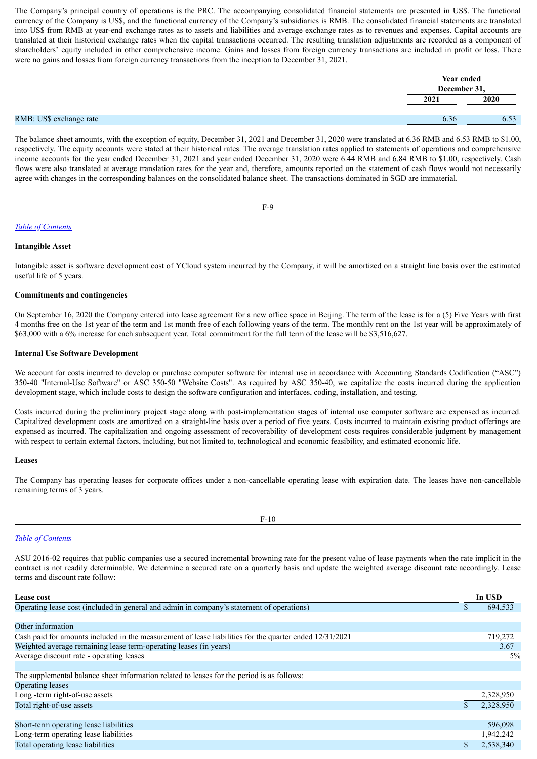The Company's principal country of operations is the PRC. The accompanying consolidated financial statements are presented in US\$. The functional currency of the Company is US\$, and the functional currency of the Company's subsidiaries is RMB. The consolidated financial statements are translated into US\$ from RMB at year-end exchange rates as to assets and liabilities and average exchange rates as to revenues and expenses. Capital accounts are translated at their historical exchange rates when the capital transactions occurred. The resulting translation adjustments are recorded as a component of shareholders' equity included in other comprehensive income. Gains and losses from foreign currency transactions are included in profit or loss. There were no gains and losses from foreign currency transactions from the inception to December 31, 2021.

|                         |              | Year ended |  |
|-------------------------|--------------|------------|--|
|                         | December 31, |            |  |
|                         | 2021         | 2020       |  |
| RMB: US\$ exchange rate | 6.36         | 6.53       |  |

The balance sheet amounts, with the exception of equity, December 31, 2021 and December 31, 2020 were translated at 6.36 RMB and 6.53 RMB to \$1.00, respectively. The equity accounts were stated at their historical rates. The average translation rates applied to statements of operations and comprehensive income accounts for the year ended December 31, 2021 and year ended December 31, 2020 were 6.44 RMB and 6.84 RMB to \$1.00, respectively. Cash flows were also translated at average translation rates for the year and, therefore, amounts reported on the statement of cash flows would not necessarily agree with changes in the corresponding balances on the consolidated balance sheet. The transactions dominated in SGD are immaterial.

| ۰.<br>۰,<br>٠ |
|---------------|
|---------------|

# *Table of [Contents](#page-24-2)*

# **Intangible Asset**

Intangible asset is software development cost of YCloud system incurred by the Company, it will be amortized on a straight line basis over the estimated useful life of 5 years.

#### **Commitments and contingencies**

On September 16, 2020 the Company entered into lease agreement for a new office space in Beijing. The term of the lease is for a (5) Five Years with first 4 months free on the 1st year of the term and 1st month free of each following years of the term. The monthly rent on the 1st year will be approximately of \$63,000 with a 6% increase for each subsequent year. Total commitment for the full term of the lease will be \$3,516,627.

#### **Internal Use Software Development**

We account for costs incurred to develop or purchase computer software for internal use in accordance with Accounting Standards Codification ("ASC") 350-40 "Internal-Use Software" or ASC 350-50 "Website Costs". As required by ASC 350-40, we capitalize the costs incurred during the application development stage, which include costs to design the software configuration and interfaces, coding, installation, and testing.

Costs incurred during the preliminary project stage along with post-implementation stages of internal use computer software are expensed as incurred. Capitalized development costs are amortized on a straight-line basis over a period of five years. Costs incurred to maintain existing product offerings are expensed as incurred. The capitalization and ongoing assessment of recoverability of development costs requires considerable judgment by management with respect to certain external factors, including, but not limited to, technological and economic feasibility, and estimated economic life.

#### **Leases**

The Company has operating leases for corporate offices under a non-cancellable operating lease with expiration date. The leases have non-cancellable remaining terms of 3 years.

|  | ٠<br>۰.<br>× |  |
|--|--------------|--|
|--|--------------|--|

# *Table of [Contents](#page-24-2)*

ASU 2016-02 requires that public companies use a secured incremental browning rate for the present value of lease payments when the rate implicit in the contract is not readily determinable. We determine a secured rate on a quarterly basis and update the weighted average discount rate accordingly. Lease terms and discount rate follow:

**Lease cost In USD** Operating lease cost (included in general and admin in company's statement of operations) \$ 694,533 Other information Cash paid for amounts included in the measurement of lease liabilities for the quarter ended  $12/31/2021$  719,272 Weighted average remaining lease term-operating leases (in years) 3.67 Average discount rate - operating leases 5% The supplemental balance sheet information related to leases for the period is as follows: Operating leases Long -term right-of-use assets 2,328,950 Total right-of-use assets  $\overline{S}$  2,328,950 Short-term operating lease liabilities 596,098 Long-term operating lease liabilities 1,942,242 Total operating lease liabilities  $\overline{S}$  2,538,340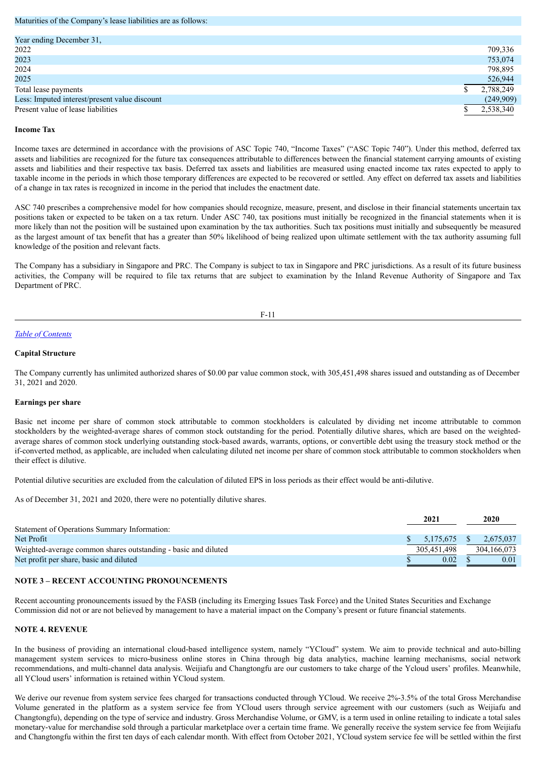| Maturities of the Company's lease liabilities are as follows: |           |
|---------------------------------------------------------------|-----------|
|                                                               |           |
| Year ending December 31,                                      |           |
| 2022                                                          | 709,336   |
| 2023                                                          | 753,074   |
| 2024                                                          | 798,895   |
| 2025                                                          | 526,944   |
| Total lease payments                                          | 2,788,249 |
| Less: Imputed interest/present value discount                 | (249,909) |
| Present value of lease liabilities                            | 2,538,340 |

#### **Income Tax**

Income taxes are determined in accordance with the provisions of ASC Topic 740, "Income Taxes" ("ASC Topic 740"). Under this method, deferred tax assets and liabilities are recognized for the future tax consequences attributable to differences between the financial statement carrying amounts of existing assets and liabilities and their respective tax basis. Deferred tax assets and liabilities are measured using enacted income tax rates expected to apply to taxable income in the periods in which those temporary differences are expected to be recovered or settled. Any effect on deferred tax assets and liabilities of a change in tax rates is recognized in income in the period that includes the enactment date.

ASC 740 prescribes a comprehensive model for how companies should recognize, measure, present, and disclose in their financial statements uncertain tax positions taken or expected to be taken on a tax return. Under ASC 740, tax positions must initially be recognized in the financial statements when it is more likely than not the position will be sustained upon examination by the tax authorities. Such tax positions must initially and subsequently be measured as the largest amount of tax benefit that has a greater than 50% likelihood of being realized upon ultimate settlement with the tax authority assuming full knowledge of the position and relevant facts.

The Company has a subsidiary in Singapore and PRC. The Company is subject to tax in Singapore and PRC jurisdictions. As a result of its future business activities, the Company will be required to file tax returns that are subject to examination by the Inland Revenue Authority of Singapore and Tax Department of PRC.

#### *Table of [Contents](#page-24-2)*

#### **Capital Structure**

The Company currently has unlimited authorized shares of \$0.00 par value common stock, with 305,451,498 shares issued and outstanding as of December 31, 2021 and 2020.

#### **Earnings per share**

Basic net income per share of common stock attributable to common stockholders is calculated by dividing net income attributable to common stockholders by the weighted-average shares of common stock outstanding for the period. Potentially dilutive shares, which are based on the weightedaverage shares of common stock underlying outstanding stock-based awards, warrants, options, or convertible debt using the treasury stock method or the if-converted method, as applicable, are included when calculating diluted net income per share of common stock attributable to common stockholders when their effect is dilutive.

Potential dilutive securities are excluded from the calculation of diluted EPS in loss periods as their effect would be anti-dilutive.

As of December 31, 2021 and 2020, there were no potentially dilutive shares.

|                                                                | 2021        | 2020        |
|----------------------------------------------------------------|-------------|-------------|
| Statement of Operations Summary Information:                   |             |             |
| Net Profit                                                     | 5.175.675   | 2.675.037   |
| Weighted-average common shares outstanding - basic and diluted | 305.451.498 | 304.166.073 |
| Net profit per share, basic and diluted                        | 0.02        | 0.01        |

#### **NOTE 3 – RECENT ACCOUNTING PRONOUNCEMENTS**

Recent accounting pronouncements issued by the FASB (including its Emerging Issues Task Force) and the United States Securities and Exchange Commission did not or are not believed by management to have a material impact on the Company's present or future financial statements.

#### **NOTE 4. REVENUE**

In the business of providing an international cloud-based intelligence system, namely "YCloud" system. We aim to provide technical and auto-billing management system services to micro-business online stores in China through big data analytics, machine learning mechanisms, social network recommendations, and multi-channel data analysis. Weijiafu and Changtongfu are our customers to take charge of the Ycloud users' profiles. Meanwhile, all YCloud users' information is retained within YCloud system.

We derive our revenue from system service fees charged for transactions conducted through YCloud. We receive 2%-3.5% of the total Gross Merchandise Volume generated in the platform as a system service fee from YCloud users through service agreement with our customers (such as Weijiafu and Changtongfu), depending on the type of service and industry. Gross Merchandise Volume, or GMV, is a term used in online retailing to indicate a total sales monetary-value for merchandise sold through a particular marketplace over a certain time frame. We generally receive the system service fee from Weijiafu and Changtongfu within the first ten days of each calendar month. With effect from October 2021, YCloud system service fee will be settled within the first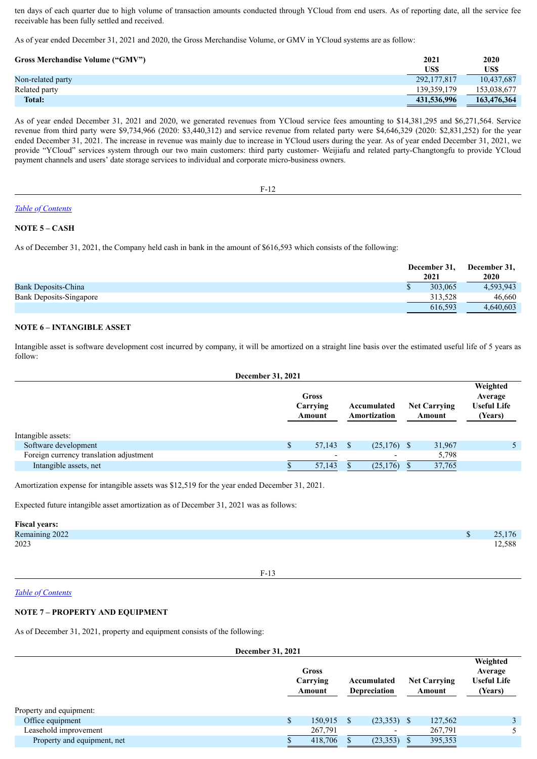ten days of each quarter due to high volume of transaction amounts conducted through YCloud from end users. As of reporting date, all the service fee receivable has been fully settled and received.

As of year ended December 31, 2021 and 2020, the Gross Merchandise Volume, or GMV in YCloud systems are as follow:

| Gross Merchandise Volume ("GMV") | 2021          | <b>2020</b> |
|----------------------------------|---------------|-------------|
|                                  | US\$          | US\$        |
| Non-related party                | 292, 177, 817 | 10.437.687  |
| Related party                    | 139.359.179   | 153.038.677 |
| <b>Total:</b>                    | 431.536.996   | 163,476,364 |

As of year ended December 31, 2021 and 2020, we generated revenues from YCloud service fees amounting to \$14,381,295 and \$6,271,564. Service revenue from third party were \$9,734,966 (2020: \$3,440,312) and service revenue from related party were \$4,646,329 (2020: \$2,831,252) for the year ended December 31, 2021. The increase in revenue was mainly due to increase in YCloud users during the year. As of year ended December 31, 2021, we provide "YCloud" services system through our two main customers: third party customer- Weijiafu and related party-Changtongfu to provide YCloud payment channels and users' date storage services to individual and corporate micro-business owners.

|--|--|

#### *Table of [Contents](#page-24-2)*

### **NOTE 5 – CASH**

As of December 31, 2021, the Company held cash in bank in the amount of \$616,593 which consists of the following:

|                                | December 31, | December 31, |
|--------------------------------|--------------|--------------|
|                                | 2021         | 2020         |
| <b>Bank Deposits-China</b>     | 303,065      | 4.593.943    |
| <b>Bank Deposits-Singapore</b> | 313,528      | 46,660       |
|                                | 616.593      | 4.640.603    |

# **NOTE 6 – INTANGIBLE ASSET**

Intangible asset is software development cost incurred by company, it will be amortized on a straight line basis over the estimated useful life of 5 years as follow:

| December 31, 2021                       |   |                          |                             |                               |                                                      |  |  |
|-----------------------------------------|---|--------------------------|-----------------------------|-------------------------------|------------------------------------------------------|--|--|
| Gross<br>Carrying<br>Amount             |   |                          | Accumulated<br>Amortization | <b>Net Carrying</b><br>Amount | Weighted<br>Average<br><b>Useful Life</b><br>(Years) |  |  |
| Intangible assets:                      |   |                          |                             |                               |                                                      |  |  |
| Software development                    | S | 57,143                   | -S                          | $(25,176)$ \$                 | 31,967                                               |  |  |
| Foreign currency translation adjustment |   | $\overline{\phantom{0}}$ |                             | $\overline{\phantom{0}}$      | 5,798                                                |  |  |
| Intangible assets, net                  |   | 57,143                   |                             | (25,176)                      | 37,765                                               |  |  |

Amortization expense for intangible assets was \$12,519 for the year ended December 31, 2021.

Expected future intangible asset amortization as of December 31, 2021 was as follows:

| <b>Fiscal years:</b> |        |
|----------------------|--------|
| Remaining 2022       | 25,176 |
| 2023                 | 12,588 |

# F-13

# *Table of [Contents](#page-24-2)*

#### **NOTE 7 – PROPERTY AND EQUIPMENT**

As of December 31, 2021, property and equipment consists of the following:

|                             | December 31, 2021           |         |      |                                    |                               |                                                      |
|-----------------------------|-----------------------------|---------|------|------------------------------------|-------------------------------|------------------------------------------------------|
|                             | Gross<br>Carrying<br>Amount |         |      | Accumulated<br><b>Depreciation</b> | <b>Net Carrying</b><br>Amount | Weighted<br>Average<br><b>Useful Life</b><br>(Years) |
| Property and equipment:     |                             |         |      |                                    |                               |                                                      |
| Office equipment            |                             | 150,915 | - \$ | $(23,353)$ \$                      | 127,562                       |                                                      |
| Leasehold improvement       |                             | 267,791 |      |                                    | 267,791                       |                                                      |
| Property and equipment, net |                             | 418,706 |      | (23, 353)                          | 395,353                       |                                                      |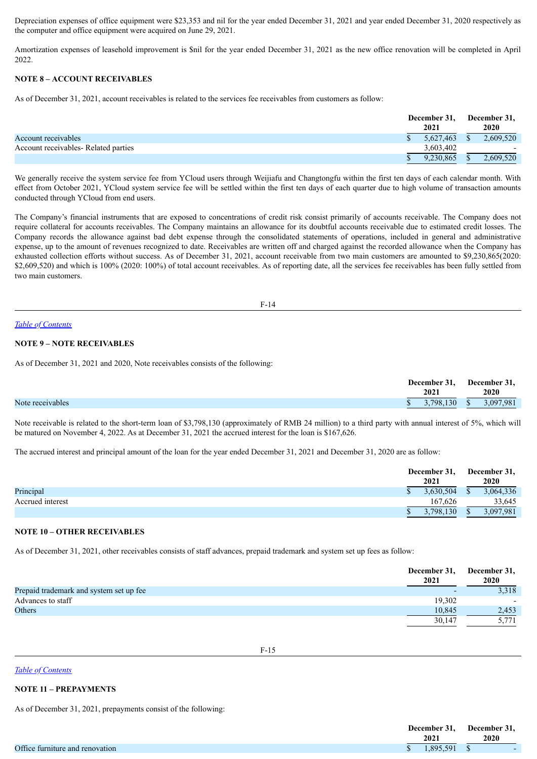Depreciation expenses of office equipment were \$23,353 and nil for the year ended December 31, 2021 and year ended December 31, 2020 respectively as the computer and office equipment were acquired on June 29, 2021.

Amortization expenses of leasehold improvement is \$nil for the year ended December 31, 2021 as the new office renovation will be completed in April 2022

### **NOTE 8 – ACCOUNT RECEIVABLES**

As of December 31, 2021, account receivables is related to the services fee receivables from customers as follow:

|                                     |  | December 31, |  |           |  |  |  | December 31, |
|-------------------------------------|--|--------------|--|-----------|--|--|--|--------------|
|                                     |  | 2021         |  | 2020      |  |  |  |              |
| Account receivables                 |  | 5.627.463    |  | 2,609,520 |  |  |  |              |
| Account receivables-Related parties |  | 3,603,402    |  |           |  |  |  |              |
|                                     |  | 9.230.865    |  | 2,609,520 |  |  |  |              |

We generally receive the system service fee from YCloud users through Weijiafu and Changtongfu within the first ten days of each calendar month. With effect from October 2021, YCloud system service fee will be settled within the first ten days of each quarter due to high volume of transaction amounts conducted through YCloud from end users.

The Company's financial instruments that are exposed to concentrations of credit risk consist primarily of accounts receivable. The Company does not require collateral for accounts receivables. The Company maintains an allowance for its doubtful accounts receivable due to estimated credit losses. The Company records the allowance against bad debt expense through the consolidated statements of operations, included in general and administrative expense, up to the amount of revenues recognized to date. Receivables are written off and charged against the recorded allowance when the Company has exhausted collection efforts without success. As of December 31, 2021, account receivable from two main customers are amounted to \$9,230,865(2020: \$2,609,520) and which is 100% (2020: 100%) of total account receivables. As of reporting date, all the services fee receivables has been fully settled from two main customers.

F-14

# *Table of [Contents](#page-24-2)*

#### **NOTE 9 – NOTE RECEIVABLES**

As of December 31, 2021 and 2020, Note receivables consists of the following:

|                  | December 31, December 31,<br>2021    | 2020 |
|------------------|--------------------------------------|------|
|                  |                                      |      |
| Note receivables | $\frac{1}{2}$ 3.798.130 \$ 3.097.981 |      |

Note receivable is related to the short-term loan of \$3,798,130 (approximately of RMB 24 million) to a third party with annual interest of 5%, which will be matured on November 4, 2022. As at December 31, 2021 the accrued interest for the loan is \$167,626.

The accrued interest and principal amount of the loan for the year ended December 31, 2021 and December 31, 2020 are as follow:

|                  | December 31, | December 31, |           |  |
|------------------|--------------|--------------|-----------|--|
|                  | 2021         |              | 2020      |  |
| Principal        | 3,630,504    | \$           | 3,064,336 |  |
| Accrued interest | 167.626      |              | 33,645    |  |
|                  | 3,798,130    |              | 3,097,981 |  |

# **NOTE 10 – OTHER RECEIVABLES**

As of December 31, 2021, other receivables consists of staff advances, prepaid trademark and system set up fees as follow:

|                                         | December 31,<br>2021     | December 31,<br>2020     |
|-----------------------------------------|--------------------------|--------------------------|
| Prepaid trademark and system set up fee | $\overline{\phantom{0}}$ | 3,318                    |
| Advances to staff                       | 19,302                   | $\overline{\phantom{0}}$ |
| <b>Others</b>                           | 10,845                   | 2,453                    |
|                                         | 30.147                   |                          |

F-15

#### *Table of [Contents](#page-24-2)*

#### **NOTE 11 – PREPAYMENTS**

As of December 31, 2021, prepayments consist of the following:

|                                 |    | December 31, December 31,<br>2021 | 2020 |
|---------------------------------|----|-----------------------------------|------|
| Office furniture and renovation | S. | 1.895.591                         |      |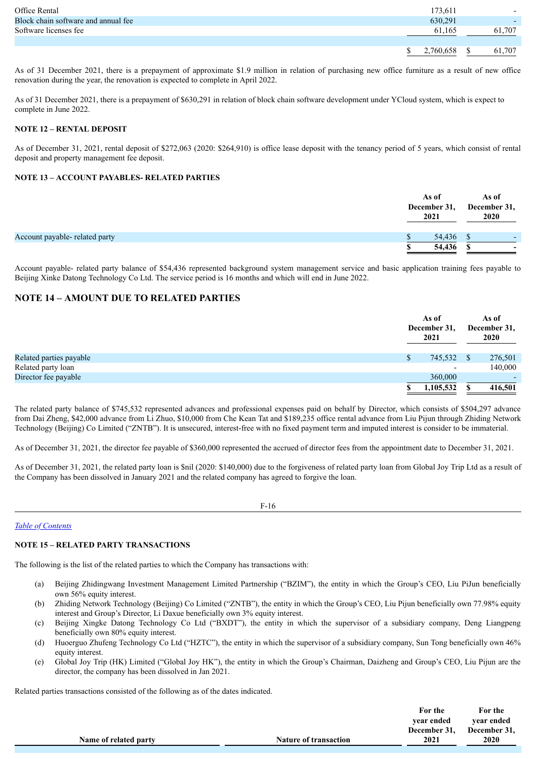| Office Rental                       | 173,611   | $\overline{\phantom{0}}$ |
|-------------------------------------|-----------|--------------------------|
| Block chain software and annual fee | 630,291   |                          |
| Software licenses fee               | 61.165    | 61.707                   |
|                                     |           |                          |
|                                     | 2,760,658 | 61.707                   |

As of 31 December 2021, there is a prepayment of approximate \$1.9 million in relation of purchasing new office furniture as a result of new office renovation during the year, the renovation is expected to complete in April 2022.

As of 31 December 2021, there is a prepayment of \$630,291 in relation of block chain software development under YCloud system, which is expect to complete in June 2022.

#### **NOTE 12 – RENTAL DEPOSIT**

As of December 31, 2021, rental deposit of \$272,063 (2020: \$264,910) is office lease deposit with the tenancy period of 5 years, which consist of rental deposit and property management fee deposit.

# **NOTE 13 – ACCOUNT PAYABLES- RELATED PARTIES**

|                               | As of<br>December 31,<br>2021 | As of<br>December 31,<br>2020 |   |
|-------------------------------|-------------------------------|-------------------------------|---|
| Account payable-related party | 54,436                        |                               |   |
|                               | 54,436                        |                               | ۰ |

Account payable- related party balance of \$54,436 represented background system management service and basic application training fees payable to Beijing Xinke Datong Technology Co Ltd. The service period is 16 months and which will end in June 2022.

# **NOTE 14 – AMOUNT DUE TO RELATED PARTIES**

|                         |   | As of<br>December 31,<br>2021 |               | As of<br>December 31.<br>2020 |
|-------------------------|---|-------------------------------|---------------|-------------------------------|
| Related parties payable | S | 745,532                       | <sup>\$</sup> | 276,501                       |
| Related party loan      |   | $\overline{\phantom{0}}$      |               | 140,000                       |
| Director fee payable    |   | 360,000                       |               |                               |
|                         |   | 1,105,532                     |               | 416,501                       |

The related party balance of \$745,532 represented advances and professional expenses paid on behalf by Director, which consists of \$504,297 advance from Dai Zheng, \$42,000 advance from Li Zhuo, \$10,000 from Che Kean Tat and \$189,235 office rental advance from Liu Pijun through Zhiding Network Technology (Beijing) Co Limited ("ZNTB"). It is unsecured, interest-free with no fixed payment term and imputed interest is consider to be immaterial.

As of December 31, 2021, the director fee payable of \$360,000 represented the accrued of director fees from the appointment date to December 31, 2021.

As of December 31, 2021, the related party loan is \$nil (2020: \$140,000) due to the forgiveness of related party loan from Global Joy Trip Ltd as a result of the Company has been dissolved in January 2021 and the related company has agreed to forgive the loan.

F-16

#### *Table of [Contents](#page-24-2)*

#### **NOTE 15 – RELATED PARTY TRANSACTIONS**

The following is the list of the related parties to which the Company has transactions with:

- (a) Beijing Zhidingwang Investment Management Limited Partnership ("BZIM"), the entity in which the Group's CEO, Liu PiJun beneficially own 56% equity interest.
- (b) Zhiding Network Technology (Beijing) Co Limited ("ZNTB"), the entity in which the Group's CEO, Liu Pijun beneficially own 77.98% equity interest and Group's Director, Li Daxue beneficially own 3% equity interest.
- (c) Beijing Xingke Datong Technology Co Ltd ("BXDT"), the entity in which the supervisor of a subsidiary company, Deng Liangpeng beneficially own 80% equity interest.
- (d) Huoerguo Zhufeng Technology Co Ltd ("HZTC"), the entity in which the supervisor of a subsidiary company, Sun Tong beneficially own 46% equity interest.
- (e) Global Joy Trip (HK) Limited ("Global Joy HK"), the entity in which the Group's Chairman, Daizheng and Group's CEO, Liu Pijun are the director, the company has been dissolved in Jan 2021.

Related parties transactions consisted of the following as of the dates indicated.

|                       |                              | For the      | For the      |
|-----------------------|------------------------------|--------------|--------------|
|                       |                              | vear ended   | year ended   |
|                       |                              | December 31, | December 31, |
| Name of related party | <b>Nature of transaction</b> | 2021         | 2020         |
|                       |                              |              |              |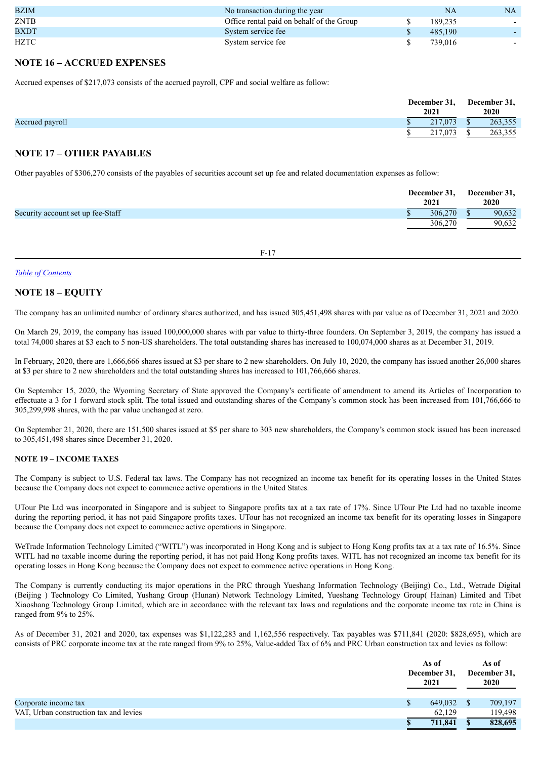| No transaction during the year            | NA      | NA |
|-------------------------------------------|---------|----|
| Office rental paid on behalf of the Group | 189.235 |    |
| System service fee                        | 485,190 |    |
| System service fee                        | 739.016 |    |
|                                           |         |    |

# **NOTE 16 – ACCRUED EXPENSES**

Accrued expenses of \$217,073 consists of the accrued payroll, CPF and social welfare as follow:

|                 | December 31,<br>2021 | December 31,<br>2020 |
|-----------------|----------------------|----------------------|
| Accrued payroll | 217,073              | 263,355              |
|                 | 217.073              | 263,355              |

# **NOTE 17 – OTHER PAYABLES**

Other payables of \$306,270 consists of the payables of securities account set up fee and related documentation expenses as follow:

|                                   | December 31,<br>2021 | December 31,<br>2020 |        |  |
|-----------------------------------|----------------------|----------------------|--------|--|
| Security account set up fee-Staff | 306,270              |                      | 90,632 |  |
|                                   | 306,270              |                      | 90,632 |  |

F-17

# *Table of [Contents](#page-24-2)*

# **NOTE 18 – EQUITY**

The company has an unlimited number of ordinary shares authorized, and has issued 305,451,498 shares with par value as of December 31, 2021 and 2020.

On March 29, 2019, the company has issued 100,000,000 shares with par value to thirty-three founders. On September 3, 2019, the company has issued a total 74,000 shares at \$3 each to 5 non-US shareholders. The total outstanding shares has increased to 100,074,000 shares as at December 31, 2019.

In February, 2020, there are 1,666,666 shares issued at \$3 per share to 2 new shareholders. On July 10, 2020, the company has issued another 26,000 shares at \$3 per share to 2 new shareholders and the total outstanding shares has increased to 101,766,666 shares.

On September 15, 2020, the Wyoming Secretary of State approved the Company's certificate of amendment to amend its Articles of Incorporation to effectuate a 3 for 1 forward stock split. The total issued and outstanding shares of the Company's common stock has been increased from 101,766,666 to 305,299,998 shares, with the par value unchanged at zero.

On September 21, 2020, there are 151,500 shares issued at \$5 per share to 303 new shareholders, the Company's common stock issued has been increased to 305,451,498 shares since December 31, 2020.

# **NOTE 19 – INCOME TAXES**

The Company is subject to U.S. Federal tax laws. The Company has not recognized an income tax benefit for its operating losses in the United States because the Company does not expect to commence active operations in the United States.

UTour Pte Ltd was incorporated in Singapore and is subject to Singapore profits tax at a tax rate of 17%. Since UTour Pte Ltd had no taxable income during the reporting period, it has not paid Singapore profits taxes. UTour has not recognized an income tax benefit for its operating losses in Singapore because the Company does not expect to commence active operations in Singapore.

WeTrade Information Technology Limited ("WITL") was incorporated in Hong Kong and is subject to Hong Kong profits tax at a tax rate of 16.5%. Since WITL had no taxable income during the reporting period, it has not paid Hong Kong profits taxes. WITL has not recognized an income tax benefit for its operating losses in Hong Kong because the Company does not expect to commence active operations in Hong Kong.

The Company is currently conducting its major operations in the PRC through Yueshang Information Technology (Beijing) Co., Ltd., Wetrade Digital (Beijing ) Technology Co Limited, Yushang Group (Hunan) Network Technology Limited, Yueshang Technology Group( Hainan) Limited and Tibet Xiaoshang Technology Group Limited, which are in accordance with the relevant tax laws and regulations and the corporate income tax rate in China is ranged from 9% to 25%.

As of December 31, 2021 and 2020, tax expenses was \$1,122,283 and 1,162,556 respectively. Tax payables was \$711,841 (2020: \$828,695), which are consists of PRC corporate income tax at the rate ranged from 9% to 25%, Value-added Tax of 6% and PRC Urban construction tax and levies as follow:

|                                        |  | As of<br>December 31,<br>2021 | As of<br>December 31,<br>2020 |
|----------------------------------------|--|-------------------------------|-------------------------------|
| Corporate income tax                   |  | 649,032                       | 709,197                       |
| VAT, Urban construction tax and levies |  | 62.129                        | 119,498                       |
|                                        |  | 711,841                       | 828,695                       |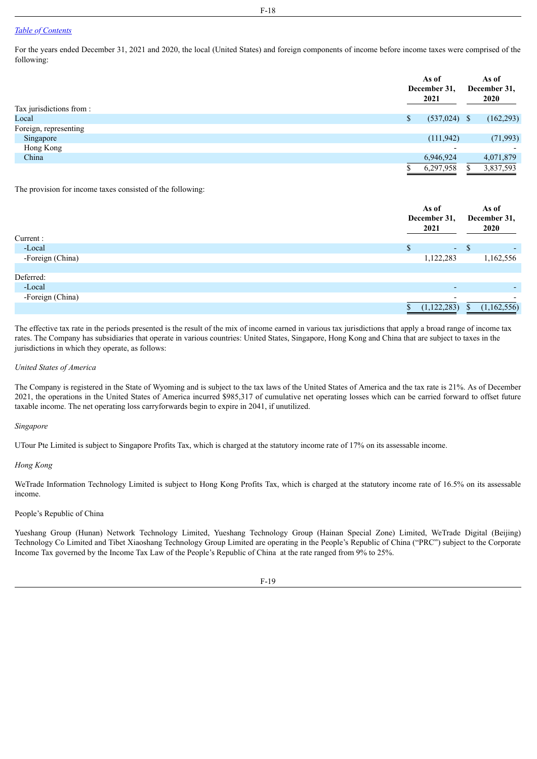#### *Table of [Contents](#page-24-2)*

For the years ended December 31, 2021 and 2020, the local (United States) and foreign components of income before income taxes were comprised of the following:

|                          |    | As of<br>December 31.<br>2021 | As of<br>December 31,<br><b>2020</b> |            |
|--------------------------|----|-------------------------------|--------------------------------------|------------|
| Tax jurisdictions from : |    |                               |                                      |            |
| Local                    | S. | (537, 024)                    |                                      | (162, 293) |
| Foreign, representing    |    |                               |                                      |            |
| Singapore                |    | (111, 942)                    |                                      | (71, 993)  |
| Hong Kong                |    |                               |                                      |            |
| China                    |    | 6,946,924                     |                                      | 4,071,879  |
|                          |    | 6,297,958                     |                                      | 3,837,593  |

The provision for income taxes consisted of the following:

|                  | As of<br>December 31,<br>2021 | As of<br>December 31,<br>2020  |
|------------------|-------------------------------|--------------------------------|
| Current :        |                               |                                |
| -Local           | \$<br>$\sim$                  | -S<br>$\overline{\phantom{0}}$ |
| -Foreign (China) | 1,122,283                     | 1,162,556                      |
|                  |                               |                                |
| Deferred:        |                               |                                |
| -Local           | $\overline{\phantom{a}}$      |                                |
| -Foreign (China) | $\overline{\phantom{0}}$      |                                |
|                  | (1, 122, 283)                 | (1,162,556)                    |

The effective tax rate in the periods presented is the result of the mix of income earned in various tax jurisdictions that apply a broad range of income tax rates. The Company has subsidiaries that operate in various countries: United States, Singapore, Hong Kong and China that are subject to taxes in the jurisdictions in which they operate, as follows:

#### *United States of America*

The Company is registered in the State of Wyoming and is subject to the tax laws of the United States of America and the tax rate is 21%. As of December 2021, the operations in the United States of America incurred \$985,317 of cumulative net operating losses which can be carried forward to offset future taxable income. The net operating loss carryforwards begin to expire in 2041, if unutilized.

# *Singapore*

UTour Pte Limited is subject to Singapore Profits Tax, which is charged at the statutory income rate of 17% on its assessable income.

#### *Hong Kong*

WeTrade Information Technology Limited is subject to Hong Kong Profits Tax, which is charged at the statutory income rate of 16.5% on its assessable income.

# People's Republic of China

Yueshang Group (Hunan) Network Technology Limited, Yueshang Technology Group (Hainan Special Zone) Limited, WeTrade Digital (Beijing) Technology Co Limited and Tibet Xiaoshang Technology Group Limited are operating in the People's Republic of China ("PRC") subject to the Corporate Income Tax governed by the Income Tax Law of the People's Republic of China at the rate ranged from 9% to 25%.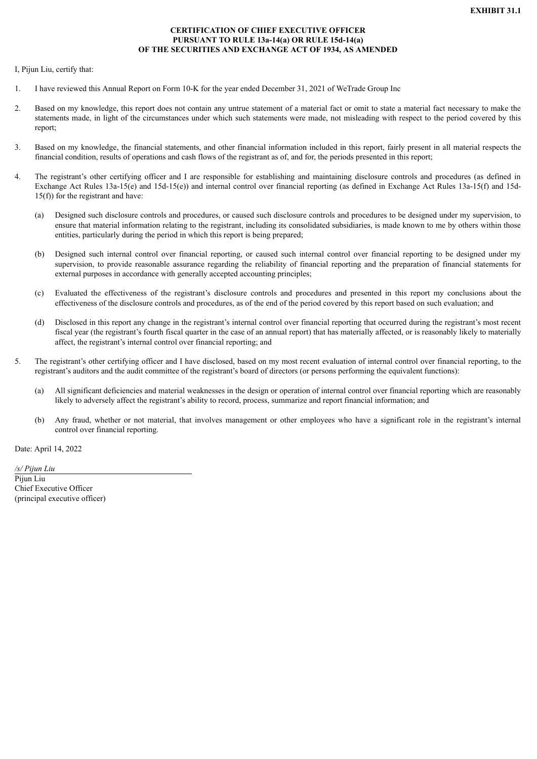# **CERTIFICATION OF CHIEF EXECUTIVE OFFICER PURSUANT TO RULE 13a-14(a) OR RULE 15d-14(a) OF THE SECURITIES AND EXCHANGE ACT OF 1934, AS AMENDED**

I, Pijun Liu, certify that:

- 1. I have reviewed this Annual Report on Form 10-K for the year ended December 31, 2021 of WeTrade Group Inc
- 2. Based on my knowledge, this report does not contain any untrue statement of a material fact or omit to state a material fact necessary to make the statements made, in light of the circumstances under which such statements were made, not misleading with respect to the period covered by this report;
- 3. Based on my knowledge, the financial statements, and other financial information included in this report, fairly present in all material respects the financial condition, results of operations and cash flows of the registrant as of, and for, the periods presented in this report;
- 4. The registrant's other certifying officer and I are responsible for establishing and maintaining disclosure controls and procedures (as defined in Exchange Act Rules 13a-15(e) and 15d-15(e)) and internal control over financial reporting (as defined in Exchange Act Rules 13a-15(f) and 15d-15(f)) for the registrant and have:
	- (a) Designed such disclosure controls and procedures, or caused such disclosure controls and procedures to be designed under my supervision, to ensure that material information relating to the registrant, including its consolidated subsidiaries, is made known to me by others within those entities, particularly during the period in which this report is being prepared;
	- (b) Designed such internal control over financial reporting, or caused such internal control over financial reporting to be designed under my supervision, to provide reasonable assurance regarding the reliability of financial reporting and the preparation of financial statements for external purposes in accordance with generally accepted accounting principles;
	- (c) Evaluated the effectiveness of the registrant's disclosure controls and procedures and presented in this report my conclusions about the effectiveness of the disclosure controls and procedures, as of the end of the period covered by this report based on such evaluation; and
	- (d) Disclosed in this report any change in the registrant's internal control over financial reporting that occurred during the registrant's most recent fiscal year (the registrant's fourth fiscal quarter in the case of an annual report) that has materially affected, or is reasonably likely to materially affect, the registrant's internal control over financial reporting; and
- 5. The registrant's other certifying officer and I have disclosed, based on my most recent evaluation of internal control over financial reporting, to the registrant's auditors and the audit committee of the registrant's board of directors (or persons performing the equivalent functions):
	- (a) All significant deficiencies and material weaknesses in the design or operation of internal control over financial reporting which are reasonably likely to adversely affect the registrant's ability to record, process, summarize and report financial information; and
	- (b) Any fraud, whether or not material, that involves management or other employees who have a significant role in the registrant's internal control over financial reporting.

Date: April 14, 2022

*/s/ Pijun Liu* Pijun Liu Chief Executive Officer (principal executive officer)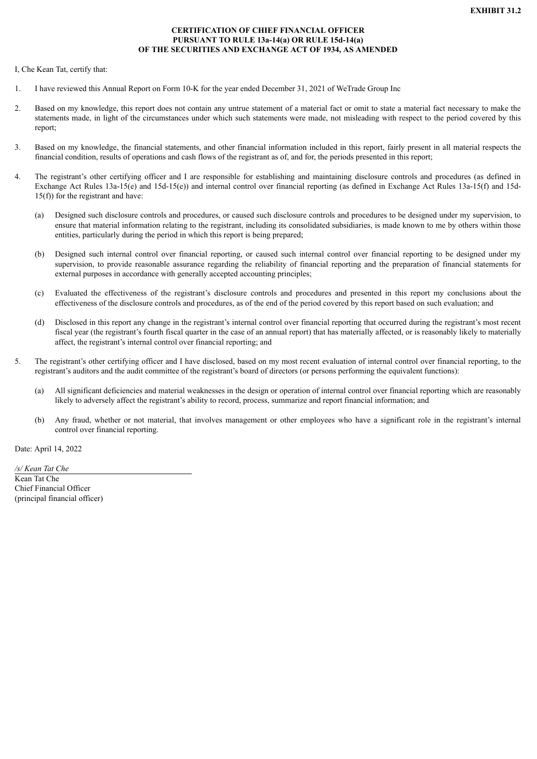# **CERTIFICATION OF CHIEF FINANCIAL OFFICER PURSUANT TO RULE 13a-14(a) OR RULE 15d-14(a) OF THE SECURITIES AND EXCHANGE ACT OF 1934, AS AMENDED**

I, Che Kean Tat, certify that:

- 1. I have reviewed this Annual Report on Form 10-K for the year ended December 31, 2021 of WeTrade Group Inc
- 2. Based on my knowledge, this report does not contain any untrue statement of a material fact or omit to state a material fact necessary to make the statements made, in light of the circumstances under which such statements were made, not misleading with respect to the period covered by this report;
- 3. Based on my knowledge, the financial statements, and other financial information included in this report, fairly present in all material respects the financial condition, results of operations and cash flows of the registrant as of, and for, the periods presented in this report;
- 4. The registrant's other certifying officer and I are responsible for establishing and maintaining disclosure controls and procedures (as defined in Exchange Act Rules 13a-15(e) and 15d-15(e)) and internal control over financial reporting (as defined in Exchange Act Rules 13a-15(f) and 15d-15(f)) for the registrant and have:
	- (a) Designed such disclosure controls and procedures, or caused such disclosure controls and procedures to be designed under my supervision, to ensure that material information relating to the registrant, including its consolidated subsidiaries, is made known to me by others within those entities, particularly during the period in which this report is being prepared;
	- (b) Designed such internal control over financial reporting, or caused such internal control over financial reporting to be designed under my supervision, to provide reasonable assurance regarding the reliability of financial reporting and the preparation of financial statements for external purposes in accordance with generally accepted accounting principles;
	- (c) Evaluated the effectiveness of the registrant's disclosure controls and procedures and presented in this report my conclusions about the effectiveness of the disclosure controls and procedures, as of the end of the period covered by this report based on such evaluation; and
	- (d) Disclosed in this report any change in the registrant's internal control over financial reporting that occurred during the registrant's most recent fiscal year (the registrant's fourth fiscal quarter in the case of an annual report) that has materially affected, or is reasonably likely to materially affect, the registrant's internal control over financial reporting; and
- 5. The registrant's other certifying officer and I have disclosed, based on my most recent evaluation of internal control over financial reporting, to the registrant's auditors and the audit committee of the registrant's board of directors (or persons performing the equivalent functions):
	- (a) All significant deficiencies and material weaknesses in the design or operation of internal control over financial reporting which are reasonably likely to adversely affect the registrant's ability to record, process, summarize and report financial information; and
	- (b) Any fraud, whether or not material, that involves management or other employees who have a significant role in the registrant's internal control over financial reporting.

Date: April 14, 2022

*/s/ Kean Tat Che*

Kean Tat Che Chief Financial Officer (principal financial officer)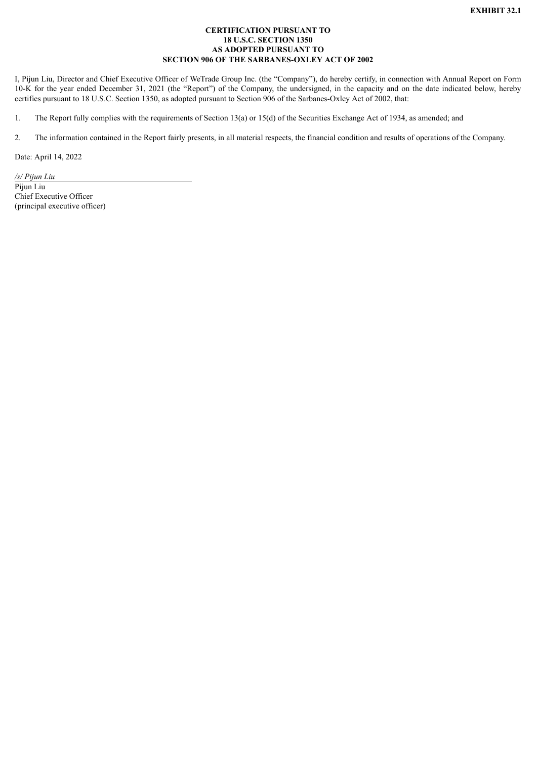# **CERTIFICATION PURSUANT TO 18 U.S.C. SECTION 1350 AS ADOPTED PURSUANT TO SECTION 906 OF THE SARBANES-OXLEY ACT OF 2002**

I, Pijun Liu, Director and Chief Executive Officer of WeTrade Group Inc. (the "Company"), do hereby certify, in connection with Annual Report on Form 10-K for the year ended December 31, 2021 (the "Report") of the Company, the undersigned, in the capacity and on the date indicated below, hereby certifies pursuant to 18 U.S.C. Section 1350, as adopted pursuant to Section 906 of the Sarbanes-Oxley Act of 2002, that:

1. The Report fully complies with the requirements of Section 13(a) or 15(d) of the Securities Exchange Act of 1934, as amended; and

2. The information contained in the Report fairly presents, in all material respects, the financial condition and results of operations of the Company.

Date: April 14, 2022

*/s/ Pijun Liu* Pijun Liu

Chief Executive Officer (principal executive officer)